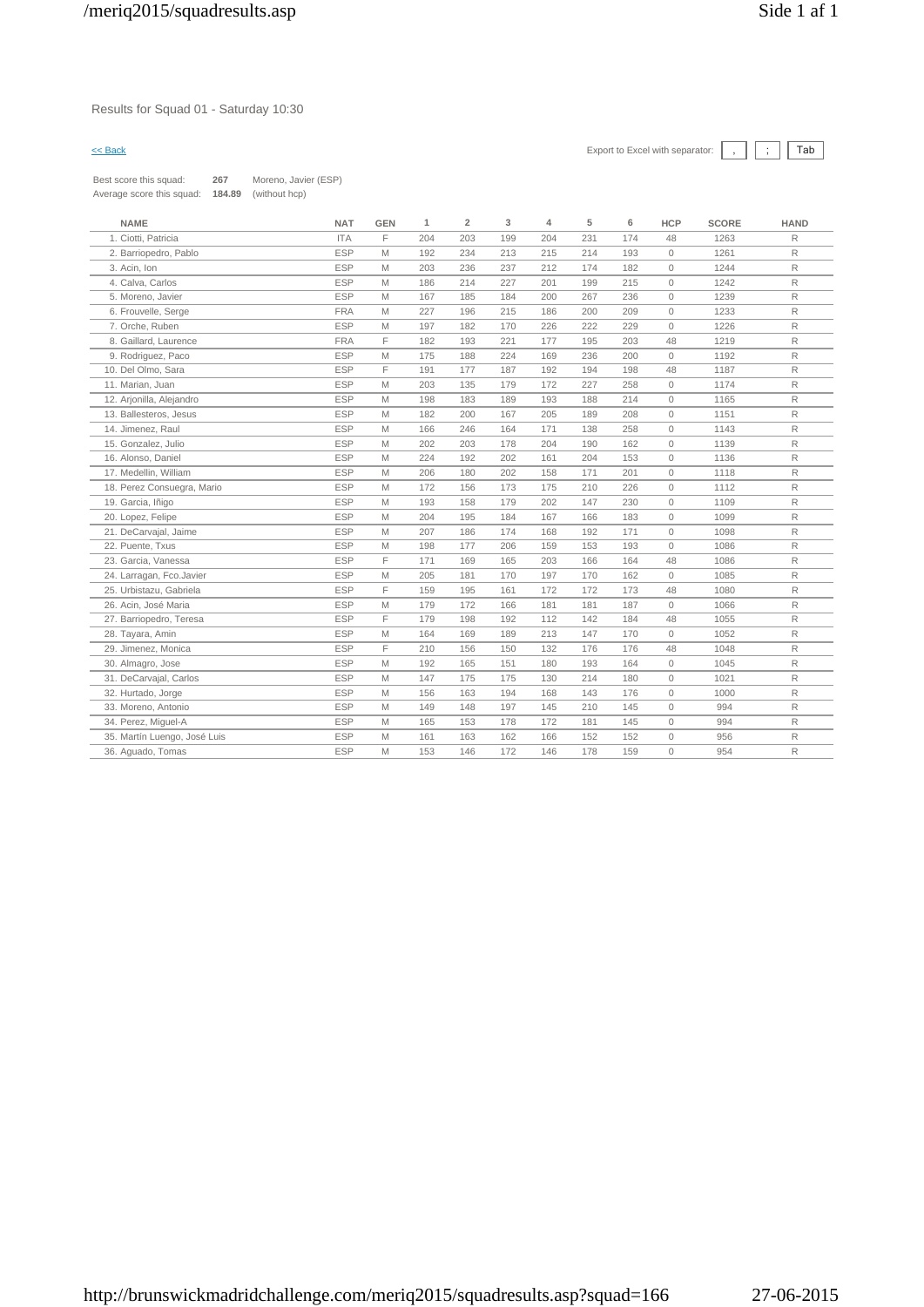### Results for Squad 01 - Saturday 10:30

# $\leq$  Back Export to Excel with separator:  $\boxed{\phantom{s}}$ ,  $\boxed{\phantom{s}}$   $\boxed{\phantom{s}}$

Best score this squad: **267** Moreno, Javier (ESP) Average score this squad: **184.89** (without hcp)

| F<br>1. Ciotti, Patricia<br><b>ITA</b><br>204<br>203<br>199<br>204<br>231<br>174<br>48<br>1263<br>R<br><b>ESP</b><br>M<br>192<br>234<br>213<br>215<br>214<br>1261<br>$\mathsf{R}$<br>2. Barriopedro, Pablo<br>193<br>$\circ$<br>$\mathsf R$<br><b>ESP</b><br>M<br>203<br>236<br>237<br>212<br>174<br>182<br>1244<br>3. Acin, Ion<br>$\circ$<br>$\mathsf R$<br>4. Calva, Carlos<br><b>ESP</b><br>M<br>186<br>214<br>227<br>201<br>199<br>215<br>$\mathsf{O}\xspace$<br>1242<br>5. Moreno, Javier<br><b>ESP</b><br>M<br>167<br>185<br>184<br>200<br>267<br>236<br>1239<br>$\mathsf{R}$<br>$\circ$<br><b>FRA</b><br>M<br>227<br>R<br>6. Frouvelle, Serge<br>196<br>215<br>186<br>200<br>209<br>$\circ$<br>1233<br>R<br><b>ESP</b><br>M<br>197<br>182<br>170<br>226<br>222<br>229<br>$\mathbf{0}$<br>1226<br>7. Orche, Ruben<br>F<br>R<br><b>FRA</b><br>182<br>221<br>195<br>203<br>48<br>1219<br>8. Gaillard, Laurence<br>193<br>177<br>R<br><b>ESP</b><br>M<br>175<br>224<br>236<br>200<br>9. Rodriguez, Paco<br>188<br>169<br>$\mathbb O$<br>1192<br><b>ESP</b><br>F<br>10. Del Olmo, Sara<br>191<br>177<br>187<br>192<br>194<br>198<br>48<br>1187<br>R<br><b>ESP</b><br>M<br>$\mathsf{R}$<br>11. Marian, Juan<br>203<br>135<br>179<br>172<br>227<br>258<br>$\circ$<br>1174<br><b>ESP</b><br>M<br>$\mathsf{R}$<br>12. Arjonilla, Alejandro<br>198<br>183<br>189<br>193<br>188<br>214<br>$\mathbf{0}$<br>1165<br><b>ESP</b><br>$\mathsf{R}$<br>13. Ballesteros, Jesus<br>M<br>182<br>200<br>167<br>205<br>189<br>208<br>$\mathsf{O}\xspace$<br>1151<br>R<br><b>ESP</b><br>M<br>246<br>171<br>$\mathbb O$<br>14. Jimenez, Raul<br>166<br>164<br>138<br>258<br>1143<br><b>ESP</b><br>$\mathsf{R}$<br>15. Gonzalez, Julio<br>M<br>202<br>203<br>178<br>204<br>190<br>162<br>$\mathbb O$<br>1139<br><b>ESP</b><br>M<br>224<br>R.<br>16. Alonso, Daniel<br>192<br>202<br>161<br>204<br>153<br>$\mathbb O$<br>1136<br>R<br><b>ESP</b><br>206<br>17. Medellin, William<br>M<br>180<br>202<br>158<br>171<br>201<br>$\circ$<br>1118<br><b>ESP</b><br>$\mathbf{0}$<br>$\mathsf{R}$<br>18. Perez Consuegra, Mario<br>M<br>172<br>156<br>173<br>175<br>210<br>226<br>1112<br>19. Garcia, Iñigo<br><b>ESP</b><br>M<br>193<br>158<br>179<br>202<br>R<br>147<br>230<br>$\mathbb O$<br>1109<br>$\mathsf R$<br><b>ESP</b><br>204<br>$\mathbb O$<br>20. Lopez, Felipe<br>M<br>195<br>184<br>167<br>166<br>183<br>1099<br><b>ESP</b><br>M<br>207<br>$\mathsf{R}$<br>21. DeCarvajal, Jaime<br>186<br>174<br>168<br>192<br>171<br>$\mathbb O$<br>1098<br><b>ESP</b><br>M<br>177<br>1086<br>R.<br>22. Puente, Txus<br>198<br>206<br>159<br>153<br>193<br>$\mathbf{0}$<br>F<br><b>ESP</b><br>171<br>203<br>R.<br>23. Garcia, Vanessa<br>169<br>165<br>166<br>164<br>48<br>1086<br>24. Larragan, Fco.Javier<br><b>ESP</b><br>M<br>205<br>170<br>197<br>162<br>1085<br>$\mathsf{R}$<br>181<br>170<br>$\mathbb O$<br>F<br><b>ESP</b><br>195<br>R<br>25. Urbistazu, Gabriela<br>159<br>161<br>172<br>172<br>173<br>48<br>1080<br><b>ESP</b><br>M<br>172<br>181<br>181<br>187<br>1066<br>$\mathsf{R}$<br>26. Acin, José Maria<br>179<br>166<br>$\mathsf{O}\xspace$<br><b>ESP</b><br>F<br>179<br>198<br>192<br>112<br>142<br>184<br>48<br>1055<br>$\mathsf{R}$<br>27. Barriopedro, Teresa<br><b>ESP</b><br>$\mathsf{R}$<br>28. Tayara, Amin<br>M<br>164<br>169<br>189<br>213<br>147<br>170<br>$\circ$<br>1052 | <b>NAME</b>         | <b>NAT</b> | <b>GEN</b> | 1   | $\overline{\mathbf{2}}$ | 3   | 4   | 5   | 6   | <b>HCP</b> | <b>SCORE</b> | <b>HAND</b>  |
|--------------------------------------------------------------------------------------------------------------------------------------------------------------------------------------------------------------------------------------------------------------------------------------------------------------------------------------------------------------------------------------------------------------------------------------------------------------------------------------------------------------------------------------------------------------------------------------------------------------------------------------------------------------------------------------------------------------------------------------------------------------------------------------------------------------------------------------------------------------------------------------------------------------------------------------------------------------------------------------------------------------------------------------------------------------------------------------------------------------------------------------------------------------------------------------------------------------------------------------------------------------------------------------------------------------------------------------------------------------------------------------------------------------------------------------------------------------------------------------------------------------------------------------------------------------------------------------------------------------------------------------------------------------------------------------------------------------------------------------------------------------------------------------------------------------------------------------------------------------------------------------------------------------------------------------------------------------------------------------------------------------------------------------------------------------------------------------------------------------------------------------------------------------------------------------------------------------------------------------------------------------------------------------------------------------------------------------------------------------------------------------------------------------------------------------------------------------------------------------------------------------------------------------------------------------------------------------------------------------------------------------------------------------------------------------------------------------------------------------------------------------------------------------------------------------------------------------------------------------------------------------------------------------------------------------------------------------------------------------------------------------------------------------------------------------------------------------------------------------------------------------------------------------------------------------------------------------------------------------------------------------------------------------------------------------------------------------------------------------------------------|---------------------|------------|------------|-----|-------------------------|-----|-----|-----|-----|------------|--------------|--------------|
|                                                                                                                                                                                                                                                                                                                                                                                                                                                                                                                                                                                                                                                                                                                                                                                                                                                                                                                                                                                                                                                                                                                                                                                                                                                                                                                                                                                                                                                                                                                                                                                                                                                                                                                                                                                                                                                                                                                                                                                                                                                                                                                                                                                                                                                                                                                                                                                                                                                                                                                                                                                                                                                                                                                                                                                                                                                                                                                                                                                                                                                                                                                                                                                                                                                                                                                                                                                |                     |            |            |     |                         |     |     |     |     |            |              |              |
|                                                                                                                                                                                                                                                                                                                                                                                                                                                                                                                                                                                                                                                                                                                                                                                                                                                                                                                                                                                                                                                                                                                                                                                                                                                                                                                                                                                                                                                                                                                                                                                                                                                                                                                                                                                                                                                                                                                                                                                                                                                                                                                                                                                                                                                                                                                                                                                                                                                                                                                                                                                                                                                                                                                                                                                                                                                                                                                                                                                                                                                                                                                                                                                                                                                                                                                                                                                |                     |            |            |     |                         |     |     |     |     |            |              |              |
|                                                                                                                                                                                                                                                                                                                                                                                                                                                                                                                                                                                                                                                                                                                                                                                                                                                                                                                                                                                                                                                                                                                                                                                                                                                                                                                                                                                                                                                                                                                                                                                                                                                                                                                                                                                                                                                                                                                                                                                                                                                                                                                                                                                                                                                                                                                                                                                                                                                                                                                                                                                                                                                                                                                                                                                                                                                                                                                                                                                                                                                                                                                                                                                                                                                                                                                                                                                |                     |            |            |     |                         |     |     |     |     |            |              |              |
|                                                                                                                                                                                                                                                                                                                                                                                                                                                                                                                                                                                                                                                                                                                                                                                                                                                                                                                                                                                                                                                                                                                                                                                                                                                                                                                                                                                                                                                                                                                                                                                                                                                                                                                                                                                                                                                                                                                                                                                                                                                                                                                                                                                                                                                                                                                                                                                                                                                                                                                                                                                                                                                                                                                                                                                                                                                                                                                                                                                                                                                                                                                                                                                                                                                                                                                                                                                |                     |            |            |     |                         |     |     |     |     |            |              |              |
|                                                                                                                                                                                                                                                                                                                                                                                                                                                                                                                                                                                                                                                                                                                                                                                                                                                                                                                                                                                                                                                                                                                                                                                                                                                                                                                                                                                                                                                                                                                                                                                                                                                                                                                                                                                                                                                                                                                                                                                                                                                                                                                                                                                                                                                                                                                                                                                                                                                                                                                                                                                                                                                                                                                                                                                                                                                                                                                                                                                                                                                                                                                                                                                                                                                                                                                                                                                |                     |            |            |     |                         |     |     |     |     |            |              |              |
|                                                                                                                                                                                                                                                                                                                                                                                                                                                                                                                                                                                                                                                                                                                                                                                                                                                                                                                                                                                                                                                                                                                                                                                                                                                                                                                                                                                                                                                                                                                                                                                                                                                                                                                                                                                                                                                                                                                                                                                                                                                                                                                                                                                                                                                                                                                                                                                                                                                                                                                                                                                                                                                                                                                                                                                                                                                                                                                                                                                                                                                                                                                                                                                                                                                                                                                                                                                |                     |            |            |     |                         |     |     |     |     |            |              |              |
|                                                                                                                                                                                                                                                                                                                                                                                                                                                                                                                                                                                                                                                                                                                                                                                                                                                                                                                                                                                                                                                                                                                                                                                                                                                                                                                                                                                                                                                                                                                                                                                                                                                                                                                                                                                                                                                                                                                                                                                                                                                                                                                                                                                                                                                                                                                                                                                                                                                                                                                                                                                                                                                                                                                                                                                                                                                                                                                                                                                                                                                                                                                                                                                                                                                                                                                                                                                |                     |            |            |     |                         |     |     |     |     |            |              |              |
|                                                                                                                                                                                                                                                                                                                                                                                                                                                                                                                                                                                                                                                                                                                                                                                                                                                                                                                                                                                                                                                                                                                                                                                                                                                                                                                                                                                                                                                                                                                                                                                                                                                                                                                                                                                                                                                                                                                                                                                                                                                                                                                                                                                                                                                                                                                                                                                                                                                                                                                                                                                                                                                                                                                                                                                                                                                                                                                                                                                                                                                                                                                                                                                                                                                                                                                                                                                |                     |            |            |     |                         |     |     |     |     |            |              |              |
|                                                                                                                                                                                                                                                                                                                                                                                                                                                                                                                                                                                                                                                                                                                                                                                                                                                                                                                                                                                                                                                                                                                                                                                                                                                                                                                                                                                                                                                                                                                                                                                                                                                                                                                                                                                                                                                                                                                                                                                                                                                                                                                                                                                                                                                                                                                                                                                                                                                                                                                                                                                                                                                                                                                                                                                                                                                                                                                                                                                                                                                                                                                                                                                                                                                                                                                                                                                |                     |            |            |     |                         |     |     |     |     |            |              |              |
|                                                                                                                                                                                                                                                                                                                                                                                                                                                                                                                                                                                                                                                                                                                                                                                                                                                                                                                                                                                                                                                                                                                                                                                                                                                                                                                                                                                                                                                                                                                                                                                                                                                                                                                                                                                                                                                                                                                                                                                                                                                                                                                                                                                                                                                                                                                                                                                                                                                                                                                                                                                                                                                                                                                                                                                                                                                                                                                                                                                                                                                                                                                                                                                                                                                                                                                                                                                |                     |            |            |     |                         |     |     |     |     |            |              |              |
|                                                                                                                                                                                                                                                                                                                                                                                                                                                                                                                                                                                                                                                                                                                                                                                                                                                                                                                                                                                                                                                                                                                                                                                                                                                                                                                                                                                                                                                                                                                                                                                                                                                                                                                                                                                                                                                                                                                                                                                                                                                                                                                                                                                                                                                                                                                                                                                                                                                                                                                                                                                                                                                                                                                                                                                                                                                                                                                                                                                                                                                                                                                                                                                                                                                                                                                                                                                |                     |            |            |     |                         |     |     |     |     |            |              |              |
|                                                                                                                                                                                                                                                                                                                                                                                                                                                                                                                                                                                                                                                                                                                                                                                                                                                                                                                                                                                                                                                                                                                                                                                                                                                                                                                                                                                                                                                                                                                                                                                                                                                                                                                                                                                                                                                                                                                                                                                                                                                                                                                                                                                                                                                                                                                                                                                                                                                                                                                                                                                                                                                                                                                                                                                                                                                                                                                                                                                                                                                                                                                                                                                                                                                                                                                                                                                |                     |            |            |     |                         |     |     |     |     |            |              |              |
|                                                                                                                                                                                                                                                                                                                                                                                                                                                                                                                                                                                                                                                                                                                                                                                                                                                                                                                                                                                                                                                                                                                                                                                                                                                                                                                                                                                                                                                                                                                                                                                                                                                                                                                                                                                                                                                                                                                                                                                                                                                                                                                                                                                                                                                                                                                                                                                                                                                                                                                                                                                                                                                                                                                                                                                                                                                                                                                                                                                                                                                                                                                                                                                                                                                                                                                                                                                |                     |            |            |     |                         |     |     |     |     |            |              |              |
|                                                                                                                                                                                                                                                                                                                                                                                                                                                                                                                                                                                                                                                                                                                                                                                                                                                                                                                                                                                                                                                                                                                                                                                                                                                                                                                                                                                                                                                                                                                                                                                                                                                                                                                                                                                                                                                                                                                                                                                                                                                                                                                                                                                                                                                                                                                                                                                                                                                                                                                                                                                                                                                                                                                                                                                                                                                                                                                                                                                                                                                                                                                                                                                                                                                                                                                                                                                |                     |            |            |     |                         |     |     |     |     |            |              |              |
|                                                                                                                                                                                                                                                                                                                                                                                                                                                                                                                                                                                                                                                                                                                                                                                                                                                                                                                                                                                                                                                                                                                                                                                                                                                                                                                                                                                                                                                                                                                                                                                                                                                                                                                                                                                                                                                                                                                                                                                                                                                                                                                                                                                                                                                                                                                                                                                                                                                                                                                                                                                                                                                                                                                                                                                                                                                                                                                                                                                                                                                                                                                                                                                                                                                                                                                                                                                |                     |            |            |     |                         |     |     |     |     |            |              |              |
|                                                                                                                                                                                                                                                                                                                                                                                                                                                                                                                                                                                                                                                                                                                                                                                                                                                                                                                                                                                                                                                                                                                                                                                                                                                                                                                                                                                                                                                                                                                                                                                                                                                                                                                                                                                                                                                                                                                                                                                                                                                                                                                                                                                                                                                                                                                                                                                                                                                                                                                                                                                                                                                                                                                                                                                                                                                                                                                                                                                                                                                                                                                                                                                                                                                                                                                                                                                |                     |            |            |     |                         |     |     |     |     |            |              |              |
|                                                                                                                                                                                                                                                                                                                                                                                                                                                                                                                                                                                                                                                                                                                                                                                                                                                                                                                                                                                                                                                                                                                                                                                                                                                                                                                                                                                                                                                                                                                                                                                                                                                                                                                                                                                                                                                                                                                                                                                                                                                                                                                                                                                                                                                                                                                                                                                                                                                                                                                                                                                                                                                                                                                                                                                                                                                                                                                                                                                                                                                                                                                                                                                                                                                                                                                                                                                |                     |            |            |     |                         |     |     |     |     |            |              |              |
|                                                                                                                                                                                                                                                                                                                                                                                                                                                                                                                                                                                                                                                                                                                                                                                                                                                                                                                                                                                                                                                                                                                                                                                                                                                                                                                                                                                                                                                                                                                                                                                                                                                                                                                                                                                                                                                                                                                                                                                                                                                                                                                                                                                                                                                                                                                                                                                                                                                                                                                                                                                                                                                                                                                                                                                                                                                                                                                                                                                                                                                                                                                                                                                                                                                                                                                                                                                |                     |            |            |     |                         |     |     |     |     |            |              |              |
|                                                                                                                                                                                                                                                                                                                                                                                                                                                                                                                                                                                                                                                                                                                                                                                                                                                                                                                                                                                                                                                                                                                                                                                                                                                                                                                                                                                                                                                                                                                                                                                                                                                                                                                                                                                                                                                                                                                                                                                                                                                                                                                                                                                                                                                                                                                                                                                                                                                                                                                                                                                                                                                                                                                                                                                                                                                                                                                                                                                                                                                                                                                                                                                                                                                                                                                                                                                |                     |            |            |     |                         |     |     |     |     |            |              |              |
|                                                                                                                                                                                                                                                                                                                                                                                                                                                                                                                                                                                                                                                                                                                                                                                                                                                                                                                                                                                                                                                                                                                                                                                                                                                                                                                                                                                                                                                                                                                                                                                                                                                                                                                                                                                                                                                                                                                                                                                                                                                                                                                                                                                                                                                                                                                                                                                                                                                                                                                                                                                                                                                                                                                                                                                                                                                                                                                                                                                                                                                                                                                                                                                                                                                                                                                                                                                |                     |            |            |     |                         |     |     |     |     |            |              |              |
|                                                                                                                                                                                                                                                                                                                                                                                                                                                                                                                                                                                                                                                                                                                                                                                                                                                                                                                                                                                                                                                                                                                                                                                                                                                                                                                                                                                                                                                                                                                                                                                                                                                                                                                                                                                                                                                                                                                                                                                                                                                                                                                                                                                                                                                                                                                                                                                                                                                                                                                                                                                                                                                                                                                                                                                                                                                                                                                                                                                                                                                                                                                                                                                                                                                                                                                                                                                |                     |            |            |     |                         |     |     |     |     |            |              |              |
|                                                                                                                                                                                                                                                                                                                                                                                                                                                                                                                                                                                                                                                                                                                                                                                                                                                                                                                                                                                                                                                                                                                                                                                                                                                                                                                                                                                                                                                                                                                                                                                                                                                                                                                                                                                                                                                                                                                                                                                                                                                                                                                                                                                                                                                                                                                                                                                                                                                                                                                                                                                                                                                                                                                                                                                                                                                                                                                                                                                                                                                                                                                                                                                                                                                                                                                                                                                |                     |            |            |     |                         |     |     |     |     |            |              |              |
|                                                                                                                                                                                                                                                                                                                                                                                                                                                                                                                                                                                                                                                                                                                                                                                                                                                                                                                                                                                                                                                                                                                                                                                                                                                                                                                                                                                                                                                                                                                                                                                                                                                                                                                                                                                                                                                                                                                                                                                                                                                                                                                                                                                                                                                                                                                                                                                                                                                                                                                                                                                                                                                                                                                                                                                                                                                                                                                                                                                                                                                                                                                                                                                                                                                                                                                                                                                |                     |            |            |     |                         |     |     |     |     |            |              |              |
|                                                                                                                                                                                                                                                                                                                                                                                                                                                                                                                                                                                                                                                                                                                                                                                                                                                                                                                                                                                                                                                                                                                                                                                                                                                                                                                                                                                                                                                                                                                                                                                                                                                                                                                                                                                                                                                                                                                                                                                                                                                                                                                                                                                                                                                                                                                                                                                                                                                                                                                                                                                                                                                                                                                                                                                                                                                                                                                                                                                                                                                                                                                                                                                                                                                                                                                                                                                |                     |            |            |     |                         |     |     |     |     |            |              |              |
|                                                                                                                                                                                                                                                                                                                                                                                                                                                                                                                                                                                                                                                                                                                                                                                                                                                                                                                                                                                                                                                                                                                                                                                                                                                                                                                                                                                                                                                                                                                                                                                                                                                                                                                                                                                                                                                                                                                                                                                                                                                                                                                                                                                                                                                                                                                                                                                                                                                                                                                                                                                                                                                                                                                                                                                                                                                                                                                                                                                                                                                                                                                                                                                                                                                                                                                                                                                |                     |            |            |     |                         |     |     |     |     |            |              |              |
|                                                                                                                                                                                                                                                                                                                                                                                                                                                                                                                                                                                                                                                                                                                                                                                                                                                                                                                                                                                                                                                                                                                                                                                                                                                                                                                                                                                                                                                                                                                                                                                                                                                                                                                                                                                                                                                                                                                                                                                                                                                                                                                                                                                                                                                                                                                                                                                                                                                                                                                                                                                                                                                                                                                                                                                                                                                                                                                                                                                                                                                                                                                                                                                                                                                                                                                                                                                |                     |            |            |     |                         |     |     |     |     |            |              |              |
|                                                                                                                                                                                                                                                                                                                                                                                                                                                                                                                                                                                                                                                                                                                                                                                                                                                                                                                                                                                                                                                                                                                                                                                                                                                                                                                                                                                                                                                                                                                                                                                                                                                                                                                                                                                                                                                                                                                                                                                                                                                                                                                                                                                                                                                                                                                                                                                                                                                                                                                                                                                                                                                                                                                                                                                                                                                                                                                                                                                                                                                                                                                                                                                                                                                                                                                                                                                |                     |            |            |     |                         |     |     |     |     |            |              |              |
|                                                                                                                                                                                                                                                                                                                                                                                                                                                                                                                                                                                                                                                                                                                                                                                                                                                                                                                                                                                                                                                                                                                                                                                                                                                                                                                                                                                                                                                                                                                                                                                                                                                                                                                                                                                                                                                                                                                                                                                                                                                                                                                                                                                                                                                                                                                                                                                                                                                                                                                                                                                                                                                                                                                                                                                                                                                                                                                                                                                                                                                                                                                                                                                                                                                                                                                                                                                |                     |            |            |     |                         |     |     |     |     |            |              |              |
|                                                                                                                                                                                                                                                                                                                                                                                                                                                                                                                                                                                                                                                                                                                                                                                                                                                                                                                                                                                                                                                                                                                                                                                                                                                                                                                                                                                                                                                                                                                                                                                                                                                                                                                                                                                                                                                                                                                                                                                                                                                                                                                                                                                                                                                                                                                                                                                                                                                                                                                                                                                                                                                                                                                                                                                                                                                                                                                                                                                                                                                                                                                                                                                                                                                                                                                                                                                | 29. Jimenez, Monica | <b>ESP</b> | F          | 210 | 156                     | 150 | 132 | 176 | 176 | 48         | 1048         | $\mathsf{R}$ |
| <b>ESP</b><br>M<br>192<br>165<br>1045<br>$\mathsf{R}$<br>30. Almagro, Jose<br>151<br>180<br>193<br>164<br>$\circ$                                                                                                                                                                                                                                                                                                                                                                                                                                                                                                                                                                                                                                                                                                                                                                                                                                                                                                                                                                                                                                                                                                                                                                                                                                                                                                                                                                                                                                                                                                                                                                                                                                                                                                                                                                                                                                                                                                                                                                                                                                                                                                                                                                                                                                                                                                                                                                                                                                                                                                                                                                                                                                                                                                                                                                                                                                                                                                                                                                                                                                                                                                                                                                                                                                                              |                     |            |            |     |                         |     |     |     |     |            |              |              |
| <b>ESP</b><br>M<br>147<br>175<br>175<br>130<br>214<br>180<br>$\mathbb O$<br>1021<br>R<br>31. DeCarvajal, Carlos                                                                                                                                                                                                                                                                                                                                                                                                                                                                                                                                                                                                                                                                                                                                                                                                                                                                                                                                                                                                                                                                                                                                                                                                                                                                                                                                                                                                                                                                                                                                                                                                                                                                                                                                                                                                                                                                                                                                                                                                                                                                                                                                                                                                                                                                                                                                                                                                                                                                                                                                                                                                                                                                                                                                                                                                                                                                                                                                                                                                                                                                                                                                                                                                                                                                |                     |            |            |     |                         |     |     |     |     |            |              |              |
| <b>ESP</b><br>$\mathsf{R}$<br>32. Hurtado, Jorge<br>M<br>156<br>163<br>194<br>168<br>143<br>176<br>$\circ$<br>1000                                                                                                                                                                                                                                                                                                                                                                                                                                                                                                                                                                                                                                                                                                                                                                                                                                                                                                                                                                                                                                                                                                                                                                                                                                                                                                                                                                                                                                                                                                                                                                                                                                                                                                                                                                                                                                                                                                                                                                                                                                                                                                                                                                                                                                                                                                                                                                                                                                                                                                                                                                                                                                                                                                                                                                                                                                                                                                                                                                                                                                                                                                                                                                                                                                                             |                     |            |            |     |                         |     |     |     |     |            |              |              |
| <b>ESP</b><br>994<br>$\mathsf{R}$<br>33. Moreno, Antonio<br>M<br>149<br>148<br>197<br>145<br>210<br>145<br>$\circ$                                                                                                                                                                                                                                                                                                                                                                                                                                                                                                                                                                                                                                                                                                                                                                                                                                                                                                                                                                                                                                                                                                                                                                                                                                                                                                                                                                                                                                                                                                                                                                                                                                                                                                                                                                                                                                                                                                                                                                                                                                                                                                                                                                                                                                                                                                                                                                                                                                                                                                                                                                                                                                                                                                                                                                                                                                                                                                                                                                                                                                                                                                                                                                                                                                                             |                     |            |            |     |                         |     |     |     |     |            |              |              |
| $\mathsf{R}$<br><b>ESP</b><br>M<br>994<br>34. Perez, Miguel-A<br>165<br>153<br>178<br>172<br>181<br>145<br>$\circ$                                                                                                                                                                                                                                                                                                                                                                                                                                                                                                                                                                                                                                                                                                                                                                                                                                                                                                                                                                                                                                                                                                                                                                                                                                                                                                                                                                                                                                                                                                                                                                                                                                                                                                                                                                                                                                                                                                                                                                                                                                                                                                                                                                                                                                                                                                                                                                                                                                                                                                                                                                                                                                                                                                                                                                                                                                                                                                                                                                                                                                                                                                                                                                                                                                                             |                     |            |            |     |                         |     |     |     |     |            |              |              |
| <b>ESP</b><br>M<br>956<br>R<br>35. Martín Luengo, José Luis<br>161<br>163<br>162<br>166<br>152<br>152<br>$\mathbb O$                                                                                                                                                                                                                                                                                                                                                                                                                                                                                                                                                                                                                                                                                                                                                                                                                                                                                                                                                                                                                                                                                                                                                                                                                                                                                                                                                                                                                                                                                                                                                                                                                                                                                                                                                                                                                                                                                                                                                                                                                                                                                                                                                                                                                                                                                                                                                                                                                                                                                                                                                                                                                                                                                                                                                                                                                                                                                                                                                                                                                                                                                                                                                                                                                                                           |                     |            |            |     |                         |     |     |     |     |            |              |              |
| <b>ESP</b><br>M<br>146<br>172<br>146<br>178<br>954<br>R<br>36. Aguado, Tomas<br>153<br>159<br>$\circ$                                                                                                                                                                                                                                                                                                                                                                                                                                                                                                                                                                                                                                                                                                                                                                                                                                                                                                                                                                                                                                                                                                                                                                                                                                                                                                                                                                                                                                                                                                                                                                                                                                                                                                                                                                                                                                                                                                                                                                                                                                                                                                                                                                                                                                                                                                                                                                                                                                                                                                                                                                                                                                                                                                                                                                                                                                                                                                                                                                                                                                                                                                                                                                                                                                                                          |                     |            |            |     |                         |     |     |     |     |            |              |              |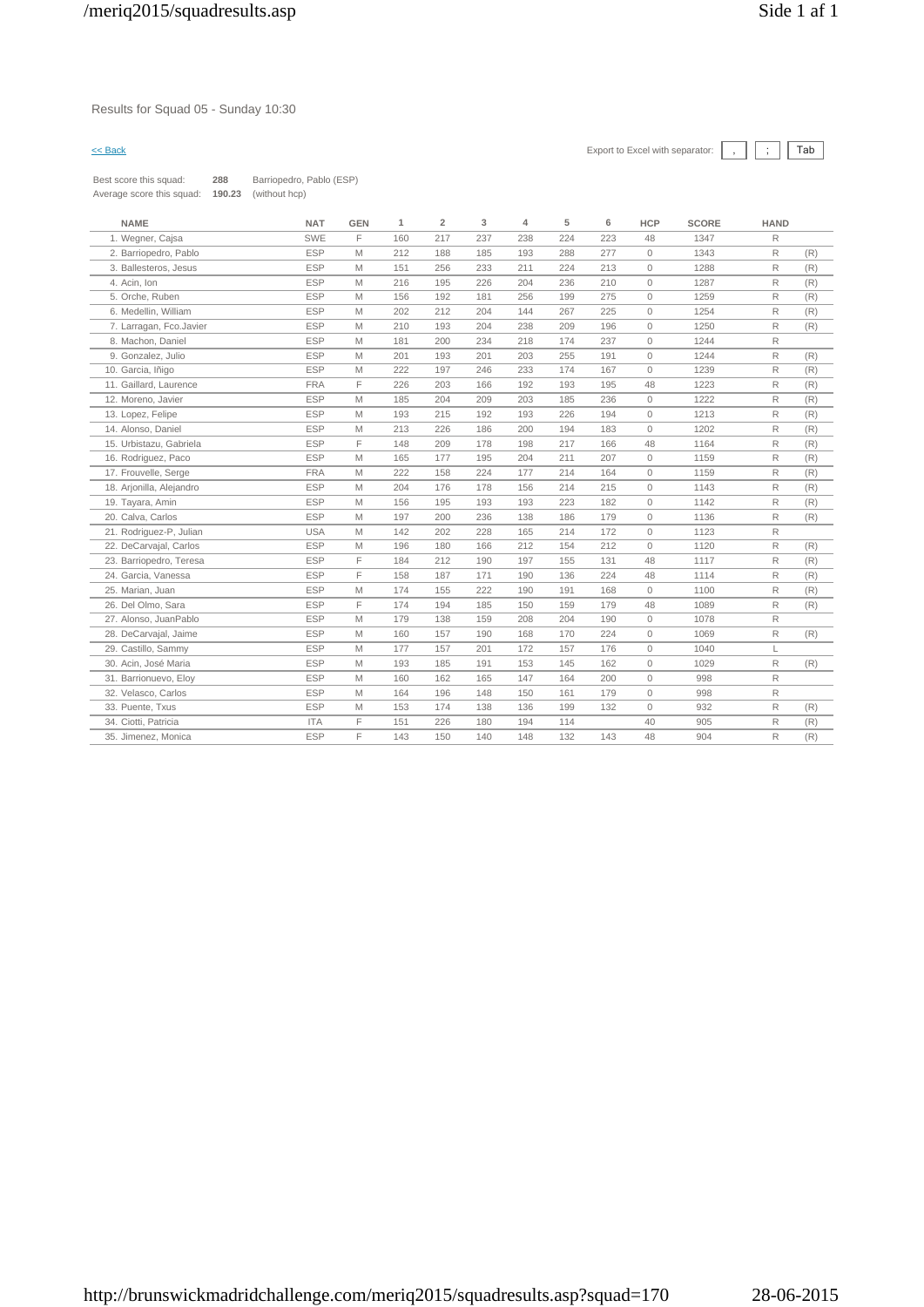### Results for Squad 05 - Sunday 10:30

| Best score this squad:    | 288    | Barriopedro, Pablo (ESP) |
|---------------------------|--------|--------------------------|
| Average score this squad: | 190.23 | (without hcp)            |

| <b>NAME</b>              | <b>NAT</b> | <b>GEN</b> | 1   | $\overline{2}$ | 3   | 4   | 5   | 6   | <b>HCP</b>   | <b>SCORE</b> | <b>HAND</b>  |     |
|--------------------------|------------|------------|-----|----------------|-----|-----|-----|-----|--------------|--------------|--------------|-----|
| 1. Wegner, Cajsa         | <b>SWE</b> | F.         | 160 | 217            | 237 | 238 | 224 | 223 | 48           | 1347         | R            |     |
| 2. Barriopedro, Pablo    | <b>ESP</b> | M          | 212 | 188            | 185 | 193 | 288 | 277 | $\circ$      | 1343         | $\mathsf{R}$ | (R) |
| 3. Ballesteros, Jesus    | <b>ESP</b> | M          | 151 | 256            | 233 | 211 | 224 | 213 | $\circ$      | 1288         | $\mathsf{R}$ | (R) |
| 4. Acin. Ion             | <b>ESP</b> | M          | 216 | 195            | 226 | 204 | 236 | 210 | $\circ$      | 1287         | R            | (R) |
| 5. Orche, Ruben          | <b>ESP</b> | M          | 156 | 192            | 181 | 256 | 199 | 275 | $\circ$      | 1259         | R            | (R) |
| 6. Medellin, William     | <b>ESP</b> | M          | 202 | 212            | 204 | 144 | 267 | 225 | $\circ$      | 1254         | R            | (R) |
| 7. Larragan, Fco.Javier  | <b>ESP</b> | M          | 210 | 193            | 204 | 238 | 209 | 196 | $\circ$      | 1250         | R            | (R) |
| 8. Machon, Daniel        | <b>ESP</b> | M          | 181 | 200            | 234 | 218 | 174 | 237 | $\circ$      | 1244         | R            |     |
| 9. Gonzalez, Julio       | <b>ESP</b> | M          | 201 | 193            | 201 | 203 | 255 | 191 | $\mathbf{0}$ | 1244         | R            | (R) |
| 10. Garcia, Iñigo        | <b>ESP</b> | M          | 222 | 197            | 246 | 233 | 174 | 167 | $\mathbf{0}$ | 1239         | R            | (R) |
| 11. Gaillard, Laurence   | <b>FRA</b> | F.         | 226 | 203            | 166 | 192 | 193 | 195 | 48           | 1223         | R            | (R) |
| 12. Moreno, Javier       | <b>ESP</b> | M          | 185 | 204            | 209 | 203 | 185 | 236 | $\mathbf{0}$ | 1222         | R            | (R) |
| 13. Lopez, Felipe        | <b>ESP</b> | M          | 193 | 215            | 192 | 193 | 226 | 194 | $\circ$      | 1213         | R            | (R) |
| 14. Alonso, Daniel       | <b>ESP</b> | M          | 213 | 226            | 186 | 200 | 194 | 183 | $\mathbf{0}$ | 1202         | R            | (R) |
| 15. Urbistazu, Gabriela  | <b>ESP</b> | F.         | 148 | 209            | 178 | 198 | 217 | 166 | 48           | 1164         | R            | (R) |
| 16. Rodriguez, Paco      | <b>ESP</b> | M          | 165 | 177            | 195 | 204 | 211 | 207 | $\circ$      | 1159         | R            | (R) |
| 17. Frouvelle, Serge     | <b>FRA</b> | M          | 222 | 158            | 224 | 177 | 214 | 164 | $\circ$      | 1159         | R            | (R) |
| 18. Arjonilla, Alejandro | <b>ESP</b> | M          | 204 | 176            | 178 | 156 | 214 | 215 | $\circ$      | 1143         | R            | (R) |
| 19. Tayara, Amin         | <b>ESP</b> | M          | 156 | 195            | 193 | 193 | 223 | 182 | $\circ$      | 1142         | R            | (R) |
| 20. Calva, Carlos        | <b>ESP</b> | M          | 197 | 200            | 236 | 138 | 186 | 179 | $\circ$      | 1136         | R            | (R) |
| 21. Rodriguez-P, Julian  | <b>USA</b> | M          | 142 | 202            | 228 | 165 | 214 | 172 | $\mathbb O$  | 1123         | R            |     |
| 22. DeCarvajal, Carlos   | <b>ESP</b> | M          | 196 | 180            | 166 | 212 | 154 | 212 | $\mathbf{0}$ | 1120         | R            | (R) |
| 23. Barriopedro, Teresa  | <b>ESP</b> | F          | 184 | 212            | 190 | 197 | 155 | 131 | 48           | 1117         | R            | (R) |
| 24. Garcia, Vanessa      | <b>ESP</b> | F          | 158 | 187            | 171 | 190 | 136 | 224 | 48           | 1114         | R            | (R) |
| 25. Marian, Juan         | <b>ESP</b> | M          | 174 | 155            | 222 | 190 | 191 | 168 | $\mathbf{0}$ | 1100         | R            | (R) |
| 26. Del Olmo, Sara       | <b>ESP</b> | F.         | 174 | 194            | 185 | 150 | 159 | 179 | 48           | 1089         | R            | (R) |
| 27. Alonso, JuanPablo    | <b>ESP</b> | M          | 179 | 138            | 159 | 208 | 204 | 190 | $\circ$      | 1078         | R            |     |
| 28. DeCarvajal, Jaime    | <b>ESP</b> | M          | 160 | 157            | 190 | 168 | 170 | 224 | $\mathbf{0}$ | 1069         | R            | (R) |
| 29. Castillo, Sammy      | <b>ESP</b> | M          | 177 | 157            | 201 | 172 | 157 | 176 | $\circ$      | 1040         | L            |     |
| 30. Acin, José Maria     | <b>ESP</b> | M          | 193 | 185            | 191 | 153 | 145 | 162 | $\circ$      | 1029         | R            | (R) |
| 31. Barrionuevo, Eloy    | <b>ESP</b> | M          | 160 | 162            | 165 | 147 | 164 | 200 | $\circ$      | 998          | R            |     |
| 32. Velasco, Carlos      | <b>ESP</b> | M          | 164 | 196            | 148 | 150 | 161 | 179 | $\circ$      | 998          | R            |     |
| 33. Puente, Txus         | <b>ESP</b> | M          | 153 | 174            | 138 | 136 | 199 | 132 | $\circ$      | 932          | R            | (R) |
| 34. Ciotti, Patricia     | <b>ITA</b> | F.         | 151 | 226            | 180 | 194 | 114 |     | 40           | 905          | R            | (R) |
| 35. Jimenez, Monica      | <b>ESP</b> | F          | 143 | 150            | 140 | 148 | 132 | 143 | 48           | 904          | R            | (R) |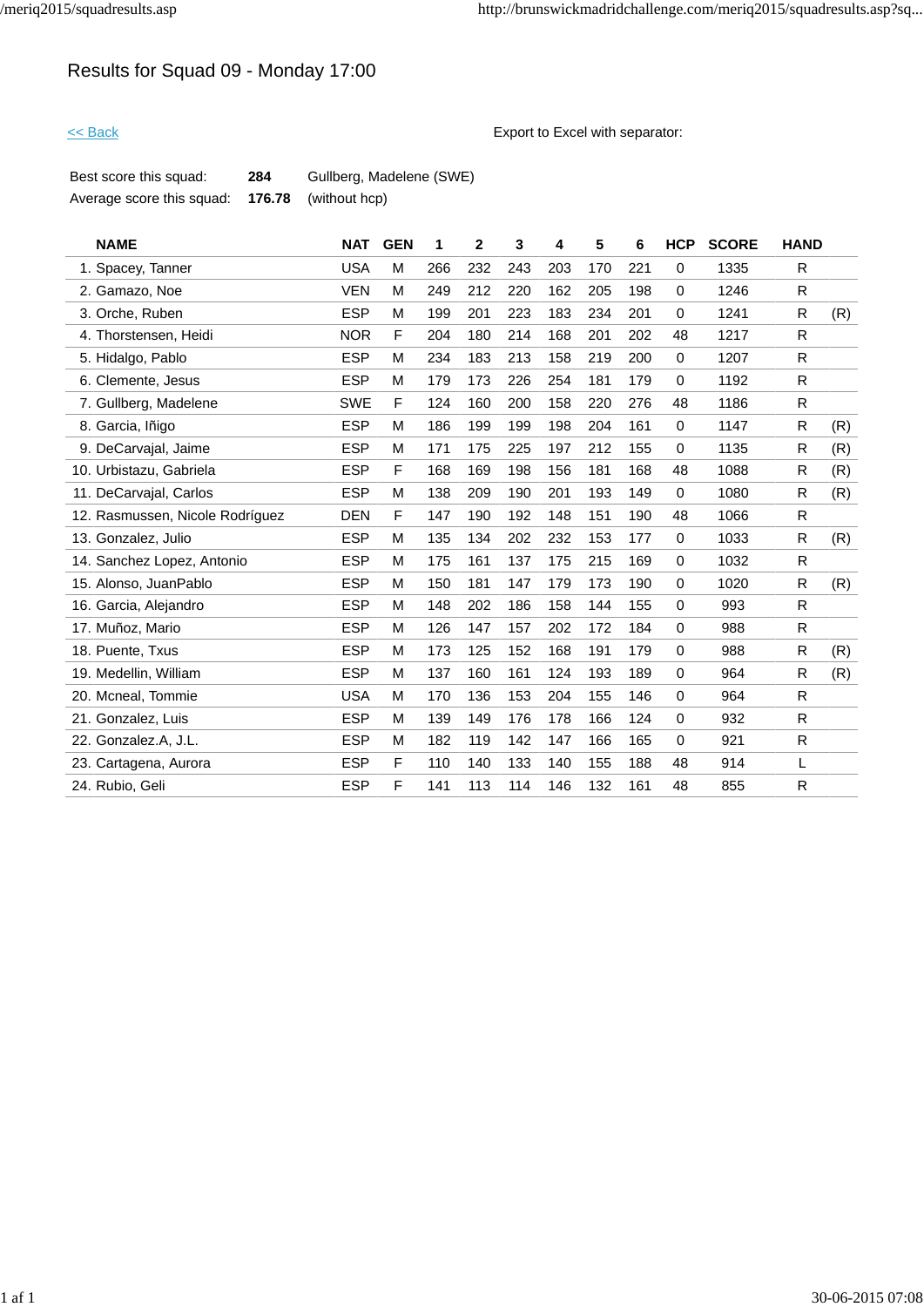# Results for Squad 09 - Monday 17:00

<< Back Export to Excel with separator:

| Best score this squad:    | 284    | Gullberg, Madelene (SWE) |
|---------------------------|--------|--------------------------|
| Average score this squad: | 176.78 | (without hcp)            |

| <b>NAME</b>                     | <b>NAT</b> | <b>GEN</b> | 1   | $\overline{2}$ | 3   | 4   | 5   | 6   | <b>HCP</b>  | <b>SCORE</b> | <b>HAND</b>  |     |
|---------------------------------|------------|------------|-----|----------------|-----|-----|-----|-----|-------------|--------------|--------------|-----|
| 1. Spacey, Tanner               | <b>USA</b> | М          | 266 | 232            | 243 | 203 | 170 | 221 | $\mathbf 0$ | 1335         | R            |     |
| 2. Gamazo, Noe                  | <b>VEN</b> | M          | 249 | 212            | 220 | 162 | 205 | 198 | $\mathbf 0$ | 1246         | R            |     |
| 3. Orche, Ruben                 | <b>ESP</b> | M          | 199 | 201            | 223 | 183 | 234 | 201 | $\mathbf 0$ | 1241         | R            | (R) |
| 4. Thorstensen, Heidi           | <b>NOR</b> | F          | 204 | 180            | 214 | 168 | 201 | 202 | 48          | 1217         | R            |     |
| 5. Hidalgo, Pablo               | <b>ESP</b> | M          | 234 | 183            | 213 | 158 | 219 | 200 | $\mathbf 0$ | 1207         | R            |     |
| 6. Clemente, Jesus              | <b>ESP</b> | М          | 179 | 173            | 226 | 254 | 181 | 179 | $\mathbf 0$ | 1192         | R            |     |
| 7. Gullberg, Madelene           | <b>SWE</b> | F          | 124 | 160            | 200 | 158 | 220 | 276 | 48          | 1186         | R            |     |
| 8. Garcia, Iñigo                | <b>ESP</b> | M          | 186 | 199            | 199 | 198 | 204 | 161 | $\mathbf 0$ | 1147         | R            | (R) |
| 9. DeCarvajal, Jaime            | <b>ESP</b> | M          | 171 | 175            | 225 | 197 | 212 | 155 | $\mathbf 0$ | 1135         | R            | (R) |
| 10. Urbistazu, Gabriela         | <b>ESP</b> | F          | 168 | 169            | 198 | 156 | 181 | 168 | 48          | 1088         | R.           | (R) |
| 11. DeCarvajal, Carlos          | <b>ESP</b> | M          | 138 | 209            | 190 | 201 | 193 | 149 | $\mathbf 0$ | 1080         | R.           | (R) |
| 12. Rasmussen, Nicole Rodríguez | <b>DEN</b> | F          | 147 | 190            | 192 | 148 | 151 | 190 | 48          | 1066         | R.           |     |
| 13. Gonzalez, Julio             | <b>ESP</b> | М          | 135 | 134            | 202 | 232 | 153 | 177 | $\mathbf 0$ | 1033         | R            | (R) |
| 14. Sanchez Lopez, Antonio      | <b>ESP</b> | м          | 175 | 161            | 137 | 175 | 215 | 169 | 0           | 1032         | R.           |     |
| 15. Alonso, JuanPablo           | <b>ESP</b> | М          | 150 | 181            | 147 | 179 | 173 | 190 | $\mathbf 0$ | 1020         | R            | (R) |
| 16. Garcia, Alejandro           | <b>ESP</b> | M          | 148 | 202            | 186 | 158 | 144 | 155 | 0           | 993          | R.           |     |
| 17. Muñoz, Mario                | <b>ESP</b> | M          | 126 | 147            | 157 | 202 | 172 | 184 | $\mathbf 0$ | 988          | R            |     |
| 18. Puente, Txus                | <b>ESP</b> | M          | 173 | 125            | 152 | 168 | 191 | 179 | 0           | 988          | R            | (R) |
| 19. Medellin, William           | <b>ESP</b> | M          | 137 | 160            | 161 | 124 | 193 | 189 | $\mathbf 0$ | 964          | R            | (R) |
| 20. Mcneal, Tommie              | <b>USA</b> | М          | 170 | 136            | 153 | 204 | 155 | 146 | 0           | 964          | R.           |     |
| 21. Gonzalez, Luis              | <b>ESP</b> | M          | 139 | 149            | 176 | 178 | 166 | 124 | $\mathbf 0$ | 932          | R            |     |
| 22. Gonzalez.A, J.L.            | <b>ESP</b> | M          | 182 | 119            | 142 | 147 | 166 | 165 | $\mathbf 0$ | 921          | R.           |     |
| 23. Cartagena, Aurora           | <b>ESP</b> | F          | 110 | 140            | 133 | 140 | 155 | 188 | 48          | 914          | L            |     |
| 24. Rubio, Geli                 | <b>ESP</b> | F          | 141 | 113            | 114 | 146 | 132 | 161 | 48          | 855          | $\mathsf{R}$ |     |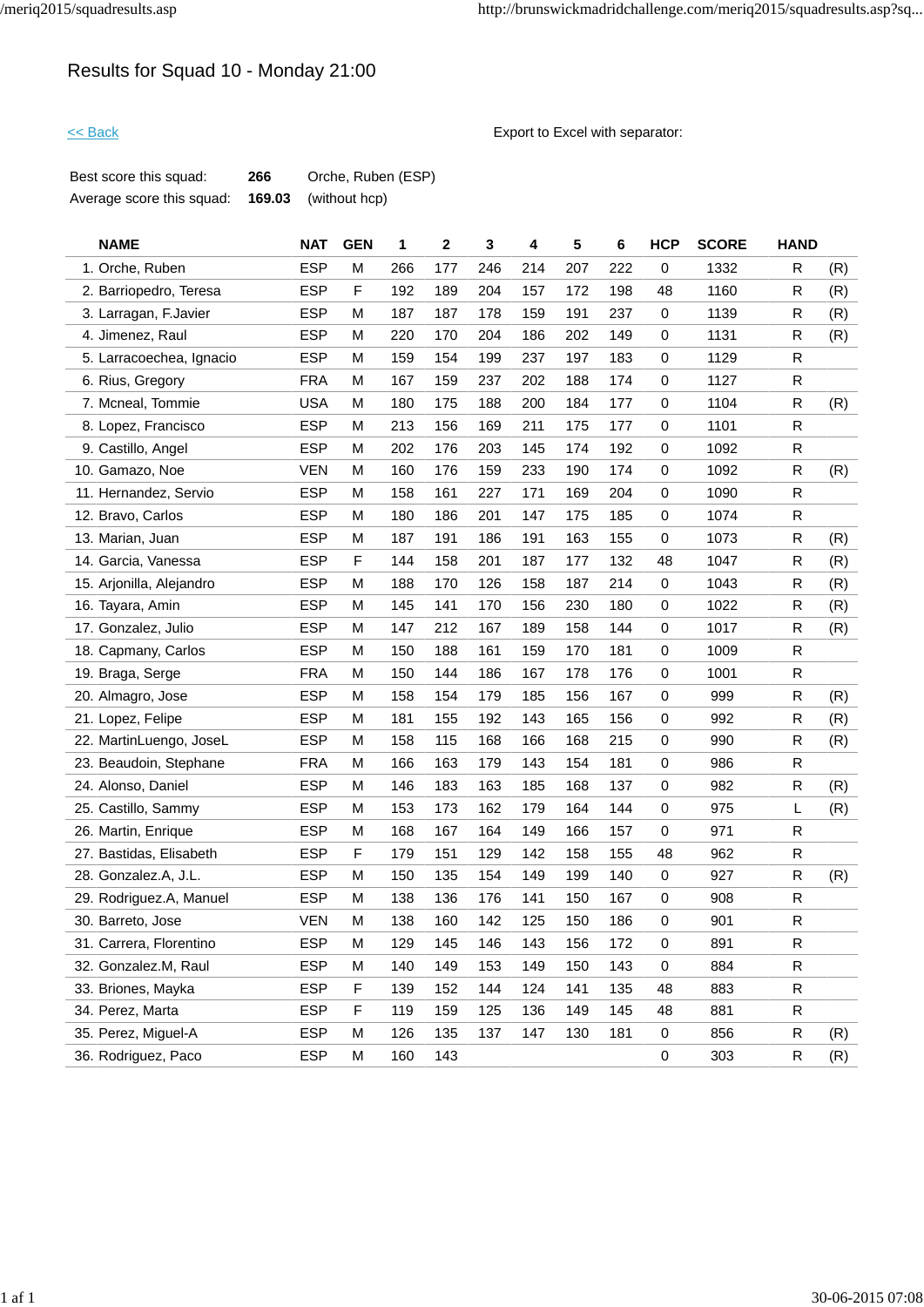# Results for Squad 10 - Monday 21:00

<< Back Export to Excel with separator:

| Best score this squad:    | 266 | Orche, Ruben (ESP)          |
|---------------------------|-----|-----------------------------|
| Average score this squad: |     | <b>169.03</b> (without hcp) |

| <b>NAME</b>              | <b>NAT</b> | <b>GEN</b> | 1   | $\mathbf 2$ | 3   | 4   | 5   | 6   | <b>HCP</b>  | <b>SCORE</b> | <b>HAND</b>  |     |
|--------------------------|------------|------------|-----|-------------|-----|-----|-----|-----|-------------|--------------|--------------|-----|
| 1. Orche, Ruben          | <b>ESP</b> | M          | 266 | 177         | 246 | 214 | 207 | 222 | 0           | 1332         | R            | (R) |
| 2. Barriopedro, Teresa   | <b>ESP</b> | F          | 192 | 189         | 204 | 157 | 172 | 198 | 48          | 1160         | R            | (R) |
| 3. Larragan, F.Javier    | <b>ESP</b> | M          | 187 | 187         | 178 | 159 | 191 | 237 | 0           | 1139         | R            | (R) |
| 4. Jimenez, Raul         | <b>ESP</b> | M          | 220 | 170         | 204 | 186 | 202 | 149 | 0           | 1131         | R            | (R) |
| 5. Larracoechea, Ignacio | <b>ESP</b> | M          | 159 | 154         | 199 | 237 | 197 | 183 | $\mathbf 0$ | 1129         | $\mathsf{R}$ |     |
| 6. Rius, Gregory         | <b>FRA</b> | M          | 167 | 159         | 237 | 202 | 188 | 174 | 0           | 1127         | R            |     |
| 7. Mcneal, Tommie        | <b>USA</b> | M          | 180 | 175         | 188 | 200 | 184 | 177 | 0           | 1104         | R            | (R) |
| 8. Lopez, Francisco      | <b>ESP</b> | M          | 213 | 156         | 169 | 211 | 175 | 177 | 0           | 1101         | R            |     |
| 9. Castillo, Angel       | <b>ESP</b> | M          | 202 | 176         | 203 | 145 | 174 | 192 | 0           | 1092         | R            |     |
| 10. Gamazo, Noe          | <b>VEN</b> | M          | 160 | 176         | 159 | 233 | 190 | 174 | $\mathbf 0$ | 1092         | $\mathsf{R}$ | (R) |
| 11. Hernandez, Servio    | <b>ESP</b> | M          | 158 | 161         | 227 | 171 | 169 | 204 | 0           | 1090         | R            |     |
| 12. Bravo, Carlos        | <b>ESP</b> | M          | 180 | 186         | 201 | 147 | 175 | 185 | 0           | 1074         | $\mathsf{R}$ |     |
| 13. Marian, Juan         | <b>ESP</b> | M          | 187 | 191         | 186 | 191 | 163 | 155 | 0           | 1073         | R            | (R) |
| 14. Garcia, Vanessa      | <b>ESP</b> | F          | 144 | 158         | 201 | 187 | 177 | 132 | 48          | 1047         | R            | (R) |
| 15. Arjonilla, Alejandro | <b>ESP</b> | M          | 188 | 170         | 126 | 158 | 187 | 214 | 0           | 1043         | R            | (R) |
| 16. Tayara, Amin         | <b>ESP</b> | M          | 145 | 141         | 170 | 156 | 230 | 180 | 0           | 1022         | R            | (R) |
| 17. Gonzalez, Julio      | <b>ESP</b> | M          | 147 | 212         | 167 | 189 | 158 | 144 | 0           | 1017         | R            | (R) |
| 18. Capmany, Carlos      | <b>ESP</b> | M          | 150 | 188         | 161 | 159 | 170 | 181 | 0           | 1009         | R            |     |
| 19. Braga, Serge         | <b>FRA</b> | M          | 150 | 144         | 186 | 167 | 178 | 176 | 0           | 1001         | $\mathsf{R}$ |     |
| 20. Almagro, Jose        | <b>ESP</b> | M          | 158 | 154         | 179 | 185 | 156 | 167 | $\mathbf 0$ | 999          | R            | (R) |
| 21. Lopez, Felipe        | <b>ESP</b> | M          | 181 | 155         | 192 | 143 | 165 | 156 | 0           | 992          | R            | (R) |
| 22. MartinLuengo, JoseL  | <b>ESP</b> | М          | 158 | 115         | 168 | 166 | 168 | 215 | $\mathbf 0$ | 990          | R            | (R) |
| 23. Beaudoin, Stephane   | <b>FRA</b> | M          | 166 | 163         | 179 | 143 | 154 | 181 | $\mathbf 0$ | 986          | R            |     |
| 24. Alonso, Daniel       | <b>ESP</b> | M          | 146 | 183         | 163 | 185 | 168 | 137 | $\mathbf 0$ | 982          | $\mathsf{R}$ | (R) |
| 25. Castillo, Sammy      | <b>ESP</b> | M          | 153 | 173         | 162 | 179 | 164 | 144 | $\mathbf 0$ | 975          | L            | (R) |
| 26. Martin, Enrique      | <b>ESP</b> | M          | 168 | 167         | 164 | 149 | 166 | 157 | 0           | 971          | R            |     |
| 27. Bastidas, Elisabeth  | <b>ESP</b> | F          | 179 | 151         | 129 | 142 | 158 | 155 | 48          | 962          | $\mathsf{R}$ |     |
| 28. Gonzalez.A, J.L.     | <b>ESP</b> | M          | 150 | 135         | 154 | 149 | 199 | 140 | $\mathbf 0$ | 927          | $\mathsf{R}$ | (R) |
| 29. Rodriguez.A, Manuel  | <b>ESP</b> | M          | 138 | 136         | 176 | 141 | 150 | 167 | $\mathbf 0$ | 908          | $\mathsf{R}$ |     |
| 30. Barreto, Jose        | <b>VEN</b> | M          | 138 | 160         | 142 | 125 | 150 | 186 | 0           | 901          | R            |     |
| 31. Carrera, Florentino  | <b>ESP</b> | M          | 129 | 145         | 146 | 143 | 156 | 172 | 0           | 891          | $\mathsf{R}$ |     |
| 32. Gonzalez.M, Raul     | <b>ESP</b> | M          | 140 | 149         | 153 | 149 | 150 | 143 | 0           | 884          | $\mathsf{R}$ |     |
| 33. Briones, Mayka       | <b>ESP</b> | F          | 139 | 152         | 144 | 124 | 141 | 135 | 48          | 883          | $\mathsf{R}$ |     |
| 34. Perez, Marta         | <b>ESP</b> | F          | 119 | 159         | 125 | 136 | 149 | 145 | 48          | 881          | $\mathsf{R}$ |     |
| 35. Perez, Miguel-A      | <b>ESP</b> | M          | 126 | 135         | 137 | 147 | 130 | 181 | 0           | 856          | R            | (R) |
| 36. Rodriguez, Paco      | <b>ESP</b> | M          | 160 | 143         |     |     |     |     | 0           | 303          | $\mathsf R$  | (R) |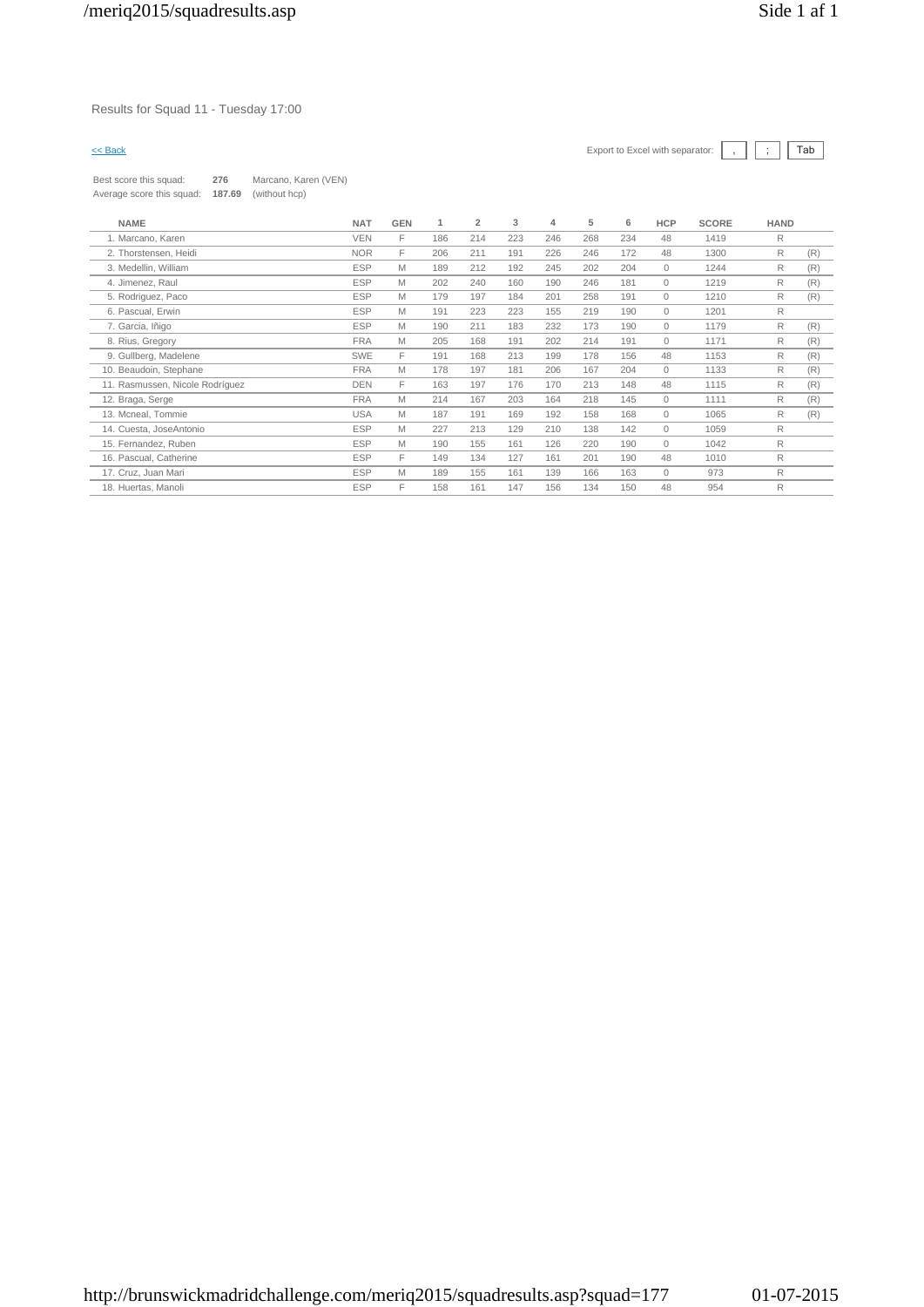### Results for Squad 11 - Tuesday 17:00

Best score this squad: **276** Marcano, Karen (VEN) Average score this squad: **187.69** (without hcp)

| <b>NAME</b>                     | <b>NAT</b> | <b>GEN</b> |     | $\overline{2}$ | 3   | 4   | 5   | 6   | <b>HCP</b>   | <b>SCORE</b> | <b>HAND</b> |     |
|---------------------------------|------------|------------|-----|----------------|-----|-----|-----|-----|--------------|--------------|-------------|-----|
| 1. Marcano, Karen               | <b>VEN</b> | F          | 186 | 214            | 223 | 246 | 268 | 234 | 48           | 1419         | R           |     |
| 2. Thorstensen, Heidi           | <b>NOR</b> | F          | 206 | 211            | 191 | 226 | 246 | 172 | 48           | 1300         | R           | (R) |
| 3. Medellin, William            | <b>ESP</b> | M          | 189 | 212            | 192 | 245 | 202 | 204 | $\circ$      | 1244         | R           | (R) |
| 4. Jimenez, Raul                | <b>ESP</b> | M          | 202 | 240            | 160 | 190 | 246 | 181 | $\mathbf{0}$ | 1219         | R           | (R) |
| 5. Rodriguez, Paco              | <b>ESP</b> | M          | 179 | 197            | 184 | 201 | 258 | 191 | 0            | 1210         | R           | (R) |
| 6. Pascual, Erwin               | <b>ESP</b> | M          | 191 | 223            | 223 | 155 | 219 | 190 | $\circ$      | 1201         | R           |     |
| 7. Garcia, Iñigo                | <b>ESP</b> | M          | 190 | 211            | 183 | 232 | 173 | 190 | $\circ$      | 1179         | R           | (R) |
| 8. Rius, Gregory                | <b>FRA</b> | M          | 205 | 168            | 191 | 202 | 214 | 191 | $\circ$      | 1171         | R           | (R) |
| 9. Gullberg, Madelene           | <b>SWE</b> | F          | 191 | 168            | 213 | 199 | 178 | 156 | 48           | 1153         | R           | (R) |
| 10. Beaudoin, Stephane          | <b>FRA</b> | M          | 178 | 197            | 181 | 206 | 167 | 204 | $\circ$      | 1133         | R           | (R) |
| 11. Rasmussen, Nicole Rodríguez | <b>DEN</b> | F          | 163 | 197            | 176 | 170 | 213 | 148 | 48           | 1115         | R           | (R) |
| 12. Braga, Serge                | <b>FRA</b> | M          | 214 | 167            | 203 | 164 | 218 | 145 | $\circ$      | 1111         | R           | (R) |
| 13. Mcneal, Tommie              | <b>USA</b> | M          | 187 | 191            | 169 | 192 | 158 | 168 | 0            | 1065         | R           | (R) |
| 14. Cuesta, JoseAntonio         | <b>ESP</b> | M          | 227 | 213            | 129 | 210 | 138 | 142 | $\circ$      | 1059         | R           |     |
| 15. Fernandez, Ruben            | <b>ESP</b> | M          | 190 | 155            | 161 | 126 | 220 | 190 | $\circ$      | 1042         | R           |     |
| 16. Pascual, Catherine          | <b>ESP</b> | F          | 149 | 134            | 127 | 161 | 201 | 190 | 48           | 1010         | R           |     |
| 17. Cruz, Juan Mari             | <b>ESP</b> | M          | 189 | 155            | 161 | 139 | 166 | 163 | $\circ$      | 973          | R           |     |
| 18. Huertas, Manoli             | <b>ESP</b> | F          | 158 | 161            | 147 | 156 | 134 | 150 | 48           | 954          | R           |     |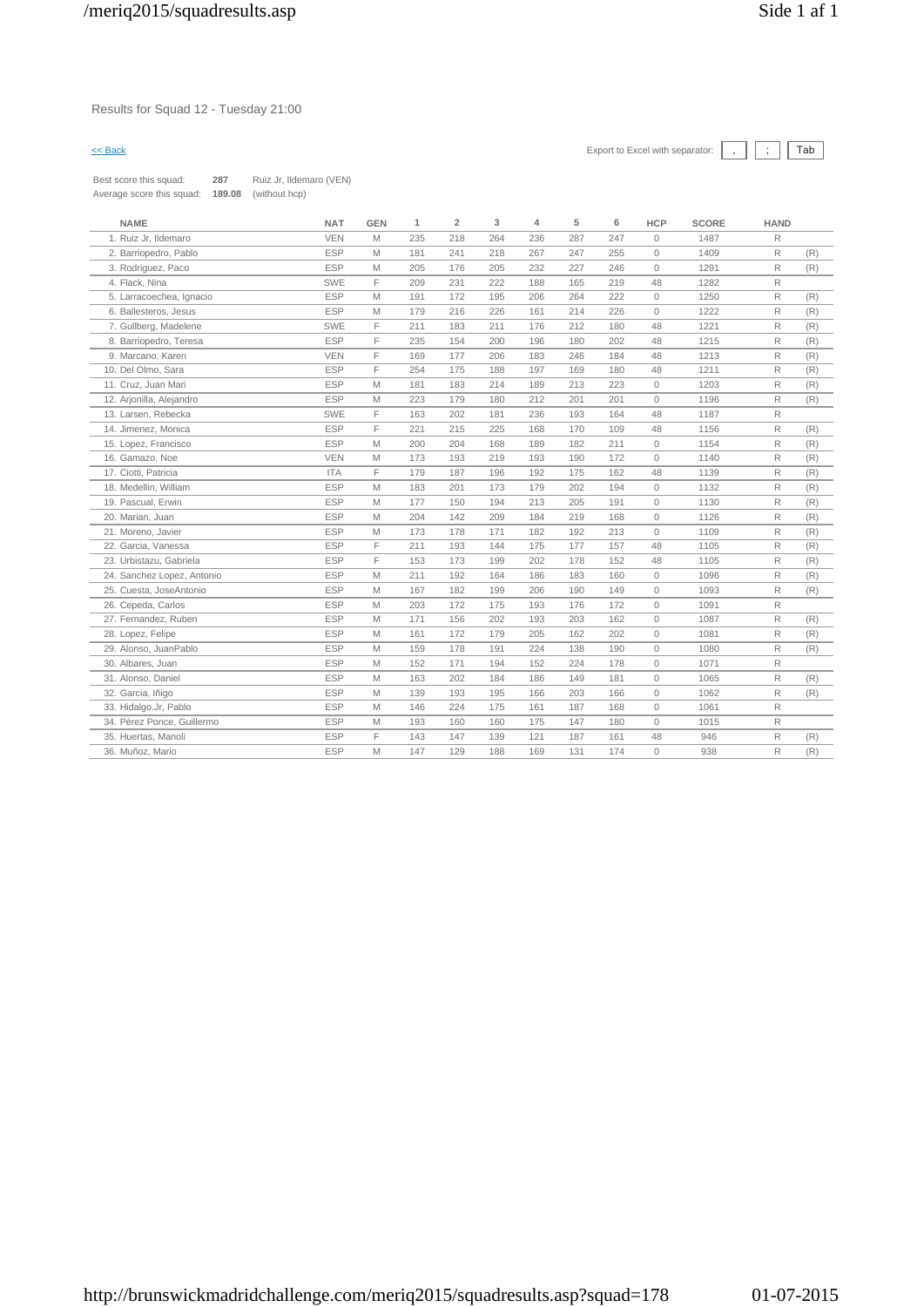### Results for Squad 12 - Tuesday 21:00

| Best score this squad:    | 287    | Ruiz Jr, Ildemaro (VEN) |
|---------------------------|--------|-------------------------|
| Average score this squad: | 189.08 | (without hcp)           |

| <b>NAME</b>                | <b>NAT</b> | <b>GEN</b> | $\mathbf{1}$ | $\overline{2}$ | 3   | 4   | 5   | 6   | <b>HCP</b>   | <b>SCORE</b> | <b>HAND</b>  |     |
|----------------------------|------------|------------|--------------|----------------|-----|-----|-----|-----|--------------|--------------|--------------|-----|
| 1. Ruiz Jr, Ildemaro       | <b>VEN</b> | M          | 235          | 218            | 264 | 236 | 287 | 247 | $\mathbf{0}$ | 1487         | R            |     |
| 2. Barriopedro, Pablo      | <b>ESP</b> | M          | 181          | 241            | 218 | 267 | 247 | 255 | $\mathbf{0}$ | 1409         | R            | (R) |
| 3. Rodriguez, Paco         | <b>ESP</b> | M          | 205          | 176            | 205 | 232 | 227 | 246 | $\mathbf{0}$ | 1291         | R            | (R) |
| 4. Flack, Nina             | <b>SWE</b> | F          | 209          | 231            | 222 | 188 | 165 | 219 | 48           | 1282         | R            |     |
| 5. Larracoechea, Ignacio   | <b>ESP</b> | M          | 191          | 172            | 195 | 206 | 264 | 222 | $\mathbf{0}$ | 1250         | R            | (R) |
| 6. Ballesteros, Jesus      | <b>ESP</b> | M          | 179          | 216            | 226 | 161 | 214 | 226 | $\Omega$     | 1222         | R            | (R) |
| 7. Gullberg, Madelene      | <b>SWE</b> | F          | 211          | 183            | 211 | 176 | 212 | 180 | 48           | 1221         | R            | (R) |
| 8. Barriopedro, Teresa     | <b>ESP</b> | F.         | 235          | 154            | 200 | 196 | 180 | 202 | 48           | 1215         | R            | (R) |
| 9. Marcano, Karen          | <b>VEN</b> | F          | 169          | 177            | 206 | 183 | 246 | 184 | 48           | 1213         | R            | (R) |
| 10. Del Olmo, Sara         | <b>ESP</b> | F.         | 254          | 175            | 188 | 197 | 169 | 180 | 48           | 1211         | R            | (R) |
| 11. Cruz, Juan Mari        | <b>ESP</b> | M          | 181          | 183            | 214 | 189 | 213 | 223 | $\mathbf{0}$ | 1203         | R            | (R) |
| 12. Arjonilla, Alejandro   | <b>ESP</b> | M          | 223          | 179            | 180 | 212 | 201 | 201 | $\mathbf{0}$ | 1196         | R            | (R) |
| 13. Larsen, Rebecka        | <b>SWE</b> | F.         | 163          | 202            | 181 | 236 | 193 | 164 | 48           | 1187         | R            |     |
| 14. Jimenez, Monica        | <b>ESP</b> | F.         | 221          | 215            | 225 | 168 | 170 | 109 | 48           | 1156         | R            | (R) |
| 15. Lopez, Francisco       | <b>ESP</b> | M          | 200          | 204            | 168 | 189 | 182 | 211 | $\mathbf{0}$ | 1154         | R            | (R) |
| 16. Gamazo, Noe            | <b>VEN</b> | M          | 173          | 193            | 219 | 193 | 190 | 172 | $\mathbf{0}$ | 1140         | R            | (R) |
| 17. Ciotti, Patricia       | <b>ITA</b> | F.         | 179          | 187            | 196 | 192 | 175 | 162 | 48           | 1139         | R            | (R) |
| 18. Medellin, William      | <b>ESP</b> | M          | 183          | 201            | 173 | 179 | 202 | 194 | $\mathbf{0}$ | 1132         | R            | (R) |
| 19. Pascual, Erwin         | <b>ESP</b> | M          | 177          | 150            | 194 | 213 | 205 | 191 | $\mathbf{0}$ | 1130         | R            | (R) |
| 20. Marian, Juan           | <b>ESP</b> | M          | 204          | 142            | 209 | 184 | 219 | 168 | $\mathbf{0}$ | 1126         | R            | (R) |
| 21. Moreno, Javier         | <b>ESP</b> | M          | 173          | 178            | 171 | 182 | 192 | 213 | $\mathbf{0}$ | 1109         | R            | (R) |
| 22. Garcia, Vanessa        | <b>ESP</b> | F          | 211          | 193            | 144 | 175 | 177 | 157 | 48           | 1105         | R            | (R) |
| 23. Urbistazu, Gabriela    | <b>ESP</b> | F.         | 153          | 173            | 199 | 202 | 178 | 152 | 48           | 1105         | R            | (R) |
| 24. Sanchez Lopez, Antonio | <b>ESP</b> | M          | 211          | 192            | 164 | 186 | 183 | 160 | $\circ$      | 1096         | R            | (R) |
| 25. Cuesta, JoseAntonio    | <b>ESP</b> | M          | 167          | 182            | 199 | 206 | 190 | 149 | $\mathbf{0}$ | 1093         | R            | (R) |
| 26. Cepeda, Carlos         | <b>ESP</b> | M          | 203          | 172            | 175 | 193 | 176 | 172 | $\mathbf{0}$ | 1091         | R            |     |
| 27. Fernandez, Ruben       | <b>ESP</b> | M          | 171          | 156            | 202 | 193 | 203 | 162 | $\mathbf{0}$ | 1087         | R            | (R) |
| 28. Lopez, Felipe          | <b>ESP</b> | M          | 161          | 172            | 179 | 205 | 162 | 202 | $\mathbf{0}$ | 1081         | R            | (R) |
| 29. Alonso, JuanPablo      | <b>ESP</b> | M          | 159          | 178            | 191 | 224 | 138 | 190 | $\mathbf{0}$ | 1080         | R            | (R) |
| 30. Albares, Juan          | <b>ESP</b> | M          | 152          | 171            | 194 | 152 | 224 | 178 | $\mathbf{0}$ | 1071         | R            |     |
| 31. Alonso, Daniel         | <b>ESP</b> | M          | 163          | 202            | 184 | 186 | 149 | 181 | $\mathbf{0}$ | 1065         | R            | (R) |
| 32. Garcia, Iñigo          | <b>ESP</b> | M          | 139          | 193            | 195 | 166 | 203 | 166 | $\mathbf{0}$ | 1062         | R            | (R) |
| 33. Hidalgo.Jr, Pablo      | <b>ESP</b> | M          | 146          | 224            | 175 | 161 | 187 | 168 | $\mathbf{0}$ | 1061         | R            |     |
| 34. Pérez Ponce, Guillermo | <b>ESP</b> | M          | 193          | 160            | 160 | 175 | 147 | 180 | $\circ$      | 1015         | $\mathsf{R}$ |     |
| 35. Huertas, Manoli        | <b>ESP</b> | F          | 143          | 147            | 139 | 121 | 187 | 161 | 48           | 946          | $\mathsf{R}$ | (R) |
| 36. Muñoz, Mario           | <b>ESP</b> | M          | 147          | 129            | 188 | 169 | 131 | 174 | $\circ$      | 938          | R            | (R) |
|                            |            |            |              |                |     |     |     |     |              |              |              |     |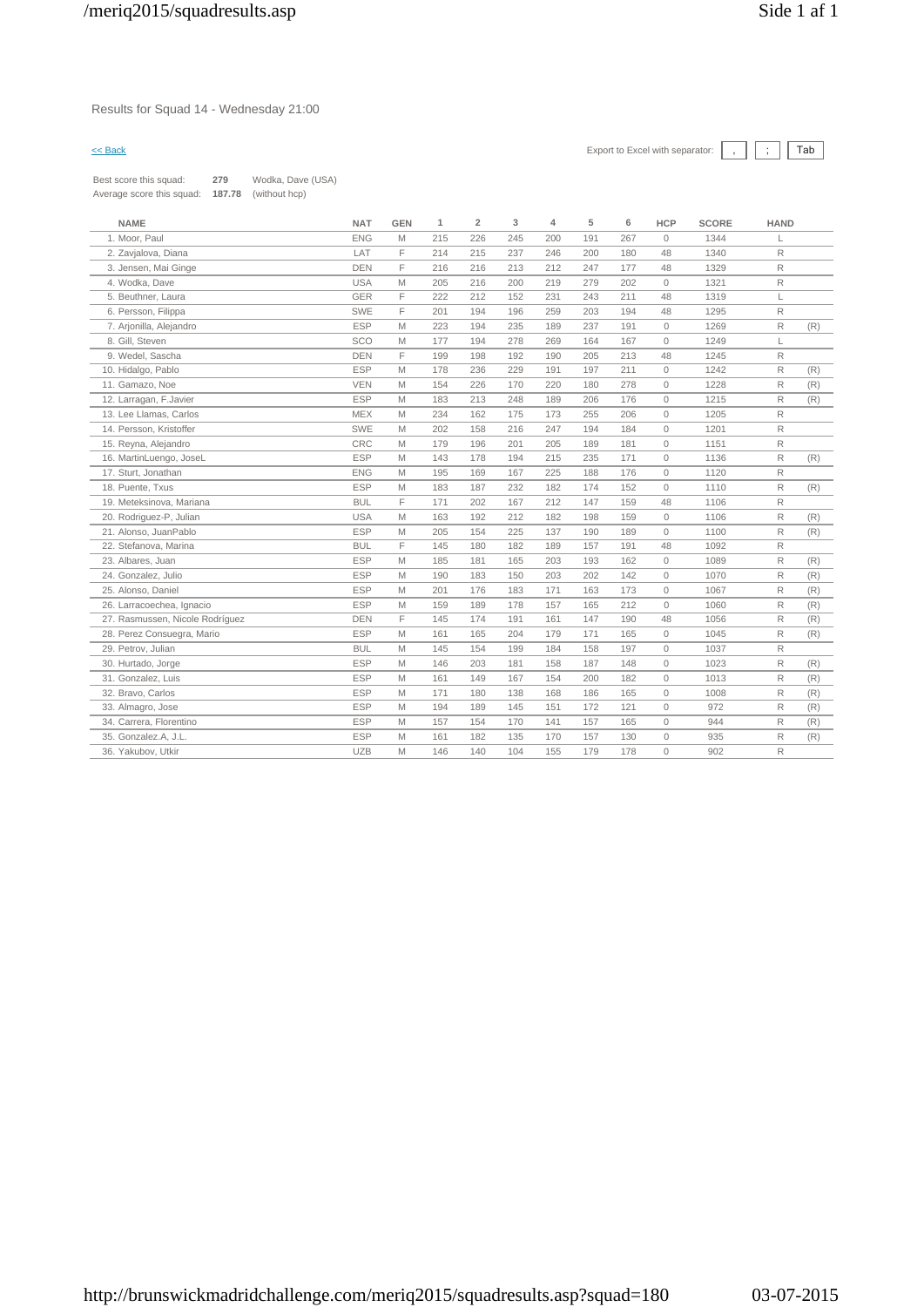### Results for Squad 14 - Wednesday 21:00

| Best score this squad:    | 279    | Wodka, Dave (USA) |
|---------------------------|--------|-------------------|
| Average score this squad: | 187.78 | (without hcp)     |

| <b>NAME</b>                     | <b>NAT</b> | <b>GEN</b> | 1   | $\overline{2}$ | 3   | 4   | 5   | 6   | <b>HCP</b>   | <b>SCORE</b> | <b>HAND</b> |     |
|---------------------------------|------------|------------|-----|----------------|-----|-----|-----|-----|--------------|--------------|-------------|-----|
| 1. Moor, Paul                   | <b>ENG</b> | M          | 215 | 226            | 245 | 200 | 191 | 267 | $\mathbf{0}$ | 1344         |             |     |
| 2. Zavjalova, Diana             | LAT        | F          | 214 | 215            | 237 | 246 | 200 | 180 | 48           | 1340         | R           |     |
| 3. Jensen, Mai Ginge            | <b>DEN</b> | E          | 216 | 216            | 213 | 212 | 247 | 177 | 48           | 1329         | R           |     |
| 4. Wodka, Dave                  | <b>USA</b> | M          | 205 | 216            | 200 | 219 | 279 | 202 | $\circ$      | 1321         | R           |     |
| 5. Beuthner, Laura              | <b>GER</b> | F          | 222 | 212            | 152 | 231 | 243 | 211 | 48           | 1319         | L           |     |
| 6. Persson, Filippa             | SWE        | F          | 201 | 194            | 196 | 259 | 203 | 194 | 48           | 1295         | R           |     |
| 7. Arjonilla, Alejandro         | <b>ESP</b> | M          | 223 | 194            | 235 | 189 | 237 | 191 | $\circ$      | 1269         | R           | (R) |
| 8. Gill, Steven                 | SCO        | M          | 177 | 194            | 278 | 269 | 164 | 167 | $\circ$      | 1249         | L           |     |
| 9. Wedel, Sascha                | <b>DEN</b> | F          | 199 | 198            | 192 | 190 | 205 | 213 | 48           | 1245         | R           |     |
| 10. Hidalgo, Pablo              | <b>ESP</b> | M          | 178 | 236            | 229 | 191 | 197 | 211 | $\circ$      | 1242         | R           | (R) |
| 11. Gamazo, Noe                 | <b>VEN</b> | M          | 154 | 226            | 170 | 220 | 180 | 278 | $\circ$      | 1228         | R           | (R) |
| 12. Larragan, F. Javier         | <b>ESP</b> | M          | 183 | 213            | 248 | 189 | 206 | 176 | $\circ$      | 1215         | R           | (R) |
| 13. Lee Llamas, Carlos          | <b>MEX</b> | M          | 234 | 162            | 175 | 173 | 255 | 206 | $\circ$      | 1205         | R           |     |
| 14. Persson, Kristoffer         | SWE        | M          | 202 | 158            | 216 | 247 | 194 | 184 | $\circ$      | 1201         | R           |     |
| 15. Reyna, Alejandro            | CRC        | M          | 179 | 196            | 201 | 205 | 189 | 181 | $\circ$      | 1151         | R           |     |
| 16. MartinLuengo, JoseL         | <b>ESP</b> | M          | 143 | 178            | 194 | 215 | 235 | 171 | $\circ$      | 1136         | R           | (R) |
| 17. Sturt, Jonathan             | <b>ENG</b> | M          | 195 | 169            | 167 | 225 | 188 | 176 | $\circ$      | 1120         | R           |     |
| 18. Puente, Txus                | <b>ESP</b> | M          | 183 | 187            | 232 | 182 | 174 | 152 | $\circ$      | 1110         | R           | (R) |
| 19. Meteksinova, Mariana        | <b>BUL</b> | F          | 171 | 202            | 167 | 212 | 147 | 159 | 48           | 1106         | R           |     |
| 20. Rodriguez-P, Julian         | <b>USA</b> | M          | 163 | 192            | 212 | 182 | 198 | 159 | $\circ$      | 1106         | R           | (R) |
| 21. Alonso, JuanPablo           | <b>ESP</b> | M          | 205 | 154            | 225 | 137 | 190 | 189 | $\circ$      | 1100         | R           | (R) |
| 22. Stefanova, Marina           | <b>BUL</b> | F          | 145 | 180            | 182 | 189 | 157 | 191 | 48           | 1092         | R           |     |
| 23. Albares, Juan               | <b>ESP</b> | M          | 185 | 181            | 165 | 203 | 193 | 162 | $\circ$      | 1089         | R           | (R) |
| 24. Gonzalez, Julio             | <b>ESP</b> | M          | 190 | 183            | 150 | 203 | 202 | 142 | $\circ$      | 1070         | R           | (R) |
| 25. Alonso, Daniel              | <b>ESP</b> | M          | 201 | 176            | 183 | 171 | 163 | 173 | $\circ$      | 1067         | R           | (R) |
| 26. Larracoechea, Ignacio       | <b>ESP</b> | M          | 159 | 189            | 178 | 157 | 165 | 212 | $\circ$      | 1060         | R           | (R) |
| 27. Rasmussen, Nicole Rodríguez | <b>DEN</b> | F          | 145 | 174            | 191 | 161 | 147 | 190 | 48           | 1056         | R           | (R) |
| 28. Perez Consuegra, Mario      | <b>ESP</b> | M          | 161 | 165            | 204 | 179 | 171 | 165 | $\circ$      | 1045         | R           | (R) |
| 29. Petrov, Julian              | <b>BUL</b> | M          | 145 | 154            | 199 | 184 | 158 | 197 | $\circ$      | 1037         | R           |     |
| 30. Hurtado, Jorge              | <b>ESP</b> | M          | 146 | 203            | 181 | 158 | 187 | 148 | $\circ$      | 1023         | R           | (R) |
| 31. Gonzalez, Luis              | <b>ESP</b> | M          | 161 | 149            | 167 | 154 | 200 | 182 | $\circ$      | 1013         | R           | (R) |
| 32. Bravo, Carlos               | <b>ESP</b> | M          | 171 | 180            | 138 | 168 | 186 | 165 | $\mathbf{0}$ | 1008         | R           | (R) |
| 33. Almagro, Jose               | <b>ESP</b> | M          | 194 | 189            | 145 | 151 | 172 | 121 | $\mathbf{0}$ | 972          | R           | (R) |
| 34. Carrera, Florentino         | <b>ESP</b> | M          | 157 | 154            | 170 | 141 | 157 | 165 | $\circ$      | 944          | R           | (R) |
| 35. Gonzalez.A, J.L.            | <b>ESP</b> | M          | 161 | 182            | 135 | 170 | 157 | 130 | $\circ$      | 935          | R           | (R) |
| 36. Yakubov, Utkir              | <b>UZB</b> | M          | 146 | 140            | 104 | 155 | 179 | 178 | $\Omega$     | 902          | R           |     |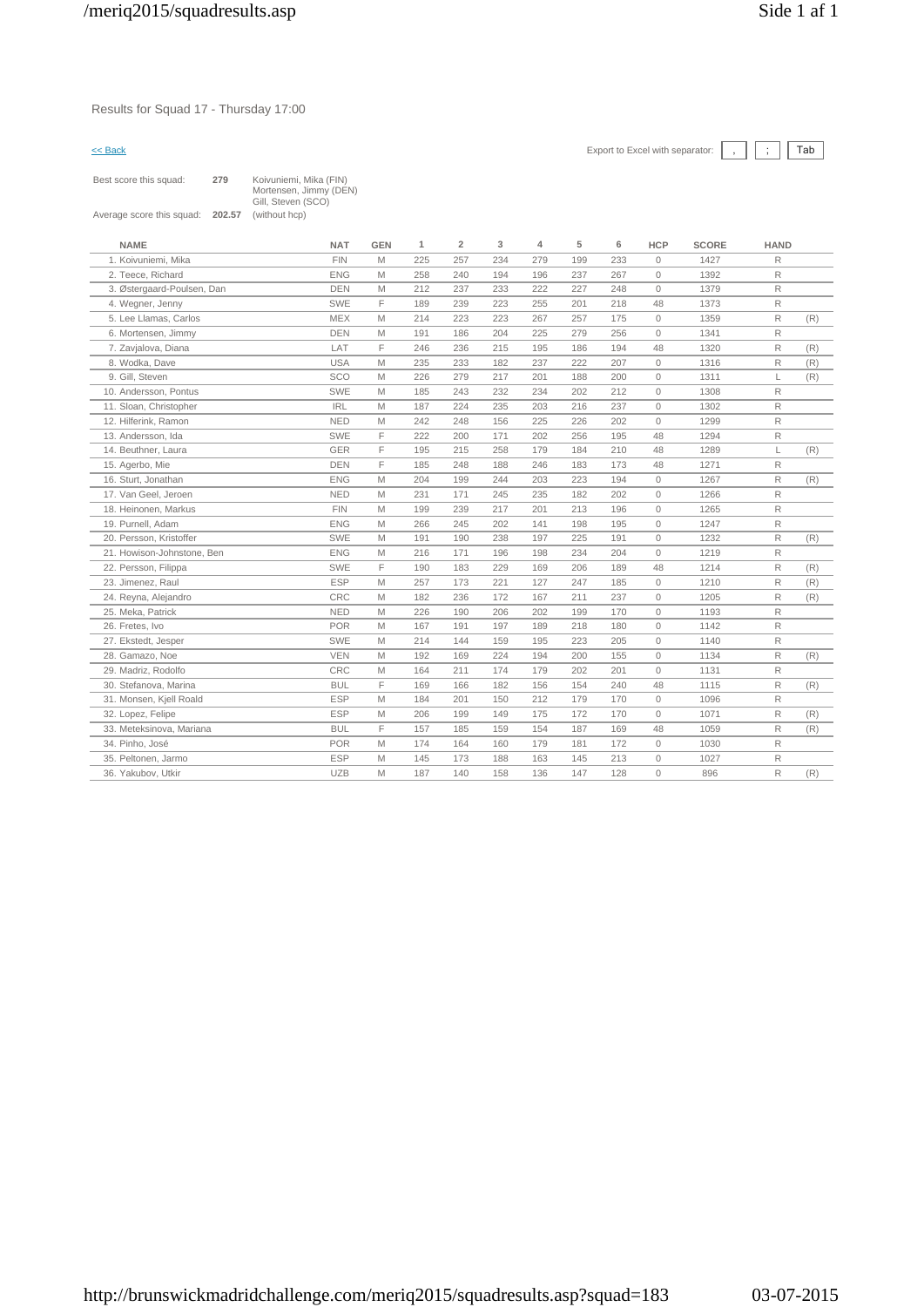### Results for Squad 17 - Thursday 17:00



| Best score this squad:    | 279    | Koivuniemi, Mika (FIN)<br>Mortensen, Jimmy (DEN)<br>Gill, Steven (SCO) |
|---------------------------|--------|------------------------------------------------------------------------|
| Average score this squad: | 202.57 | (without hcp)                                                          |

| <b>FIN</b><br>257<br>234<br>1. Koivuniemi, Mika<br>M<br>225<br>279<br>199<br>233<br>$\circ$<br>1427<br>R<br>2. Teece, Richard<br>R<br><b>ENG</b><br>M<br>258<br>240<br>194<br>196<br>237<br>267<br>$\circ$<br>1392<br><b>DEN</b><br>212<br>237<br>222<br>227<br>R<br>3. Østergaard-Poulsen, Dan<br>M<br>233<br>248<br>$\circ$<br>1379<br>F<br>SWE<br>189<br>239<br>223<br>255<br>201<br>218<br>48<br>1373<br>R<br>4. Wegner, Jenny<br><b>MEX</b><br>5. Lee Llamas, Carlos<br>214<br>223<br>223<br>267<br>257<br>175<br>$\circ$<br>1359<br>R<br>(R)<br>M<br><b>DEN</b><br>R<br>6. Mortensen, Jimmy<br>M<br>191<br>186<br>204<br>225<br>279<br>256<br>$\circ$<br>1341<br>F<br>LAT<br>$\mathsf R$<br>7. Zavjalova, Diana<br>246<br>236<br>215<br>195<br>186<br>194<br>48<br>1320<br>(R)<br>8. Wodka, Dave<br><b>USA</b><br>M<br>235<br>233<br>182<br>237<br>222<br>207<br>R<br>$\circ$<br>1316<br>(R)<br>SCO<br>9. Gill, Steven<br>226<br>279<br>217<br>201<br>188<br>200<br>$\circ$<br>(R)<br>M<br>1311<br>L<br>SWE<br>232<br>234<br>202<br>212<br>$\circ$<br>1308<br>R<br>10. Andersson, Pontus<br>M<br>185<br>243<br><b>IRL</b><br>11. Sloan, Christopher<br>M<br>224<br>235<br>203<br>237<br>$\circ$<br>1302<br>R<br>187<br>216<br><b>NED</b><br>156<br>225<br>202<br>$\circ$<br>1299<br>R<br>12. Hilferink, Ramon<br>M<br>242<br>248<br>226<br>SWE<br>F<br>222<br>202<br>195<br>R<br>13. Andersson, Ida<br>200<br>171<br>256<br>48<br>1294<br>GER<br>F<br>184<br>210<br>(R)<br>14. Beuthner, Laura<br>195<br>215<br>258<br>179<br>48<br>1289<br>L.<br><b>DEN</b><br>F<br>15. Agerbo, Mie<br>185<br>248<br>188<br>246<br>183<br>173<br>1271<br>R<br>48<br><b>ENG</b><br>16. Sturt, Jonathan<br>M<br>204<br>199<br>244<br>203<br>223<br>194<br>$\circ$<br>1267<br>R<br>(R)<br><b>NED</b><br>17. Van Geel, Jeroen<br>171<br>235<br>202<br>$\Omega$<br>1266<br>R<br>M<br>231<br>245<br>182<br><b>FIN</b><br>18. Heinonen, Markus<br>M<br>199<br>239<br>217<br>201<br>213<br>196<br>$\circ$<br>1265<br>R<br>R<br>19. Purnell, Adam<br><b>ENG</b><br>266<br>245<br>202<br>141<br>198<br>195<br>$\circ$<br>1247<br>M<br>20. Persson, Kristoffer<br>SWE<br>225<br>1232<br>R<br>(R)<br>M<br>191<br>190<br>238<br>197<br>191<br>$\circ$<br><b>ENG</b><br>171<br>234<br>204<br>$\circ$<br>1219<br>R<br>21. Howison-Johnstone, Ben<br>M<br>216<br>196<br>198<br>SWE<br>F<br>R<br>22. Persson, Filippa<br>190<br>183<br>229<br>169<br>206<br>189<br>48<br>1214<br>(R)<br><b>ESP</b><br>M<br>257<br>173<br>221<br>127<br>185<br>$\circ$<br>1210<br>R<br>(R)<br>23. Jimenez, Raul<br>247<br>CRC<br>R<br>182<br>236<br>172<br>167<br>237<br>$\circ$<br>1205<br>(R)<br>24. Reyna, Alejandro<br>M<br>211<br><b>NED</b><br>R<br>25. Meka, Patrick<br>M<br>226<br>190<br>206<br>202<br>199<br>170<br>$\circ$<br>1193<br><b>POR</b><br>R<br>26. Fretes, Ivo<br>M<br>167<br>191<br>197<br>189<br>218<br>180<br>$\circ$<br>1142<br>SWE<br>R<br>27. Ekstedt, Jesper<br>M<br>214<br>144<br>159<br>195<br>223<br>205<br>$\circ$<br>1140<br><b>VEN</b><br>155<br>$\circ$<br>1134<br>R<br>28. Gamazo, Noe<br>M<br>192<br>169<br>224<br>194<br>200<br>(R)<br>CRC<br>201<br>$\circ$<br>R<br>29. Madriz, Rodolfo<br>M<br>164<br>211<br>174<br>179<br>202<br>1131<br>F<br>30. Stefanova, Marina<br><b>BUL</b><br>169<br>166<br>182<br>156<br>154<br>240<br>48<br>1115<br>R<br>(R)<br><b>ESP</b><br>212<br>R<br>31. Monsen, Kjell Roald<br>M<br>184<br>201<br>150<br>179<br>170<br>$\circ$<br>1096<br><b>ESP</b><br>32. Lopez, Felipe<br>M<br>199<br>149<br>175<br>172<br>170<br>$\circ$<br>1071<br>R<br>(R)<br>206<br>F<br><b>BUL</b><br>R<br>33. Meteksinova, Mariana<br>157<br>185<br>159<br>154<br>187<br>169<br>48<br>1059<br>(R)<br><b>POR</b><br>R<br>34. Pinho, José<br>M<br>174<br>164<br>160<br>179<br>181<br>172<br>$\circ$<br>1030<br><b>ESP</b><br>R<br>173<br>188<br>163<br>145<br>213<br>$\circ$<br>1027<br>35. Peltonen, Jarmo<br>M<br>145<br><b>UZB</b><br>R<br>128<br>$\circ$<br>(R)<br>36. Yakubov, Utkir<br>M<br>187<br>140<br>158<br>136<br>147<br>896 | <b>NAME</b> | <b>NAT</b> | <b>GEN</b> | 1 | $\overline{2}$ | 3 | 4 | 5 | 6 | <b>HCP</b> | <b>SCORE</b> | <b>HAND</b> |  |
|----------------------------------------------------------------------------------------------------------------------------------------------------------------------------------------------------------------------------------------------------------------------------------------------------------------------------------------------------------------------------------------------------------------------------------------------------------------------------------------------------------------------------------------------------------------------------------------------------------------------------------------------------------------------------------------------------------------------------------------------------------------------------------------------------------------------------------------------------------------------------------------------------------------------------------------------------------------------------------------------------------------------------------------------------------------------------------------------------------------------------------------------------------------------------------------------------------------------------------------------------------------------------------------------------------------------------------------------------------------------------------------------------------------------------------------------------------------------------------------------------------------------------------------------------------------------------------------------------------------------------------------------------------------------------------------------------------------------------------------------------------------------------------------------------------------------------------------------------------------------------------------------------------------------------------------------------------------------------------------------------------------------------------------------------------------------------------------------------------------------------------------------------------------------------------------------------------------------------------------------------------------------------------------------------------------------------------------------------------------------------------------------------------------------------------------------------------------------------------------------------------------------------------------------------------------------------------------------------------------------------------------------------------------------------------------------------------------------------------------------------------------------------------------------------------------------------------------------------------------------------------------------------------------------------------------------------------------------------------------------------------------------------------------------------------------------------------------------------------------------------------------------------------------------------------------------------------------------------------------------------------------------------------------------------------------------------------------------------------------------------------------------------------------------------------------------------------------------------------------------------------------------------------------------------------------------------------------------------------------------------------------------------------------------------------------------------------------------------------------------------------------------------------------------------------------------------------------------------------------------------------------------------------------------------------------------------------------------------------------------------------------------------------------------|-------------|------------|------------|---|----------------|---|---|---|---|------------|--------------|-------------|--|
|                                                                                                                                                                                                                                                                                                                                                                                                                                                                                                                                                                                                                                                                                                                                                                                                                                                                                                                                                                                                                                                                                                                                                                                                                                                                                                                                                                                                                                                                                                                                                                                                                                                                                                                                                                                                                                                                                                                                                                                                                                                                                                                                                                                                                                                                                                                                                                                                                                                                                                                                                                                                                                                                                                                                                                                                                                                                                                                                                                                                                                                                                                                                                                                                                                                                                                                                                                                                                                                                                                                                                                                                                                                                                                                                                                                                                                                                                                                                                                                                                                              |             |            |            |   |                |   |   |   |   |            |              |             |  |
|                                                                                                                                                                                                                                                                                                                                                                                                                                                                                                                                                                                                                                                                                                                                                                                                                                                                                                                                                                                                                                                                                                                                                                                                                                                                                                                                                                                                                                                                                                                                                                                                                                                                                                                                                                                                                                                                                                                                                                                                                                                                                                                                                                                                                                                                                                                                                                                                                                                                                                                                                                                                                                                                                                                                                                                                                                                                                                                                                                                                                                                                                                                                                                                                                                                                                                                                                                                                                                                                                                                                                                                                                                                                                                                                                                                                                                                                                                                                                                                                                                              |             |            |            |   |                |   |   |   |   |            |              |             |  |
|                                                                                                                                                                                                                                                                                                                                                                                                                                                                                                                                                                                                                                                                                                                                                                                                                                                                                                                                                                                                                                                                                                                                                                                                                                                                                                                                                                                                                                                                                                                                                                                                                                                                                                                                                                                                                                                                                                                                                                                                                                                                                                                                                                                                                                                                                                                                                                                                                                                                                                                                                                                                                                                                                                                                                                                                                                                                                                                                                                                                                                                                                                                                                                                                                                                                                                                                                                                                                                                                                                                                                                                                                                                                                                                                                                                                                                                                                                                                                                                                                                              |             |            |            |   |                |   |   |   |   |            |              |             |  |
|                                                                                                                                                                                                                                                                                                                                                                                                                                                                                                                                                                                                                                                                                                                                                                                                                                                                                                                                                                                                                                                                                                                                                                                                                                                                                                                                                                                                                                                                                                                                                                                                                                                                                                                                                                                                                                                                                                                                                                                                                                                                                                                                                                                                                                                                                                                                                                                                                                                                                                                                                                                                                                                                                                                                                                                                                                                                                                                                                                                                                                                                                                                                                                                                                                                                                                                                                                                                                                                                                                                                                                                                                                                                                                                                                                                                                                                                                                                                                                                                                                              |             |            |            |   |                |   |   |   |   |            |              |             |  |
|                                                                                                                                                                                                                                                                                                                                                                                                                                                                                                                                                                                                                                                                                                                                                                                                                                                                                                                                                                                                                                                                                                                                                                                                                                                                                                                                                                                                                                                                                                                                                                                                                                                                                                                                                                                                                                                                                                                                                                                                                                                                                                                                                                                                                                                                                                                                                                                                                                                                                                                                                                                                                                                                                                                                                                                                                                                                                                                                                                                                                                                                                                                                                                                                                                                                                                                                                                                                                                                                                                                                                                                                                                                                                                                                                                                                                                                                                                                                                                                                                                              |             |            |            |   |                |   |   |   |   |            |              |             |  |
|                                                                                                                                                                                                                                                                                                                                                                                                                                                                                                                                                                                                                                                                                                                                                                                                                                                                                                                                                                                                                                                                                                                                                                                                                                                                                                                                                                                                                                                                                                                                                                                                                                                                                                                                                                                                                                                                                                                                                                                                                                                                                                                                                                                                                                                                                                                                                                                                                                                                                                                                                                                                                                                                                                                                                                                                                                                                                                                                                                                                                                                                                                                                                                                                                                                                                                                                                                                                                                                                                                                                                                                                                                                                                                                                                                                                                                                                                                                                                                                                                                              |             |            |            |   |                |   |   |   |   |            |              |             |  |
|                                                                                                                                                                                                                                                                                                                                                                                                                                                                                                                                                                                                                                                                                                                                                                                                                                                                                                                                                                                                                                                                                                                                                                                                                                                                                                                                                                                                                                                                                                                                                                                                                                                                                                                                                                                                                                                                                                                                                                                                                                                                                                                                                                                                                                                                                                                                                                                                                                                                                                                                                                                                                                                                                                                                                                                                                                                                                                                                                                                                                                                                                                                                                                                                                                                                                                                                                                                                                                                                                                                                                                                                                                                                                                                                                                                                                                                                                                                                                                                                                                              |             |            |            |   |                |   |   |   |   |            |              |             |  |
|                                                                                                                                                                                                                                                                                                                                                                                                                                                                                                                                                                                                                                                                                                                                                                                                                                                                                                                                                                                                                                                                                                                                                                                                                                                                                                                                                                                                                                                                                                                                                                                                                                                                                                                                                                                                                                                                                                                                                                                                                                                                                                                                                                                                                                                                                                                                                                                                                                                                                                                                                                                                                                                                                                                                                                                                                                                                                                                                                                                                                                                                                                                                                                                                                                                                                                                                                                                                                                                                                                                                                                                                                                                                                                                                                                                                                                                                                                                                                                                                                                              |             |            |            |   |                |   |   |   |   |            |              |             |  |
|                                                                                                                                                                                                                                                                                                                                                                                                                                                                                                                                                                                                                                                                                                                                                                                                                                                                                                                                                                                                                                                                                                                                                                                                                                                                                                                                                                                                                                                                                                                                                                                                                                                                                                                                                                                                                                                                                                                                                                                                                                                                                                                                                                                                                                                                                                                                                                                                                                                                                                                                                                                                                                                                                                                                                                                                                                                                                                                                                                                                                                                                                                                                                                                                                                                                                                                                                                                                                                                                                                                                                                                                                                                                                                                                                                                                                                                                                                                                                                                                                                              |             |            |            |   |                |   |   |   |   |            |              |             |  |
|                                                                                                                                                                                                                                                                                                                                                                                                                                                                                                                                                                                                                                                                                                                                                                                                                                                                                                                                                                                                                                                                                                                                                                                                                                                                                                                                                                                                                                                                                                                                                                                                                                                                                                                                                                                                                                                                                                                                                                                                                                                                                                                                                                                                                                                                                                                                                                                                                                                                                                                                                                                                                                                                                                                                                                                                                                                                                                                                                                                                                                                                                                                                                                                                                                                                                                                                                                                                                                                                                                                                                                                                                                                                                                                                                                                                                                                                                                                                                                                                                                              |             |            |            |   |                |   |   |   |   |            |              |             |  |
|                                                                                                                                                                                                                                                                                                                                                                                                                                                                                                                                                                                                                                                                                                                                                                                                                                                                                                                                                                                                                                                                                                                                                                                                                                                                                                                                                                                                                                                                                                                                                                                                                                                                                                                                                                                                                                                                                                                                                                                                                                                                                                                                                                                                                                                                                                                                                                                                                                                                                                                                                                                                                                                                                                                                                                                                                                                                                                                                                                                                                                                                                                                                                                                                                                                                                                                                                                                                                                                                                                                                                                                                                                                                                                                                                                                                                                                                                                                                                                                                                                              |             |            |            |   |                |   |   |   |   |            |              |             |  |
|                                                                                                                                                                                                                                                                                                                                                                                                                                                                                                                                                                                                                                                                                                                                                                                                                                                                                                                                                                                                                                                                                                                                                                                                                                                                                                                                                                                                                                                                                                                                                                                                                                                                                                                                                                                                                                                                                                                                                                                                                                                                                                                                                                                                                                                                                                                                                                                                                                                                                                                                                                                                                                                                                                                                                                                                                                                                                                                                                                                                                                                                                                                                                                                                                                                                                                                                                                                                                                                                                                                                                                                                                                                                                                                                                                                                                                                                                                                                                                                                                                              |             |            |            |   |                |   |   |   |   |            |              |             |  |
|                                                                                                                                                                                                                                                                                                                                                                                                                                                                                                                                                                                                                                                                                                                                                                                                                                                                                                                                                                                                                                                                                                                                                                                                                                                                                                                                                                                                                                                                                                                                                                                                                                                                                                                                                                                                                                                                                                                                                                                                                                                                                                                                                                                                                                                                                                                                                                                                                                                                                                                                                                                                                                                                                                                                                                                                                                                                                                                                                                                                                                                                                                                                                                                                                                                                                                                                                                                                                                                                                                                                                                                                                                                                                                                                                                                                                                                                                                                                                                                                                                              |             |            |            |   |                |   |   |   |   |            |              |             |  |
|                                                                                                                                                                                                                                                                                                                                                                                                                                                                                                                                                                                                                                                                                                                                                                                                                                                                                                                                                                                                                                                                                                                                                                                                                                                                                                                                                                                                                                                                                                                                                                                                                                                                                                                                                                                                                                                                                                                                                                                                                                                                                                                                                                                                                                                                                                                                                                                                                                                                                                                                                                                                                                                                                                                                                                                                                                                                                                                                                                                                                                                                                                                                                                                                                                                                                                                                                                                                                                                                                                                                                                                                                                                                                                                                                                                                                                                                                                                                                                                                                                              |             |            |            |   |                |   |   |   |   |            |              |             |  |
|                                                                                                                                                                                                                                                                                                                                                                                                                                                                                                                                                                                                                                                                                                                                                                                                                                                                                                                                                                                                                                                                                                                                                                                                                                                                                                                                                                                                                                                                                                                                                                                                                                                                                                                                                                                                                                                                                                                                                                                                                                                                                                                                                                                                                                                                                                                                                                                                                                                                                                                                                                                                                                                                                                                                                                                                                                                                                                                                                                                                                                                                                                                                                                                                                                                                                                                                                                                                                                                                                                                                                                                                                                                                                                                                                                                                                                                                                                                                                                                                                                              |             |            |            |   |                |   |   |   |   |            |              |             |  |
|                                                                                                                                                                                                                                                                                                                                                                                                                                                                                                                                                                                                                                                                                                                                                                                                                                                                                                                                                                                                                                                                                                                                                                                                                                                                                                                                                                                                                                                                                                                                                                                                                                                                                                                                                                                                                                                                                                                                                                                                                                                                                                                                                                                                                                                                                                                                                                                                                                                                                                                                                                                                                                                                                                                                                                                                                                                                                                                                                                                                                                                                                                                                                                                                                                                                                                                                                                                                                                                                                                                                                                                                                                                                                                                                                                                                                                                                                                                                                                                                                                              |             |            |            |   |                |   |   |   |   |            |              |             |  |
|                                                                                                                                                                                                                                                                                                                                                                                                                                                                                                                                                                                                                                                                                                                                                                                                                                                                                                                                                                                                                                                                                                                                                                                                                                                                                                                                                                                                                                                                                                                                                                                                                                                                                                                                                                                                                                                                                                                                                                                                                                                                                                                                                                                                                                                                                                                                                                                                                                                                                                                                                                                                                                                                                                                                                                                                                                                                                                                                                                                                                                                                                                                                                                                                                                                                                                                                                                                                                                                                                                                                                                                                                                                                                                                                                                                                                                                                                                                                                                                                                                              |             |            |            |   |                |   |   |   |   |            |              |             |  |
|                                                                                                                                                                                                                                                                                                                                                                                                                                                                                                                                                                                                                                                                                                                                                                                                                                                                                                                                                                                                                                                                                                                                                                                                                                                                                                                                                                                                                                                                                                                                                                                                                                                                                                                                                                                                                                                                                                                                                                                                                                                                                                                                                                                                                                                                                                                                                                                                                                                                                                                                                                                                                                                                                                                                                                                                                                                                                                                                                                                                                                                                                                                                                                                                                                                                                                                                                                                                                                                                                                                                                                                                                                                                                                                                                                                                                                                                                                                                                                                                                                              |             |            |            |   |                |   |   |   |   |            |              |             |  |
|                                                                                                                                                                                                                                                                                                                                                                                                                                                                                                                                                                                                                                                                                                                                                                                                                                                                                                                                                                                                                                                                                                                                                                                                                                                                                                                                                                                                                                                                                                                                                                                                                                                                                                                                                                                                                                                                                                                                                                                                                                                                                                                                                                                                                                                                                                                                                                                                                                                                                                                                                                                                                                                                                                                                                                                                                                                                                                                                                                                                                                                                                                                                                                                                                                                                                                                                                                                                                                                                                                                                                                                                                                                                                                                                                                                                                                                                                                                                                                                                                                              |             |            |            |   |                |   |   |   |   |            |              |             |  |
|                                                                                                                                                                                                                                                                                                                                                                                                                                                                                                                                                                                                                                                                                                                                                                                                                                                                                                                                                                                                                                                                                                                                                                                                                                                                                                                                                                                                                                                                                                                                                                                                                                                                                                                                                                                                                                                                                                                                                                                                                                                                                                                                                                                                                                                                                                                                                                                                                                                                                                                                                                                                                                                                                                                                                                                                                                                                                                                                                                                                                                                                                                                                                                                                                                                                                                                                                                                                                                                                                                                                                                                                                                                                                                                                                                                                                                                                                                                                                                                                                                              |             |            |            |   |                |   |   |   |   |            |              |             |  |
|                                                                                                                                                                                                                                                                                                                                                                                                                                                                                                                                                                                                                                                                                                                                                                                                                                                                                                                                                                                                                                                                                                                                                                                                                                                                                                                                                                                                                                                                                                                                                                                                                                                                                                                                                                                                                                                                                                                                                                                                                                                                                                                                                                                                                                                                                                                                                                                                                                                                                                                                                                                                                                                                                                                                                                                                                                                                                                                                                                                                                                                                                                                                                                                                                                                                                                                                                                                                                                                                                                                                                                                                                                                                                                                                                                                                                                                                                                                                                                                                                                              |             |            |            |   |                |   |   |   |   |            |              |             |  |
|                                                                                                                                                                                                                                                                                                                                                                                                                                                                                                                                                                                                                                                                                                                                                                                                                                                                                                                                                                                                                                                                                                                                                                                                                                                                                                                                                                                                                                                                                                                                                                                                                                                                                                                                                                                                                                                                                                                                                                                                                                                                                                                                                                                                                                                                                                                                                                                                                                                                                                                                                                                                                                                                                                                                                                                                                                                                                                                                                                                                                                                                                                                                                                                                                                                                                                                                                                                                                                                                                                                                                                                                                                                                                                                                                                                                                                                                                                                                                                                                                                              |             |            |            |   |                |   |   |   |   |            |              |             |  |
|                                                                                                                                                                                                                                                                                                                                                                                                                                                                                                                                                                                                                                                                                                                                                                                                                                                                                                                                                                                                                                                                                                                                                                                                                                                                                                                                                                                                                                                                                                                                                                                                                                                                                                                                                                                                                                                                                                                                                                                                                                                                                                                                                                                                                                                                                                                                                                                                                                                                                                                                                                                                                                                                                                                                                                                                                                                                                                                                                                                                                                                                                                                                                                                                                                                                                                                                                                                                                                                                                                                                                                                                                                                                                                                                                                                                                                                                                                                                                                                                                                              |             |            |            |   |                |   |   |   |   |            |              |             |  |
|                                                                                                                                                                                                                                                                                                                                                                                                                                                                                                                                                                                                                                                                                                                                                                                                                                                                                                                                                                                                                                                                                                                                                                                                                                                                                                                                                                                                                                                                                                                                                                                                                                                                                                                                                                                                                                                                                                                                                                                                                                                                                                                                                                                                                                                                                                                                                                                                                                                                                                                                                                                                                                                                                                                                                                                                                                                                                                                                                                                                                                                                                                                                                                                                                                                                                                                                                                                                                                                                                                                                                                                                                                                                                                                                                                                                                                                                                                                                                                                                                                              |             |            |            |   |                |   |   |   |   |            |              |             |  |
|                                                                                                                                                                                                                                                                                                                                                                                                                                                                                                                                                                                                                                                                                                                                                                                                                                                                                                                                                                                                                                                                                                                                                                                                                                                                                                                                                                                                                                                                                                                                                                                                                                                                                                                                                                                                                                                                                                                                                                                                                                                                                                                                                                                                                                                                                                                                                                                                                                                                                                                                                                                                                                                                                                                                                                                                                                                                                                                                                                                                                                                                                                                                                                                                                                                                                                                                                                                                                                                                                                                                                                                                                                                                                                                                                                                                                                                                                                                                                                                                                                              |             |            |            |   |                |   |   |   |   |            |              |             |  |
|                                                                                                                                                                                                                                                                                                                                                                                                                                                                                                                                                                                                                                                                                                                                                                                                                                                                                                                                                                                                                                                                                                                                                                                                                                                                                                                                                                                                                                                                                                                                                                                                                                                                                                                                                                                                                                                                                                                                                                                                                                                                                                                                                                                                                                                                                                                                                                                                                                                                                                                                                                                                                                                                                                                                                                                                                                                                                                                                                                                                                                                                                                                                                                                                                                                                                                                                                                                                                                                                                                                                                                                                                                                                                                                                                                                                                                                                                                                                                                                                                                              |             |            |            |   |                |   |   |   |   |            |              |             |  |
|                                                                                                                                                                                                                                                                                                                                                                                                                                                                                                                                                                                                                                                                                                                                                                                                                                                                                                                                                                                                                                                                                                                                                                                                                                                                                                                                                                                                                                                                                                                                                                                                                                                                                                                                                                                                                                                                                                                                                                                                                                                                                                                                                                                                                                                                                                                                                                                                                                                                                                                                                                                                                                                                                                                                                                                                                                                                                                                                                                                                                                                                                                                                                                                                                                                                                                                                                                                                                                                                                                                                                                                                                                                                                                                                                                                                                                                                                                                                                                                                                                              |             |            |            |   |                |   |   |   |   |            |              |             |  |
|                                                                                                                                                                                                                                                                                                                                                                                                                                                                                                                                                                                                                                                                                                                                                                                                                                                                                                                                                                                                                                                                                                                                                                                                                                                                                                                                                                                                                                                                                                                                                                                                                                                                                                                                                                                                                                                                                                                                                                                                                                                                                                                                                                                                                                                                                                                                                                                                                                                                                                                                                                                                                                                                                                                                                                                                                                                                                                                                                                                                                                                                                                                                                                                                                                                                                                                                                                                                                                                                                                                                                                                                                                                                                                                                                                                                                                                                                                                                                                                                                                              |             |            |            |   |                |   |   |   |   |            |              |             |  |
|                                                                                                                                                                                                                                                                                                                                                                                                                                                                                                                                                                                                                                                                                                                                                                                                                                                                                                                                                                                                                                                                                                                                                                                                                                                                                                                                                                                                                                                                                                                                                                                                                                                                                                                                                                                                                                                                                                                                                                                                                                                                                                                                                                                                                                                                                                                                                                                                                                                                                                                                                                                                                                                                                                                                                                                                                                                                                                                                                                                                                                                                                                                                                                                                                                                                                                                                                                                                                                                                                                                                                                                                                                                                                                                                                                                                                                                                                                                                                                                                                                              |             |            |            |   |                |   |   |   |   |            |              |             |  |
|                                                                                                                                                                                                                                                                                                                                                                                                                                                                                                                                                                                                                                                                                                                                                                                                                                                                                                                                                                                                                                                                                                                                                                                                                                                                                                                                                                                                                                                                                                                                                                                                                                                                                                                                                                                                                                                                                                                                                                                                                                                                                                                                                                                                                                                                                                                                                                                                                                                                                                                                                                                                                                                                                                                                                                                                                                                                                                                                                                                                                                                                                                                                                                                                                                                                                                                                                                                                                                                                                                                                                                                                                                                                                                                                                                                                                                                                                                                                                                                                                                              |             |            |            |   |                |   |   |   |   |            |              |             |  |
|                                                                                                                                                                                                                                                                                                                                                                                                                                                                                                                                                                                                                                                                                                                                                                                                                                                                                                                                                                                                                                                                                                                                                                                                                                                                                                                                                                                                                                                                                                                                                                                                                                                                                                                                                                                                                                                                                                                                                                                                                                                                                                                                                                                                                                                                                                                                                                                                                                                                                                                                                                                                                                                                                                                                                                                                                                                                                                                                                                                                                                                                                                                                                                                                                                                                                                                                                                                                                                                                                                                                                                                                                                                                                                                                                                                                                                                                                                                                                                                                                                              |             |            |            |   |                |   |   |   |   |            |              |             |  |
|                                                                                                                                                                                                                                                                                                                                                                                                                                                                                                                                                                                                                                                                                                                                                                                                                                                                                                                                                                                                                                                                                                                                                                                                                                                                                                                                                                                                                                                                                                                                                                                                                                                                                                                                                                                                                                                                                                                                                                                                                                                                                                                                                                                                                                                                                                                                                                                                                                                                                                                                                                                                                                                                                                                                                                                                                                                                                                                                                                                                                                                                                                                                                                                                                                                                                                                                                                                                                                                                                                                                                                                                                                                                                                                                                                                                                                                                                                                                                                                                                                              |             |            |            |   |                |   |   |   |   |            |              |             |  |
|                                                                                                                                                                                                                                                                                                                                                                                                                                                                                                                                                                                                                                                                                                                                                                                                                                                                                                                                                                                                                                                                                                                                                                                                                                                                                                                                                                                                                                                                                                                                                                                                                                                                                                                                                                                                                                                                                                                                                                                                                                                                                                                                                                                                                                                                                                                                                                                                                                                                                                                                                                                                                                                                                                                                                                                                                                                                                                                                                                                                                                                                                                                                                                                                                                                                                                                                                                                                                                                                                                                                                                                                                                                                                                                                                                                                                                                                                                                                                                                                                                              |             |            |            |   |                |   |   |   |   |            |              |             |  |
|                                                                                                                                                                                                                                                                                                                                                                                                                                                                                                                                                                                                                                                                                                                                                                                                                                                                                                                                                                                                                                                                                                                                                                                                                                                                                                                                                                                                                                                                                                                                                                                                                                                                                                                                                                                                                                                                                                                                                                                                                                                                                                                                                                                                                                                                                                                                                                                                                                                                                                                                                                                                                                                                                                                                                                                                                                                                                                                                                                                                                                                                                                                                                                                                                                                                                                                                                                                                                                                                                                                                                                                                                                                                                                                                                                                                                                                                                                                                                                                                                                              |             |            |            |   |                |   |   |   |   |            |              |             |  |
|                                                                                                                                                                                                                                                                                                                                                                                                                                                                                                                                                                                                                                                                                                                                                                                                                                                                                                                                                                                                                                                                                                                                                                                                                                                                                                                                                                                                                                                                                                                                                                                                                                                                                                                                                                                                                                                                                                                                                                                                                                                                                                                                                                                                                                                                                                                                                                                                                                                                                                                                                                                                                                                                                                                                                                                                                                                                                                                                                                                                                                                                                                                                                                                                                                                                                                                                                                                                                                                                                                                                                                                                                                                                                                                                                                                                                                                                                                                                                                                                                                              |             |            |            |   |                |   |   |   |   |            |              |             |  |
|                                                                                                                                                                                                                                                                                                                                                                                                                                                                                                                                                                                                                                                                                                                                                                                                                                                                                                                                                                                                                                                                                                                                                                                                                                                                                                                                                                                                                                                                                                                                                                                                                                                                                                                                                                                                                                                                                                                                                                                                                                                                                                                                                                                                                                                                                                                                                                                                                                                                                                                                                                                                                                                                                                                                                                                                                                                                                                                                                                                                                                                                                                                                                                                                                                                                                                                                                                                                                                                                                                                                                                                                                                                                                                                                                                                                                                                                                                                                                                                                                                              |             |            |            |   |                |   |   |   |   |            |              |             |  |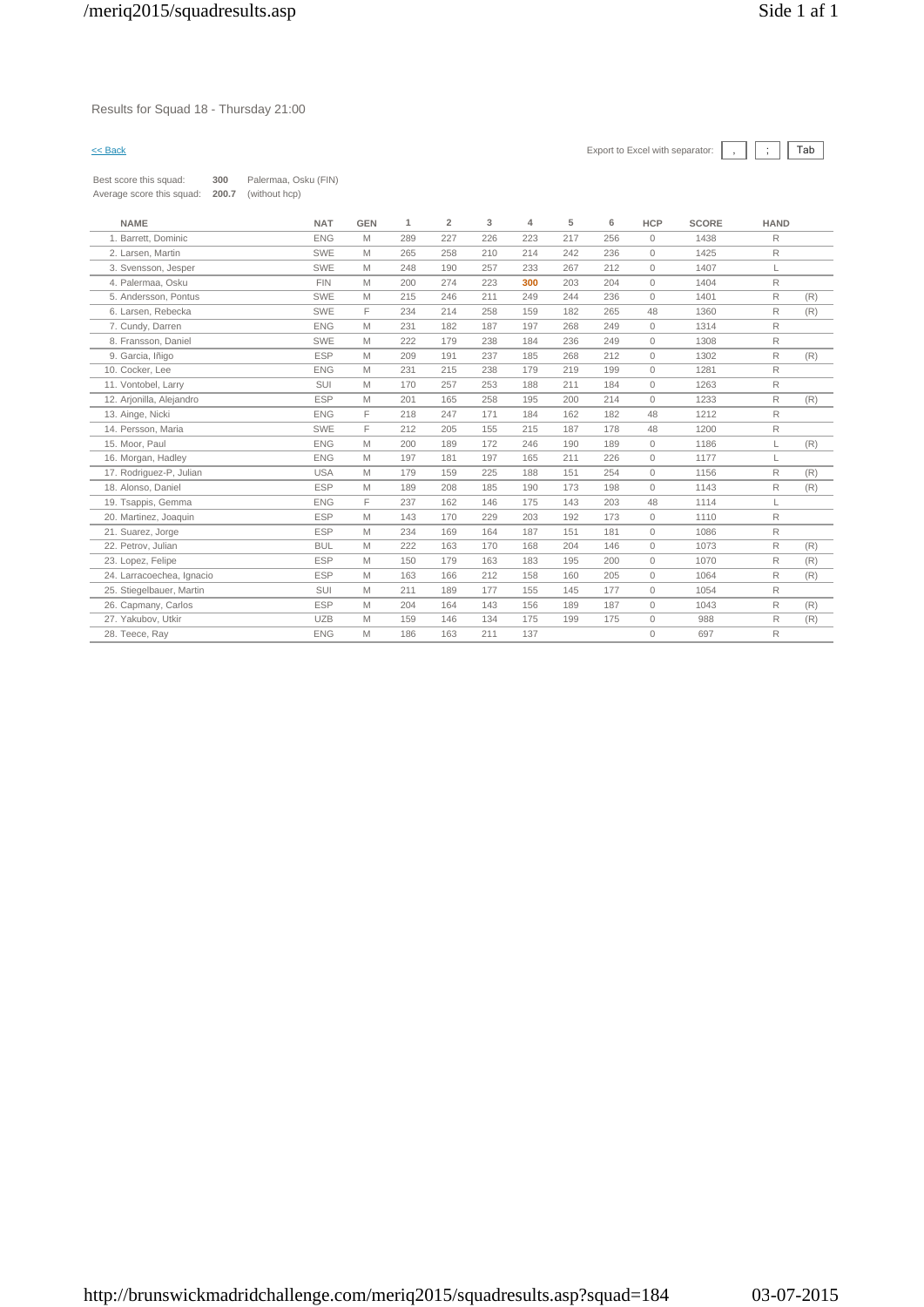### Results for Squad 18 - Thursday 21:00

# $\leq$  Back Export to Excel with separator:  $\boxed{\phantom{s}}$ ,  $\boxed{\phantom{s}}$   $\boxed{\phantom{s}}$

Best score this squad: **300** Palermaa, Osku (FIN) Average score this squad: **200.7** (without hcp)

| <b>NAME</b>               | <b>NAT</b> | <b>GEN</b> | 1   | $\overline{2}$ | 3   | 4   | 5   | 6   | <b>HCP</b>   | <b>SCORE</b> | <b>HAND</b> |     |
|---------------------------|------------|------------|-----|----------------|-----|-----|-----|-----|--------------|--------------|-------------|-----|
| 1. Barrett, Dominic       | <b>ENG</b> | M          | 289 | 227            | 226 | 223 | 217 | 256 | $\mathbf{0}$ | 1438         | R           |     |
| 2. Larsen, Martin         | SWE        | M          | 265 | 258            | 210 | 214 | 242 | 236 | $\mathbf{0}$ | 1425         | R           |     |
| 3. Svensson, Jesper       | SWE        | M          | 248 | 190            | 257 | 233 | 267 | 212 | $\mathbf{0}$ | 1407         | L           |     |
| 4. Palermaa, Osku         | <b>FIN</b> | M          | 200 | 274            | 223 | 300 | 203 | 204 | $\mathbf{0}$ | 1404         | R           |     |
| 5. Andersson, Pontus      | SWE        | M          | 215 | 246            | 211 | 249 | 244 | 236 | $\circ$      | 1401         | R           | (R) |
| 6. Larsen. Rebecka        | SWE        | F.         | 234 | 214            | 258 | 159 | 182 | 265 | 48           | 1360         | R           | (R) |
| 7. Cundy, Darren          | <b>ENG</b> | M          | 231 | 182            | 187 | 197 | 268 | 249 | $\circ$      | 1314         | R           |     |
| 8. Fransson, Daniel       | SWE        | M          | 222 | 179            | 238 | 184 | 236 | 249 | $\mathbf{0}$ | 1308         | R           |     |
| 9. Garcia, Iñigo          | <b>ESP</b> | M          | 209 | 191            | 237 | 185 | 268 | 212 | $\mathbf{0}$ | 1302         | R           | (R) |
| 10. Cocker, Lee           | <b>ENG</b> | M          | 231 | 215            | 238 | 179 | 219 | 199 | $\mathbf{0}$ | 1281         | R           |     |
| 11. Vontobel, Larry       | SUI        | M          | 170 | 257            | 253 | 188 | 211 | 184 | $\circ$      | 1263         | R           |     |
| 12. Arjonilla, Alejandro  | <b>ESP</b> | M          | 201 | 165            | 258 | 195 | 200 | 214 | $\mathbf{0}$ | 1233         | R           | (R) |
| 13. Ainge, Nicki          | <b>ENG</b> | F          | 218 | 247            | 171 | 184 | 162 | 182 | 48           | 1212         | R           |     |
| 14. Persson, Maria        | SWE        | F.         | 212 | 205            | 155 | 215 | 187 | 178 | 48           | 1200         | R           |     |
| 15. Moor, Paul            | <b>ENG</b> | M          | 200 | 189            | 172 | 246 | 190 | 189 | $\mathbf{0}$ | 1186         | L           | (R) |
| 16. Morgan, Hadley        | <b>ENG</b> | M          | 197 | 181            | 197 | 165 | 211 | 226 | $\circ$      | 1177         |             |     |
| 17. Rodriguez-P, Julian   | <b>USA</b> | M          | 179 | 159            | 225 | 188 | 151 | 254 | $\mathbf{0}$ | 1156         | R           | (R) |
| 18. Alonso, Daniel        | <b>ESP</b> | M          | 189 | 208            | 185 | 190 | 173 | 198 | $\Omega$     | 1143         | R           | (R) |
| 19. Tsappis, Gemma        | <b>ENG</b> | F.         | 237 | 162            | 146 | 175 | 143 | 203 | 48           | 1114         | L           |     |
| 20. Martinez, Joaquin     | <b>ESP</b> | M          | 143 | 170            | 229 | 203 | 192 | 173 | $\mathbf{0}$ | 1110         | R           |     |
| 21. Suarez, Jorge         | <b>ESP</b> | M          | 234 | 169            | 164 | 187 | 151 | 181 | $\mathbf{0}$ | 1086         | R           |     |
| 22. Petrov, Julian        | <b>BUL</b> | M          | 222 | 163            | 170 | 168 | 204 | 146 | $\circ$      | 1073         | R           | (R) |
| 23. Lopez, Felipe         | <b>ESP</b> | M          | 150 | 179            | 163 | 183 | 195 | 200 | $\circ$      | 1070         | R           | (R) |
| 24. Larracoechea, Ignacio | <b>ESP</b> | M          | 163 | 166            | 212 | 158 | 160 | 205 | $\circ$      | 1064         | R           | (R) |
| 25. Stiegelbauer, Martin  | SUI        | M          | 211 | 189            | 177 | 155 | 145 | 177 | $\mathbf{0}$ | 1054         | R           |     |
| 26. Capmany, Carlos       | <b>ESP</b> | M          | 204 | 164            | 143 | 156 | 189 | 187 | $\mathbf{0}$ | 1043         | R           | (R) |
| 27. Yakubov. Utkir        | <b>UZB</b> | M          | 159 | 146            | 134 | 175 | 199 | 175 | $\mathbf{0}$ | 988          | R           | (R) |
| 28. Teece, Ray            | <b>ENG</b> | M          | 186 | 163            | 211 | 137 |     |     | $\mathbf{0}$ | 697          | R           |     |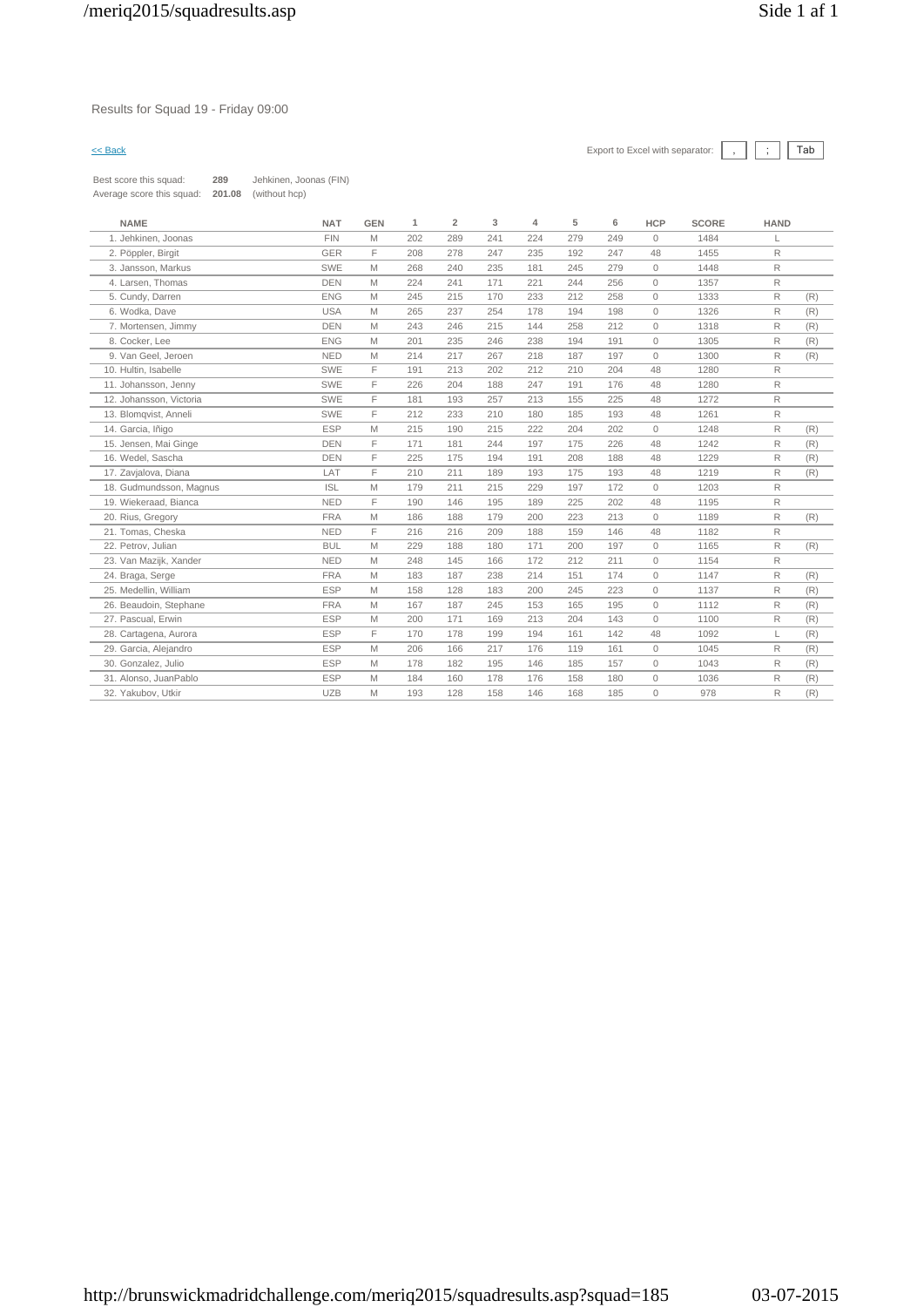### Results for Squad 19 - Friday 09:00

| Best score this squad:    | 289    | Jehkinen, Joonas (FIN) |
|---------------------------|--------|------------------------|
| Average score this squad: | 201.08 | (without hcp)          |

| <b>NAME</b>             | <b>NAT</b> | <b>GEN</b> | 1   | $\overline{2}$ | 3   | 4   | 5   | 6   | <b>HCP</b> | <b>SCORE</b> | <b>HAND</b>    |     |
|-------------------------|------------|------------|-----|----------------|-----|-----|-----|-----|------------|--------------|----------------|-----|
| 1. Jehkinen, Joonas     | <b>FIN</b> | M          | 202 | 289            | 241 | 224 | 279 | 249 | $\Omega$   | 1484         |                |     |
| 2. Pöppler, Birgit      | GER        | E          | 208 | 278            | 247 | 235 | 192 | 247 | 48         | 1455         | R.             |     |
| 3. Jansson, Markus      | <b>SWE</b> | M          | 268 | 240            | 235 | 181 | 245 | 279 | $\circ$    | 1448         | $\mathsf{R}$   |     |
| 4. Larsen, Thomas       | <b>DEN</b> | M          | 224 | 241            | 171 | 221 | 244 | 256 | $\Omega$   | 1357         | $\mathsf{R}$   |     |
| 5. Cundy, Darren        | <b>ENG</b> | M          | 245 | 215            | 170 | 233 | 212 | 258 | $\Omega$   | 1333         | $\overline{R}$ | (R) |
| 6. Wodka, Dave          | <b>USA</b> | M          | 265 | 237            | 254 | 178 | 194 | 198 | $\circ$    | 1326         | R              | (R) |
| 7. Mortensen, Jimmy     | <b>DEN</b> | M          | 243 | 246            | 215 | 144 | 258 | 212 | $\circ$    | 1318         | R              | (R) |
| 8. Cocker, Lee          | <b>ENG</b> | M          | 201 | 235            | 246 | 238 | 194 | 191 | $\Omega$   | 1305         | R              | (R) |
| 9. Van Geel, Jeroen     | <b>NED</b> | M          | 214 | 217            | 267 | 218 | 187 | 197 | $\Omega$   | 1300         | R              | (R) |
| 10. Hultin, Isabelle    | SWE        | F          | 191 | 213            | 202 | 212 | 210 | 204 | 48         | 1280         | R              |     |
| 11. Johansson, Jenny    | SWE        | F          | 226 | 204            | 188 | 247 | 191 | 176 | 48         | 1280         | $\mathsf{R}$   |     |
| 12. Johansson, Victoria | SWE        | F          | 181 | 193            | 257 | 213 | 155 | 225 | 48         | 1272         | $\mathsf{R}$   |     |
| 13. Blomqvist, Anneli   | SWE        | E          | 212 | 233            | 210 | 180 | 185 | 193 | 48         | 1261         | R.             |     |
| 14. Garcia, Iñigo       | <b>ESP</b> | M          | 215 | 190            | 215 | 222 | 204 | 202 | $\circ$    | 1248         | R              | (R) |
| 15. Jensen, Mai Ginge   | <b>DEN</b> | F          | 171 | 181            | 244 | 197 | 175 | 226 | 48         | 1242         | $\mathsf{R}$   | (R) |
| 16. Wedel, Sascha       | <b>DEN</b> | E          | 225 | 175            | 194 | 191 | 208 | 188 | 48         | 1229         | $\mathsf{R}$   | (R) |
| 17. Zavjalova, Diana    | LAT        | E          | 210 | 211            | 189 | 193 | 175 | 193 | 48         | 1219         | R              | (R) |
| 18. Gudmundsson, Magnus | <b>ISL</b> | M          | 179 | 211            | 215 | 229 | 197 | 172 | $\circ$    | 1203         | $\mathsf{R}$   |     |
| 19. Wiekeraad, Bianca   | <b>NED</b> | E          | 190 | 146            | 195 | 189 | 225 | 202 | 48         | 1195         | $\mathsf{R}$   |     |
| 20. Rius, Gregory       | <b>FRA</b> | M          | 186 | 188            | 179 | 200 | 223 | 213 | $\circ$    | 1189         | $\mathsf{R}$   | (R) |
| 21. Tomas, Cheska       | <b>NED</b> | E          | 216 | 216            | 209 | 188 | 159 | 146 | 48         | 1182         | $\mathsf{R}$   |     |
| 22. Petrov. Julian      | <b>BUL</b> | M          | 229 | 188            | 180 | 171 | 200 | 197 | $\circ$    | 1165         | R              | (R) |
| 23. Van Mazijk, Xander  | <b>NED</b> | M          | 248 | 145            | 166 | 172 | 212 | 211 | $\Omega$   | 1154         | $\mathsf{R}$   |     |
| 24. Braga, Serge        | <b>FRA</b> | M          | 183 | 187            | 238 | 214 | 151 | 174 | $\circ$    | 1147         | R              | (R) |
| 25. Medellin, William   | <b>ESP</b> | M          | 158 | 128            | 183 | 200 | 245 | 223 | $\Omega$   | 1137         | R              | (R) |
| 26. Beaudoin, Stephane  | <b>FRA</b> | M          | 167 | 187            | 245 | 153 | 165 | 195 | $\circ$    | 1112         | R              | (R) |
| 27. Pascual. Erwin      | <b>ESP</b> | M          | 200 | 171            | 169 | 213 | 204 | 143 | $\circ$    | 1100         | $\mathsf{R}$   | (R) |
| 28. Cartagena, Aurora   | <b>ESP</b> | E          | 170 | 178            | 199 | 194 | 161 | 142 | 48         | 1092         | L              | (R) |
| 29. Garcia, Alejandro   | <b>ESP</b> | M          | 206 | 166            | 217 | 176 | 119 | 161 | $\circ$    | 1045         | R              | (R) |
| 30. Gonzalez, Julio     | <b>ESP</b> | M          | 178 | 182            | 195 | 146 | 185 | 157 | $\circ$    | 1043         | $\mathsf{R}$   | (R) |
| 31. Alonso, JuanPablo   | <b>ESP</b> | M          | 184 | 160            | 178 | 176 | 158 | 180 | $\Omega$   | 1036         | R              | (R) |
| 32. Yakubov, Utkir      | <b>UZB</b> | M          | 193 | 128            | 158 | 146 | 168 | 185 | $\Omega$   | 978          | R.             | (R) |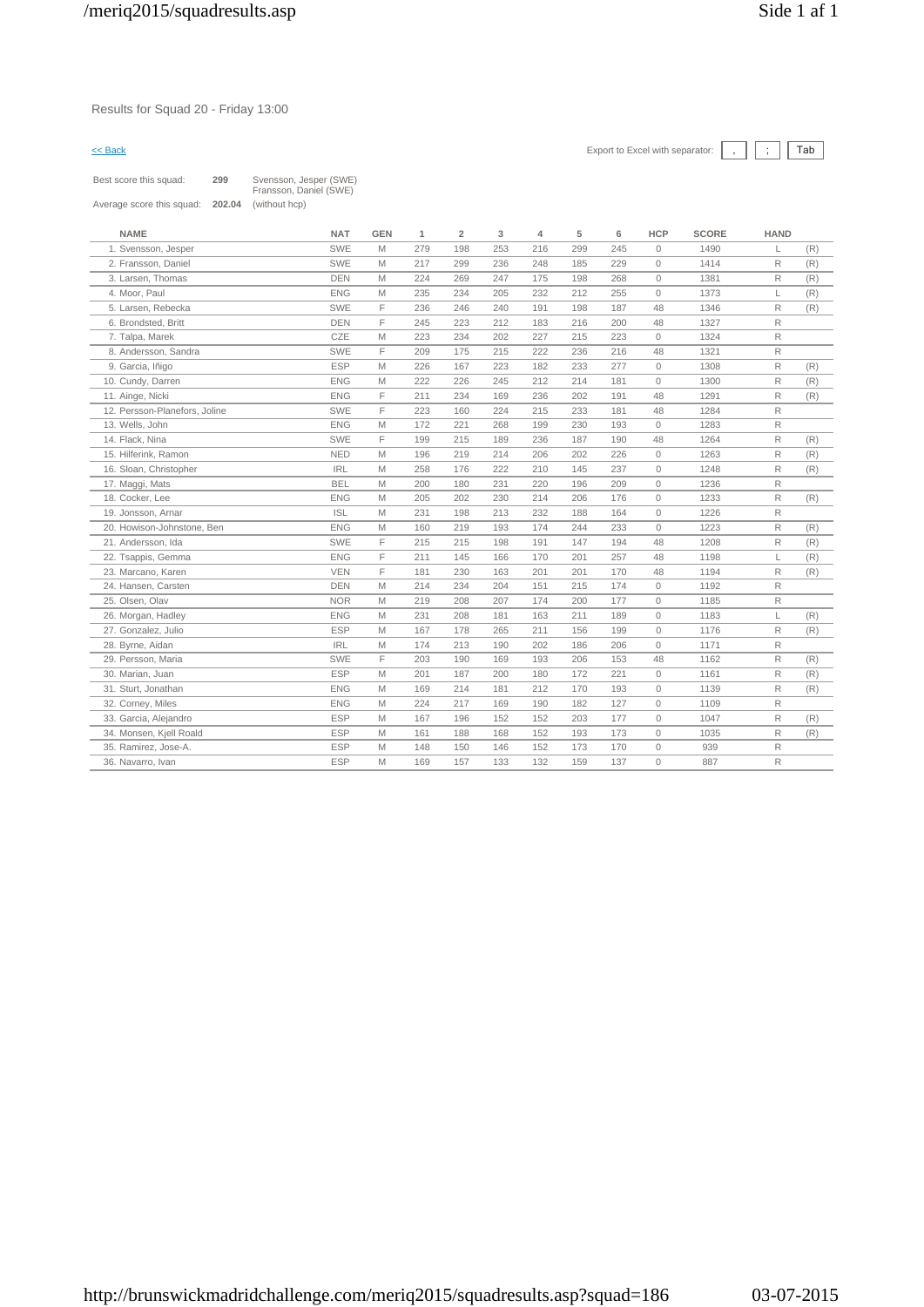Results for Squad 20 - Friday 13:00

| Best score this squad:    | 299    | Svensson, Jesper (SWE)<br>Fransson, Daniel (SWE) |
|---------------------------|--------|--------------------------------------------------|
| Average score this squad: | 202.04 | (without hcp)                                    |

| <b>NAME</b>                   | <b>NAT</b> | <b>GEN</b> | 1   | $\overline{2}$ | 3   | $\overline{4}$ | 5   | 6   | <b>HCP</b>   | <b>SCORE</b> | <b>HAND</b>  |     |
|-------------------------------|------------|------------|-----|----------------|-----|----------------|-----|-----|--------------|--------------|--------------|-----|
| 1. Svensson, Jesper           | <b>SWE</b> | M          | 279 | 198            | 253 | 216            | 299 | 245 | $\mathbf{0}$ | 1490         | L            | (R) |
| 2. Fransson, Daniel           | <b>SWE</b> | M          | 217 | 299            | 236 | 248            | 185 | 229 | $\Omega$     | 1414         | R            | (R) |
| 3. Larsen, Thomas             | <b>DEN</b> | M          | 224 | 269            | 247 | 175            | 198 | 268 | $\circ$      | 1381         | $\mathsf{R}$ | (R) |
| 4. Moor, Paul                 | <b>ENG</b> | M          | 235 | 234            | 205 | 232            | 212 | 255 | $\circ$      | 1373         | L            | (R) |
| 5. Larsen, Rebecka            | <b>SWE</b> | F          | 236 | 246            | 240 | 191            | 198 | 187 | 48           | 1346         | $\mathsf{R}$ | (R) |
| 6. Brondsted, Britt           | <b>DEN</b> | F          | 245 | 223            | 212 | 183            | 216 | 200 | 48           | 1327         | R            |     |
| 7. Talpa, Marek               | CZE        | M          | 223 | 234            | 202 | 227            | 215 | 223 | $\circ$      | 1324         | R            |     |
| 8. Andersson, Sandra          | SWE        | F          | 209 | 175            | 215 | 222            | 236 | 216 | 48           | 1321         | R.           |     |
| 9. Garcia, Iñigo              | <b>ESP</b> | M          | 226 | 167            | 223 | 182            | 233 | 277 | $\circ$      | 1308         | R            | (R) |
| 10. Cundy, Darren             | <b>ENG</b> | M          | 222 | 226            | 245 | 212            | 214 | 181 | $\circ$      | 1300         | R            | (R) |
| 11. Ainge, Nicki              | <b>ENG</b> | F          | 211 | 234            | 169 | 236            | 202 | 191 | 48           | 1291         | R            | (R) |
| 12. Persson-Planefors, Joline | <b>SWE</b> | F          | 223 | 160            | 224 | 215            | 233 | 181 | 48           | 1284         | R            |     |
| 13. Wells, John               | <b>ENG</b> | M          | 172 | 221            | 268 | 199            | 230 | 193 | $\circ$      | 1283         | R            |     |
| 14. Flack, Nina               | SWE        | F          | 199 | 215            | 189 | 236            | 187 | 190 | 48           | 1264         | R            | (R) |
| 15. Hilferink, Ramon          | <b>NED</b> | M          | 196 | 219            | 214 | 206            | 202 | 226 | $\circ$      | 1263         | R            | (R) |
| 16. Sloan, Christopher        | <b>IRL</b> | M          | 258 | 176            | 222 | 210            | 145 | 237 | $\circ$      | 1248         | R            | (R) |
| 17. Maggi, Mats               | <b>BEL</b> | M          | 200 | 180            | 231 | 220            | 196 | 209 | $\mathbf{0}$ | 1236         | R            |     |
| 18. Cocker, Lee               | <b>ENG</b> | M          | 205 | 202            | 230 | 214            | 206 | 176 | $\circ$      | 1233         | R            | (R) |
| 19. Jonsson, Arnar            | <b>ISL</b> | M          | 231 | 198            | 213 | 232            | 188 | 164 | $\circ$      | 1226         | R.           |     |
| 20. Howison-Johnstone, Ben    | <b>ENG</b> | M          | 160 | 219            | 193 | 174            | 244 | 233 | $\mathbf{0}$ | 1223         | R            | (R) |
| 21. Andersson, Ida            | SWE        | F          | 215 | 215            | 198 | 191            | 147 | 194 | 48           | 1208         | R            | (R) |
| 22. Tsappis, Gemma            | <b>ENG</b> | F          | 211 | 145            | 166 | 170            | 201 | 257 | 48           | 1198         | L            | (R) |
| 23. Marcano, Karen            | <b>VEN</b> | F          | 181 | 230            | 163 | 201            | 201 | 170 | 48           | 1194         | R            | (R) |
| 24. Hansen, Carsten           | <b>DEN</b> | M          | 214 | 234            | 204 | 151            | 215 | 174 | $\circ$      | 1192         | R            |     |
| 25. Olsen, Olav               | <b>NOR</b> | M          | 219 | 208            | 207 | 174            | 200 | 177 | $\mathbf{0}$ | 1185         | R            |     |
| 26. Morgan, Hadley            | <b>ENG</b> | M          | 231 | 208            | 181 | 163            | 211 | 189 | $\circ$      | 1183         | L            | (R) |
| 27. Gonzalez, Julio           | <b>ESP</b> | M          | 167 | 178            | 265 | 211            | 156 | 199 | $\mathbf{0}$ | 1176         | R            | (R) |
| 28. Byrne, Aidan              | <b>IRL</b> | M          | 174 | 213            | 190 | 202            | 186 | 206 | $\circ$      | 1171         | R            |     |
| 29. Persson, Maria            | SWE        | F          | 203 | 190            | 169 | 193            | 206 | 153 | 48           | 1162         | R            | (R) |
| 30. Marian, Juan              | <b>ESP</b> | M          | 201 | 187            | 200 | 180            | 172 | 221 | $\circ$      | 1161         | R            | (R) |
| 31. Sturt, Jonathan           | <b>ENG</b> | M          | 169 | 214            | 181 | 212            | 170 | 193 | $\circ$      | 1139         | R            | (R) |
| 32. Corney, Miles             | <b>ENG</b> | M          | 224 | 217            | 169 | 190            | 182 | 127 | $\mathbf{0}$ | 1109         | R            |     |
| 33. Garcia, Alejandro         | <b>ESP</b> | M          | 167 | 196            | 152 | 152            | 203 | 177 | $\circ$      | 1047         | R            | (R) |
| 34. Monsen, Kjell Roald       | <b>ESP</b> | M          | 161 | 188            | 168 | 152            | 193 | 173 | $\circ$      | 1035         | R            | (R) |
| 35. Ramirez, Jose-A.          | <b>ESP</b> | M          | 148 | 150            | 146 | 152            | 173 | 170 | $\circ$      | 939          | R            |     |
| 36. Navarro, Ivan             | <b>ESP</b> | M          | 169 | 157            | 133 | 132            | 159 | 137 | $\circ$      | 887          | R            |     |
|                               |            |            |     |                |     |                |     |     |              |              |              |     |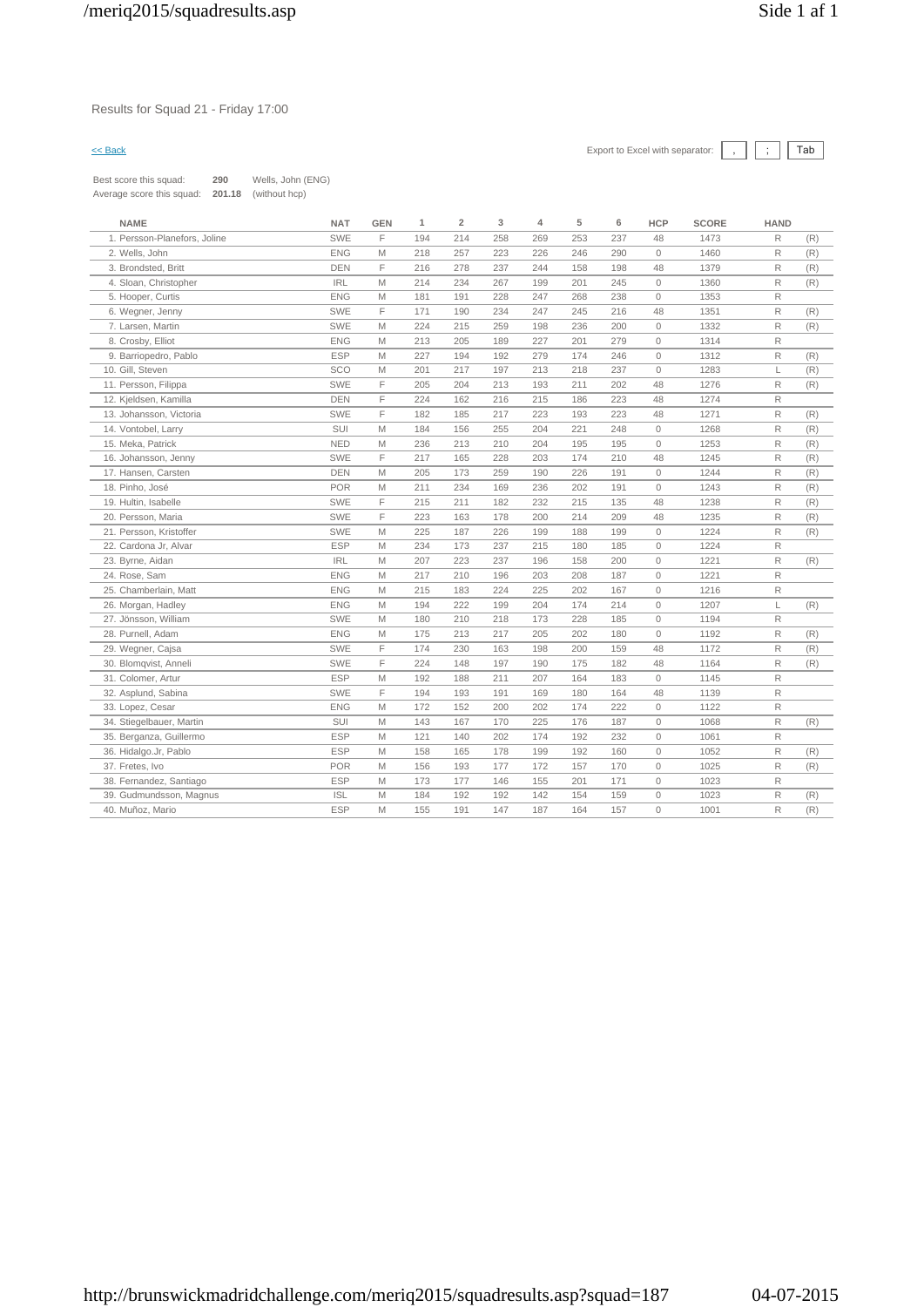### Results for Squad 21 - Friday 17:00

# $\leq$  Back Export to Excel with separator:  $\boxed{\phantom{s}}$ ,  $\boxed{\phantom{s}}$   $\boxed{\phantom{s}}$

Best score this squad: **290** Wells, John (ENG) Average score this squad: **201.18** (without hcp)

| <b>NAME</b>                  | <b>NAT</b> | <b>GEN</b> | $\mathbf{1}$ | $\overline{2}$ | 3   | $\overline{4}$ | 5   | 6   | <b>HCP</b>          | <b>SCORE</b> | <b>HAND</b>  |     |
|------------------------------|------------|------------|--------------|----------------|-----|----------------|-----|-----|---------------------|--------------|--------------|-----|
| 1. Persson-Planefors, Joline | <b>SWE</b> | F          | 194          | 214            | 258 | 269            | 253 | 237 | 48                  | 1473         | $\mathsf{R}$ | (R) |
| 2. Wells, John               | <b>ENG</b> | M          | 218          | 257            | 223 | 226            | 246 | 290 | $\Omega$            | 1460         | $\mathsf R$  | (R) |
| 3. Brondsted, Britt          | <b>DEN</b> | F          | 216          | 278            | 237 | 244            | 158 | 198 | 48                  | 1379         | R            | (R) |
| 4. Sloan, Christopher        | <b>IRL</b> | M          | 214          | 234            | 267 | 199            | 201 | 245 | $\circ$             | 1360         | R            | (R) |
| 5. Hooper, Curtis            | <b>ENG</b> | M          | 181          | 191            | 228 | 247            | 268 | 238 | $\mathbf{0}$        | 1353         | R            |     |
| 6. Wegner, Jenny             | <b>SWE</b> | F          | 171          | 190            | 234 | 247            | 245 | 216 | 48                  | 1351         | $\mathsf{R}$ | (R) |
| 7. Larsen, Martin            | <b>SWE</b> | M          | 224          | 215            | 259 | 198            | 236 | 200 | $\mathbf{0}$        | 1332         | R            | (R) |
| 8. Crosby, Elliot            | <b>ENG</b> | M          | 213          | 205            | 189 | 227            | 201 | 279 | $\circ$             | 1314         | $\mathsf R$  |     |
| 9. Barriopedro, Pablo        | <b>ESP</b> | M          | 227          | 194            | 192 | 279            | 174 | 246 | $\circ$             | 1312         | R            | (R) |
| 10. Gill, Steven             | SCO        | M          | 201          | 217            | 197 | 213            | 218 | 237 | $\circ$             | 1283         | L            | (R) |
| 11. Persson, Filippa         | <b>SWE</b> | F          | 205          | 204            | 213 | 193            | 211 | 202 | 48                  | 1276         | $\mathsf R$  | (R) |
| 12. Kjeldsen, Kamilla        | <b>DEN</b> | F          | 224          | 162            | 216 | 215            | 186 | 223 | 48                  | 1274         | R            |     |
| 13. Johansson, Victoria      | SWE        | F          | 182          | 185            | 217 | 223            | 193 | 223 | 48                  | 1271         | $\mathsf R$  | (R) |
| 14. Vontobel, Larry          | SUI        | M          | 184          | 156            | 255 | 204            | 221 | 248 | $\circ$             | 1268         | R            | (R) |
| 15. Meka, Patrick            | <b>NED</b> | M          | 236          | 213            | 210 | 204            | 195 | 195 | $\circ$             | 1253         | $\mathsf{R}$ | (R) |
| 16. Johansson, Jenny         | <b>SWE</b> | F          | 217          | 165            | 228 | 203            | 174 | 210 | 48                  | 1245         | R            | (R) |
| 17. Hansen, Carsten          | <b>DEN</b> | M          | 205          | 173            | 259 | 190            | 226 | 191 | $\mathbf{0}$        | 1244         | R            | (R) |
| 18. Pinho, José              | <b>POR</b> | M          | 211          | 234            | 169 | 236            | 202 | 191 | $\mathbf{0}$        | 1243         | $\mathsf R$  | (R) |
| 19. Hultin, Isabelle         | SWE        | F          | 215          | 211            | 182 | 232            | 215 | 135 | 48                  | 1238         | $\mathsf R$  | (R) |
| 20. Persson, Maria           | <b>SWE</b> | F          | 223          | 163            | 178 | 200            | 214 | 209 | 48                  | 1235         | R            | (R) |
| 21. Persson, Kristoffer      | <b>SWE</b> | M          | 225          | 187            | 226 | 199            | 188 | 199 | $\circ$             | 1224         | $\mathsf R$  | (R) |
| 22. Cardona Jr, Alvar        | <b>ESP</b> | M          | 234          | 173            | 237 | 215            | 180 | 185 | $\circ$             | 1224         | R            |     |
| 23. Byrne, Aidan             | <b>IRL</b> | M          | 207          | 223            | 237 | 196            | 158 | 200 | $\mathbf{0}$        | 1221         | $\mathsf R$  | (R) |
| 24. Rose, Sam                | <b>ENG</b> | M          | 217          | 210            | 196 | 203            | 208 | 187 | $\mathbf{0}$        | 1221         | R            |     |
| 25. Chamberlain, Matt        | <b>ENG</b> | M          | 215          | 183            | 224 | 225            | 202 | 167 | $\circ$             | 1216         | R            |     |
| 26. Morgan, Hadley           | <b>ENG</b> | M          | 194          | 222            | 199 | 204            | 174 | 214 | $\circ$             | 1207         | L            | (R) |
| 27. Jönsson, William         | <b>SWE</b> | M          | 180          | 210            | 218 | 173            | 228 | 185 | $\circ$             | 1194         | R            |     |
| 28. Purnell. Adam            | <b>ENG</b> | M          | 175          | 213            | 217 | 205            | 202 | 180 | $\Omega$            | 1192         | $\mathsf R$  | (R) |
| 29. Wegner, Cajsa            | SWE        | F          | 174          | 230            | 163 | 198            | 200 | 159 | 48                  | 1172         | $\mathsf R$  | (R) |
| 30. Blomqvist, Anneli        | <b>SWE</b> | F          | 224          | 148            | 197 | 190            | 175 | 182 | 48                  | 1164         | R            | (R) |
| 31. Colomer, Artur           | <b>ESP</b> | M          | 192          | 188            | 211 | 207            | 164 | 183 | $\Omega$            | 1145         | R            |     |
| 32. Asplund, Sabina          | <b>SWE</b> | F          | 194          | 193            | 191 | 169            | 180 | 164 | 48                  | 1139         | R            |     |
| 33. Lopez, Cesar             | <b>ENG</b> | M          | 172          | 152            | 200 | 202            | 174 | 222 | $\circ$             | 1122         | R            |     |
| 34. Stiegelbauer, Martin     | SUI        | M          | 143          | 167            | 170 | 225            | 176 | 187 | $\circ$             | 1068         | $\mathsf R$  | (R) |
| 35. Berganza, Guillermo      | <b>ESP</b> | M          | 121          | 140            | 202 | 174            | 192 | 232 | $\circ$             | 1061         | R            |     |
| 36. Hidalgo.Jr, Pablo        | <b>ESP</b> | M          | 158          | 165            | 178 | 199            | 192 | 160 | $\mathbf{0}$        | 1052         | $\mathsf R$  | (R) |
| 37. Fretes, Ivo              | <b>POR</b> | M          | 156          | 193            | 177 | 172            | 157 | 170 | $\mathsf{O}\xspace$ | 1025         | R            | (R) |
| 38. Fernandez, Santiago      | <b>ESP</b> | M          | 173          | 177            | 146 | 155            | 201 | 171 | $\circ$             | 1023         | R            |     |
| 39. Gudmundsson, Magnus      | <b>ISL</b> | M          | 184          | 192            | 192 | 142            | 154 | 159 | $\circ$             | 1023         | $\mathsf R$  | (R) |
| 40. Muñoz, Mario             | <b>ESP</b> | M          | 155          | 191            | 147 | 187            | 164 | 157 | $\mathbf{0}$        | 1001         | $\mathsf R$  | (R) |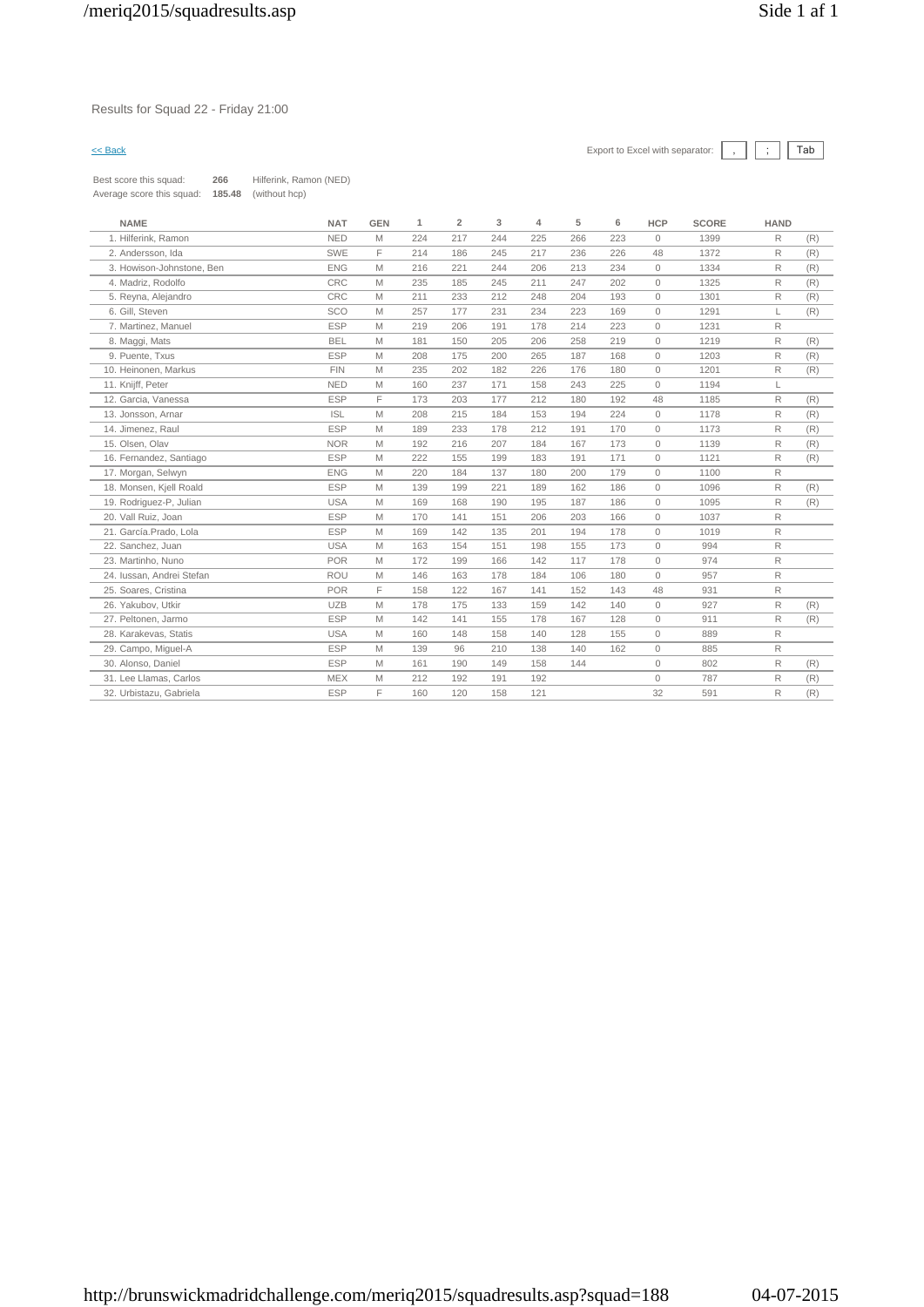### Results for Squad 22 - Friday 21:00



Best score this squad: **266** Hilferink, Ramon (NED) Average score this squad: **185.48** (without hcp)

| <b>NAME</b>               | <b>NAT</b> | <b>GEN</b> | 1   | $\overline{\mathbf{2}}$ | 3   | 4   | 5   | 6   | <b>HCP</b>   | <b>SCORE</b> | <b>HAND</b>  |     |
|---------------------------|------------|------------|-----|-------------------------|-----|-----|-----|-----|--------------|--------------|--------------|-----|
| 1. Hilferink, Ramon       | <b>NED</b> | M          | 224 | 217                     | 244 | 225 | 266 | 223 | $\Omega$     | 1399         | R            | (R) |
| 2. Andersson, Ida         | <b>SWE</b> | F          | 214 | 186                     | 245 | 217 | 236 | 226 | 48           | 1372         | R            | (R) |
| 3. Howison-Johnstone, Ben | <b>ENG</b> | M          | 216 | 221                     | 244 | 206 | 213 | 234 | $\mathbf{0}$ | 1334         | R            | (R) |
| 4. Madriz, Rodolfo        | <b>CRC</b> | M          | 235 | 185                     | 245 | 211 | 247 | 202 | $\circ$      | 1325         | R            | (R) |
| 5. Reyna, Alejandro       | CRC        | M          | 211 | 233                     | 212 | 248 | 204 | 193 | $\Omega$     | 1301         | R            | (R) |
| 6. Gill, Steven           | <b>SCO</b> | M          | 257 | 177                     | 231 | 234 | 223 | 169 | $\circ$      | 1291         | L            | (R) |
| 7. Martinez, Manuel       | <b>ESP</b> | M          | 219 | 206                     | 191 | 178 | 214 | 223 | $\Omega$     | 1231         | R            |     |
| 8. Maggi, Mats            | <b>BEL</b> | M          | 181 | 150                     | 205 | 206 | 258 | 219 | $\Omega$     | 1219         | R            | (R) |
| 9. Puente, Txus           | <b>ESP</b> | M          | 208 | 175                     | 200 | 265 | 187 | 168 | $\Omega$     | 1203         | R            | (R) |
| 10. Heinonen. Markus      | <b>FIN</b> | M          | 235 | 202                     | 182 | 226 | 176 | 180 | $\circ$      | 1201         | R            | (R) |
| 11. Kniiff, Peter         | <b>NED</b> | M          | 160 | 237                     | 171 | 158 | 243 | 225 | $\Omega$     | 1194         | L            |     |
| 12. Garcia. Vanessa       | <b>ESP</b> | E          | 173 | 203                     | 177 | 212 | 180 | 192 | 48           | 1185         | $\mathsf{R}$ | (R) |
| 13. Jonsson, Arnar        | <b>ISL</b> | M          | 208 | 215                     | 184 | 153 | 194 | 224 | $\circ$      | 1178         | $\mathsf{R}$ | (R) |
| 14. Jimenez, Raul         | <b>ESP</b> | M          | 189 | 233                     | 178 | 212 | 191 | 170 | $\circ$      | 1173         | R            | (R) |
| 15. Olsen, Olav           | <b>NOR</b> | M          | 192 | 216                     | 207 | 184 | 167 | 173 | $\Omega$     | 1139         | R            | (R) |
| 16. Fernandez, Santiago   | <b>ESP</b> | M          | 222 | 155                     | 199 | 183 | 191 | 171 | $\Omega$     | 1121         | R            | (R) |
| 17. Morgan, Selwyn        | <b>ENG</b> | M          | 220 | 184                     | 137 | 180 | 200 | 179 | $\Omega$     | 1100         | R            |     |
| 18. Monsen, Kjell Roald   | <b>ESP</b> | M          | 139 | 199                     | 221 | 189 | 162 | 186 | $\circ$      | 1096         | R            | (R) |
| 19. Rodriguez-P, Julian   | <b>USA</b> | M          | 169 | 168                     | 190 | 195 | 187 | 186 | $\mathbf{0}$ | 1095         | R            | (R) |
| 20. Vall Ruiz, Joan       | <b>ESP</b> | M          | 170 | 141                     | 151 | 206 | 203 | 166 | $\circ$      | 1037         | $\mathsf{R}$ |     |
| 21. García.Prado, Lola    | <b>ESP</b> | M          | 169 | 142                     | 135 | 201 | 194 | 178 | $\Omega$     | 1019         | R            |     |
| 22. Sanchez, Juan         | <b>USA</b> | M          | 163 | 154                     | 151 | 198 | 155 | 173 | $\circ$      | 994          | R            |     |
| 23. Martinho, Nuno        | <b>POR</b> | M          | 172 | 199                     | 166 | 142 | 117 | 178 | $\Omega$     | 974          | R            |     |
| 24. Iussan. Andrei Stefan | <b>ROU</b> | M          | 146 | 163                     | 178 | 184 | 106 | 180 | $\Omega$     | 957          | $\mathsf{R}$ |     |
| 25. Soares, Cristina      | <b>POR</b> | F          | 158 | 122                     | 167 | 141 | 152 | 143 | 48           | 931          | R            |     |
| 26. Yakubov, Utkir        | <b>UZB</b> | M          | 178 | 175                     | 133 | 159 | 142 | 140 | $\circ$      | 927          | R            | (R) |
| 27. Peltonen, Jarmo       | <b>ESP</b> | M          | 142 | 141                     | 155 | 178 | 167 | 128 | $\Omega$     | 911          | R            | (R) |
| 28. Karakevas, Statis     | <b>USA</b> | M          | 160 | 148                     | 158 | 140 | 128 | 155 | $\Omega$     | 889          | $\mathsf{R}$ |     |
| 29. Campo, Miguel-A       | <b>ESP</b> | M          | 139 | 96                      | 210 | 138 | 140 | 162 | $\circ$      | 885          | R            |     |
| 30. Alonso, Daniel        | <b>ESP</b> | M          | 161 | 190                     | 149 | 158 | 144 |     | $\circ$      | 802          | R            | (R) |
| 31. Lee Llamas, Carlos    | <b>MEX</b> | M          | 212 | 192                     | 191 | 192 |     |     | $\Omega$     | 787          | R            | (R) |
| 32. Urbistazu, Gabriela   | <b>ESP</b> | E          | 160 | 120                     | 158 | 121 |     |     | 32           | 591          | R            | (R) |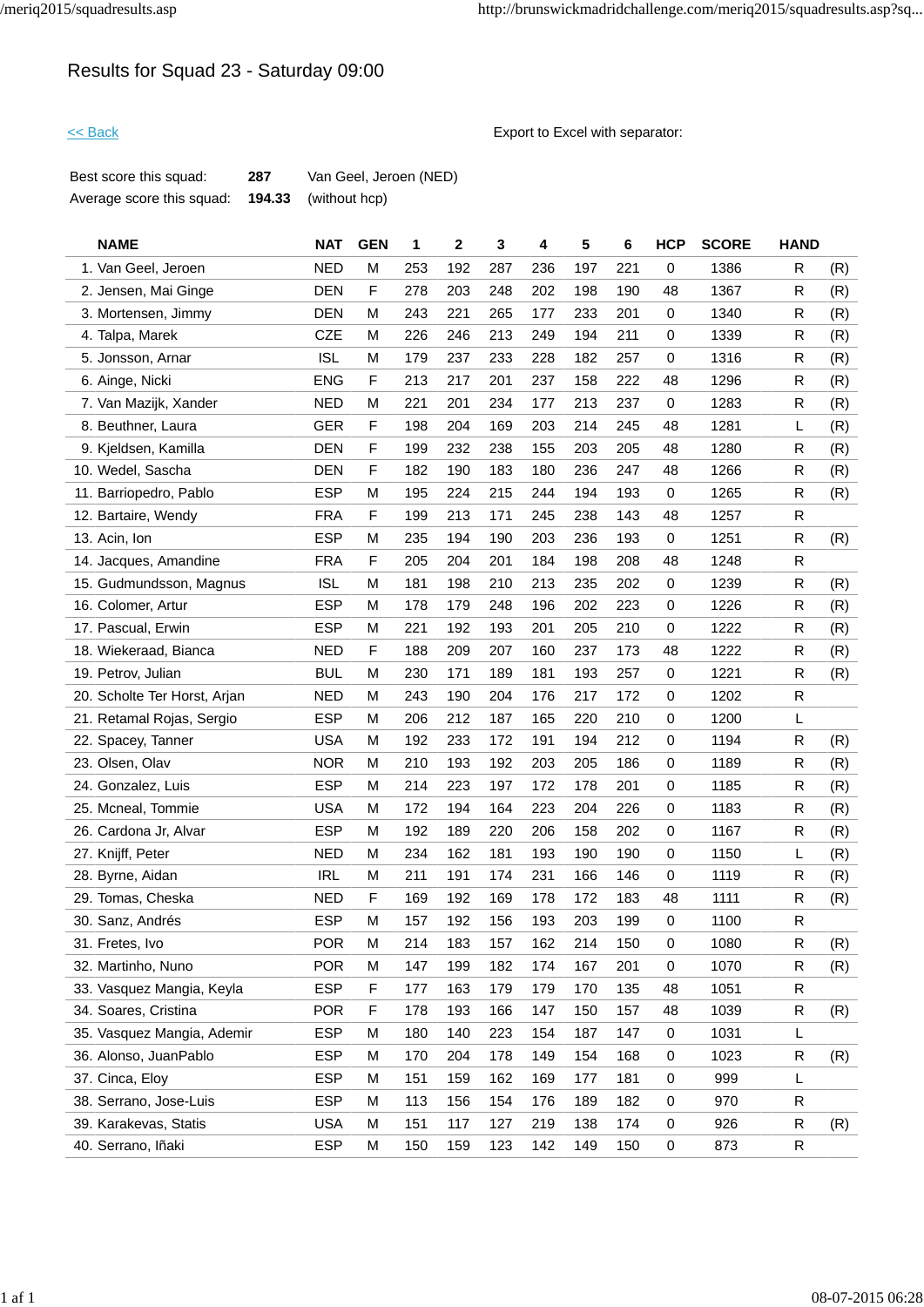# Results for Squad 23 - Saturday 09:00

<< Back Export to Excel with separator:

| Best score this squad:    | 287 | Van Geel, Jeroen (NED) |
|---------------------------|-----|------------------------|
| Average score this squad: |     | $194.33$ (without hcp) |

| <b>NAME</b>                  | <b>NAT</b> | <b>GEN</b> | 1   | 2   | 3   | 4   | 5   | 6   | <b>HCP</b>  | <b>SCORE</b> | <b>HAND</b>  |     |
|------------------------------|------------|------------|-----|-----|-----|-----|-----|-----|-------------|--------------|--------------|-----|
| 1. Van Geel, Jeroen          | <b>NED</b> | м          | 253 | 192 | 287 | 236 | 197 | 221 | 0           | 1386         | R            | (R) |
| 2. Jensen, Mai Ginge         | <b>DEN</b> | F          | 278 | 203 | 248 | 202 | 198 | 190 | 48          | 1367         | ${\sf R}$    | (R) |
| 3. Mortensen, Jimmy          | <b>DEN</b> | М          | 243 | 221 | 265 | 177 | 233 | 201 | 0           | 1340         | R            | (R) |
| 4. Talpa, Marek              | <b>CZE</b> | M          | 226 | 246 | 213 | 249 | 194 | 211 | 0           | 1339         | R.           | (R) |
| 5. Jonsson, Arnar            | <b>ISL</b> | м          | 179 | 237 | 233 | 228 | 182 | 257 | $\mathbf 0$ | 1316         | R            | (R) |
| 6. Ainge, Nicki              | <b>ENG</b> | F          | 213 | 217 | 201 | 237 | 158 | 222 | 48          | 1296         | R            | (R) |
| 7. Van Mazijk, Xander        | <b>NED</b> | М          | 221 | 201 | 234 | 177 | 213 | 237 | 0           | 1283         | R            | (R) |
| 8. Beuthner, Laura           | <b>GER</b> | F          | 198 | 204 | 169 | 203 | 214 | 245 | 48          | 1281         | L            | (R) |
| 9. Kjeldsen, Kamilla         | <b>DEN</b> | F          | 199 | 232 | 238 | 155 | 203 | 205 | 48          | 1280         | R            | (R) |
| 10. Wedel, Sascha            | <b>DEN</b> | F          | 182 | 190 | 183 | 180 | 236 | 247 | 48          | 1266         | R            | (R) |
| 11. Barriopedro, Pablo       | <b>ESP</b> | м          | 195 | 224 | 215 | 244 | 194 | 193 | 0           | 1265         | R            | (R) |
| 12. Bartaire, Wendy          | <b>FRA</b> | F          | 199 | 213 | 171 | 245 | 238 | 143 | 48          | 1257         | R            |     |
| 13. Acin, Ion                | <b>ESP</b> | М          | 235 | 194 | 190 | 203 | 236 | 193 | 0           | 1251         | R            | (R) |
| 14. Jacques, Amandine        | <b>FRA</b> | F          | 205 | 204 | 201 | 184 | 198 | 208 | 48          | 1248         | $\mathsf{R}$ |     |
| 15. Gudmundsson, Magnus      | <b>ISL</b> | M          | 181 | 198 | 210 | 213 | 235 | 202 | 0           | 1239         | R            | (R) |
| 16. Colomer, Artur           | <b>ESP</b> | м          | 178 | 179 | 248 | 196 | 202 | 223 | 0           | 1226         | R            | (R) |
| 17. Pascual, Erwin           | <b>ESP</b> | м          | 221 | 192 | 193 | 201 | 205 | 210 | $\mathbf 0$ | 1222         | R            | (R) |
| 18. Wiekeraad, Bianca        | <b>NED</b> | F          | 188 | 209 | 207 | 160 | 237 | 173 | 48          | 1222         | R            | (R) |
| 19. Petrov, Julian           | <b>BUL</b> | М          | 230 | 171 | 189 | 181 | 193 | 257 | $\mathbf 0$ | 1221         | R            | (R) |
| 20. Scholte Ter Horst, Arjan | <b>NED</b> | М          | 243 | 190 | 204 | 176 | 217 | 172 | 0           | 1202         | R            |     |
| 21. Retamal Rojas, Sergio    | <b>ESP</b> | м          | 206 | 212 | 187 | 165 | 220 | 210 | 0           | 1200         | L            |     |
| 22. Spacey, Tanner           | <b>USA</b> | М          | 192 | 233 | 172 | 191 | 194 | 212 | $\mathbf 0$ | 1194         | R            | (R) |
| 23. Olsen, Olav              | <b>NOR</b> | м          | 210 | 193 | 192 | 203 | 205 | 186 | 0           | 1189         | R            | (R) |
| 24. Gonzalez, Luis           | <b>ESP</b> | М          | 214 | 223 | 197 | 172 | 178 | 201 | $\mathbf 0$ | 1185         | R            | (R) |
| 25. Mcneal, Tommie           | <b>USA</b> | м          | 172 | 194 | 164 | 223 | 204 | 226 | 0           | 1183         | R.           | (R) |
| 26. Cardona Jr, Alvar        | <b>ESP</b> | м          | 192 | 189 | 220 | 206 | 158 | 202 | $\mathbf 0$ | 1167         | ${\sf R}$    | (R) |
| 27. Knijff, Peter            | <b>NED</b> | M          | 234 | 162 | 181 | 193 | 190 | 190 | $\mathbf 0$ | 1150         | L            | (R) |
| 28. Byrne, Aidan             | <b>IRL</b> | м          | 211 | 191 | 174 | 231 | 166 | 146 | 0           | 1119         | R            | (R) |
| 29. Tomas, Cheska            | <b>NED</b> | F          | 169 | 192 | 169 | 178 | 172 | 183 | 48          | 1111         | R            | (R) |
| 30. Sanz, Andrés             | <b>ESP</b> | М          | 157 | 192 | 156 | 193 | 203 | 199 | 0           | 1100         | R            |     |
| 31. Fretes, Ivo              | <b>POR</b> | M          | 214 | 183 | 157 | 162 | 214 | 150 | $\mathbf 0$ | 1080         | R            | (R) |
| 32. Martinho, Nuno           | <b>POR</b> | Μ          | 147 | 199 | 182 | 174 | 167 | 201 | 0           | 1070         | R            | (R) |
| 33. Vasquez Mangia, Keyla    | <b>ESP</b> | F          | 177 | 163 | 179 | 179 | 170 | 135 | 48          | 1051         | R            |     |
| 34. Soares, Cristina         | <b>POR</b> | F          | 178 | 193 | 166 | 147 | 150 | 157 | 48          | 1039         | R            | (R) |
| 35. Vasquez Mangia, Ademir   | <b>ESP</b> | м          | 180 | 140 | 223 | 154 | 187 | 147 | 0           | 1031         | L            |     |
| 36. Alonso, JuanPablo        | <b>ESP</b> | м          | 170 | 204 | 178 | 149 | 154 | 168 | 0           | 1023         | R            | (R) |
| 37. Cinca, Eloy              | <b>ESP</b> | м          | 151 | 159 | 162 | 169 | 177 | 181 | 0           | 999          | L            |     |
| 38. Serrano, Jose-Luis       | <b>ESP</b> | м          | 113 | 156 | 154 | 176 | 189 | 182 | $\mathbf 0$ | 970          | R            |     |
| 39. Karakevas, Statis        | USA        | м          | 151 | 117 | 127 | 219 | 138 | 174 | $\mathbf 0$ | 926          | R            | (R) |
| 40. Serrano, Iñaki           | <b>ESP</b> | М          | 150 | 159 | 123 | 142 | 149 | 150 | 0           | 873          | R            |     |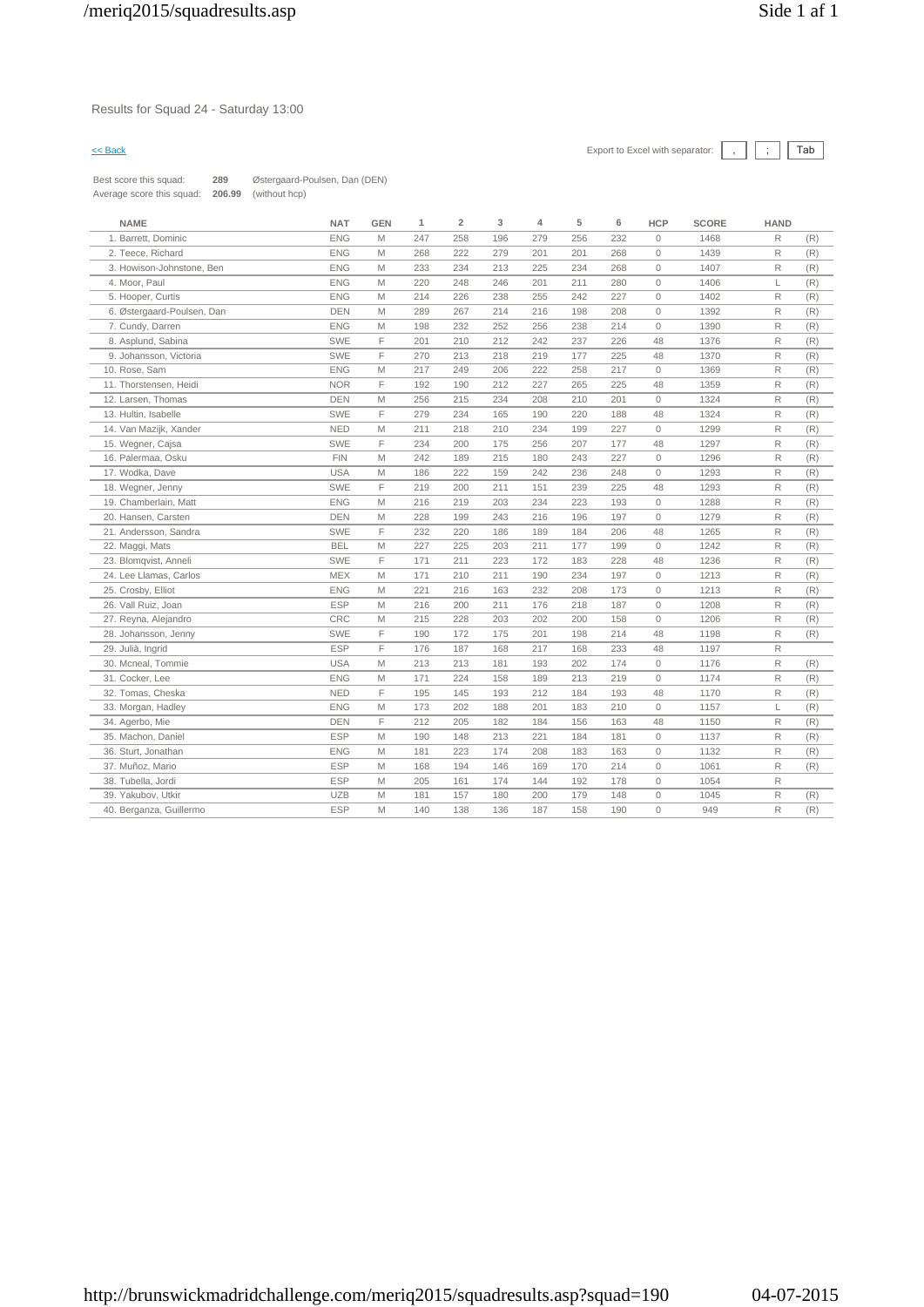### Results for Squad 24 - Saturday 13:00



Best score this squad: **289** Østergaard-Poulsen, Dan (DEN) Average score this squad: **206.99** (without hcp)

| <b>NAME</b>                | <b>NAT</b> | <b>GEN</b> | 1   | $\overline{2}$ | 3   | 4   | 5   | 6   | <b>HCP</b>          | <b>SCORE</b> | <b>HAND</b> |     |
|----------------------------|------------|------------|-----|----------------|-----|-----|-----|-----|---------------------|--------------|-------------|-----|
| 1. Barrett, Dominic        | <b>ENG</b> | M          | 247 | 258            | 196 | 279 | 256 | 232 | $\circ$             | 1468         | R           | (R) |
| 2. Teece, Richard          | <b>ENG</b> | M          | 268 | 222            | 279 | 201 | 201 | 268 | $\circ$             | 1439         | R           | (R) |
| 3. Howison-Johnstone, Ben  | <b>ENG</b> | M          | 233 | 234            | 213 | 225 | 234 | 268 | $\circ$             | 1407         | R           | (R) |
| 4. Moor, Paul              | <b>ENG</b> | M          | 220 | 248            | 246 | 201 | 211 | 280 | $\circ$             | 1406         | L           | (R) |
| 5. Hooper, Curtis          | <b>ENG</b> | M          | 214 | 226            | 238 | 255 | 242 | 227 | $\circ$             | 1402         | R           | (R) |
| 6. Østergaard-Poulsen, Dan | <b>DEN</b> | M          | 289 | 267            | 214 | 216 | 198 | 208 | $\Omega$            | 1392         | R           | (R) |
| 7. Cundy, Darren           | <b>ENG</b> | M          | 198 | 232            | 252 | 256 | 238 | 214 | $\circ$             | 1390         | R           | (R) |
| 8. Asplund, Sabina         | SWE        | F          | 201 | 210            | 212 | 242 | 237 | 226 | 48                  | 1376         | R           | (R) |
| 9. Johansson, Victoria     | <b>SWE</b> | F          | 270 | 213            | 218 | 219 | 177 | 225 | 48                  | 1370         | R           | (R) |
| 10. Rose, Sam              | <b>ENG</b> | M          | 217 | 249            | 206 | 222 | 258 | 217 | $\mathbb O$         | 1369         | R           | (R) |
| 11. Thorstensen, Heidi     | <b>NOR</b> | F          | 192 | 190            | 212 | 227 | 265 | 225 | 48                  | 1359         | R           | (R) |
| 12. Larsen, Thomas         | <b>DEN</b> | M          | 256 | 215            | 234 | 208 | 210 | 201 | $\circ$             | 1324         | R           | (R) |
| 13. Hultin, Isabelle       | SWE        | F          | 279 | 234            | 165 | 190 | 220 | 188 | 48                  | 1324         | R           | (R) |
| 14. Van Mazijk, Xander     | <b>NED</b> | M          | 211 | 218            | 210 | 234 | 199 | 227 | $\circ$             | 1299         | R           | (R) |
| 15. Wegner, Cajsa          | <b>SWE</b> | F          | 234 | 200            | 175 | 256 | 207 | 177 | 48                  | 1297         | R           | (R) |
| 16. Palermaa, Osku         | <b>FIN</b> | M          | 242 | 189            | 215 | 180 | 243 | 227 | $\mathsf{O}\xspace$ | 1296         | R           | (R) |
| 17. Wodka, Dave            | <b>USA</b> | M          | 186 | 222            | 159 | 242 | 236 | 248 | $\circ$             | 1293         | R           | (R) |
| 18. Wegner, Jenny          | SWE        | F          | 219 | 200            | 211 | 151 | 239 | 225 | 48                  | 1293         | R           | (R) |
| 19. Chamberlain, Matt      | <b>ENG</b> | M          | 216 | 219            | 203 | 234 | 223 | 193 | $\circ$             | 1288         | R           | (R) |
| 20. Hansen, Carsten        | <b>DEN</b> | M          | 228 | 199            | 243 | 216 | 196 | 197 | $\circ$             | 1279         | R           | (R) |
| 21. Andersson, Sandra      | <b>SWE</b> | F          | 232 | 220            | 186 | 189 | 184 | 206 | 48                  | 1265         | R           | (R) |
| 22. Maggi, Mats            | <b>BEL</b> | M          | 227 | 225            | 203 | 211 | 177 | 199 | $\circ$             | 1242         | R           | (R) |
| 23. Blomqvist, Anneli      | <b>SWE</b> | F          | 171 | 211            | 223 | 172 | 183 | 228 | 48                  | 1236         | R           | (R) |
| 24. Lee Llamas, Carlos     | <b>MEX</b> | M          | 171 | 210            | 211 | 190 | 234 | 197 | $\circ$             | 1213         | R           | (R) |
| 25. Crosby, Elliot         | <b>ENG</b> | M          | 221 | 216            | 163 | 232 | 208 | 173 | $\circ$             | 1213         | R           | (R) |
| 26. Vall Ruiz, Joan        | <b>ESP</b> | M          | 216 | 200            | 211 | 176 | 218 | 187 | $\circ$             | 1208         | R           | (R) |
| 27. Reyna, Alejandro       | CRC        | M          | 215 | 228            | 203 | 202 | 200 | 158 | $\mathbf{0}$        | 1206         | R           | (R) |
| 28. Johansson, Jenny       | <b>SWE</b> | F          | 190 | 172            | 175 | 201 | 198 | 214 | 48                  | 1198         | R           | (R) |
| 29. Julià, Ingrid          | <b>ESP</b> | F          | 176 | 187            | 168 | 217 | 168 | 233 | 48                  | 1197         | R           |     |
| 30. Mcneal, Tommie         | <b>USA</b> | M          | 213 | 213            | 181 | 193 | 202 | 174 | $\circ$             | 1176         | R           | (R) |
| 31. Cocker, Lee            | <b>ENG</b> | M          | 171 | 224            | 158 | 189 | 213 | 219 | $\circ$             | 1174         | R           | (R) |
| 32. Tomas, Cheska          | <b>NED</b> | F          | 195 | 145            | 193 | 212 | 184 | 193 | 48                  | 1170         | R           | (R) |
| 33. Morgan, Hadley         | <b>ENG</b> | M          | 173 | 202            | 188 | 201 | 183 | 210 | $\circ$             | 1157         | L           | (R) |
| 34. Agerbo, Mie            | <b>DEN</b> | F          | 212 | 205            | 182 | 184 | 156 | 163 | 48                  | 1150         | R           | (R) |
| 35. Machon, Daniel         | <b>ESP</b> | M          | 190 | 148            | 213 | 221 | 184 | 181 | $\circ$             | 1137         | R           | (R) |
| 36. Sturt, Jonathan        | <b>ENG</b> | M          | 181 | 223            | 174 | 208 | 183 | 163 | $\circ$             | 1132         | R           | (R) |
| 37. Muñoz, Mario           | <b>ESP</b> | M          | 168 | 194            | 146 | 169 | 170 | 214 | $\circ$             | 1061         | R           | (R) |
| 38. Tubella, Jordi         | <b>ESP</b> | M          | 205 | 161            | 174 | 144 | 192 | 178 | $\mathbb O$         | 1054         | R           |     |
| 39. Yakubov, Utkir         | <b>UZB</b> | M          | 181 | 157            | 180 | 200 | 179 | 148 | $\circ$             | 1045         | R           | (R) |
| 40. Berganza, Guillermo    | <b>ESP</b> | M          | 140 | 138            | 136 | 187 | 158 | 190 | $\circ$             | 949          | R           | (R) |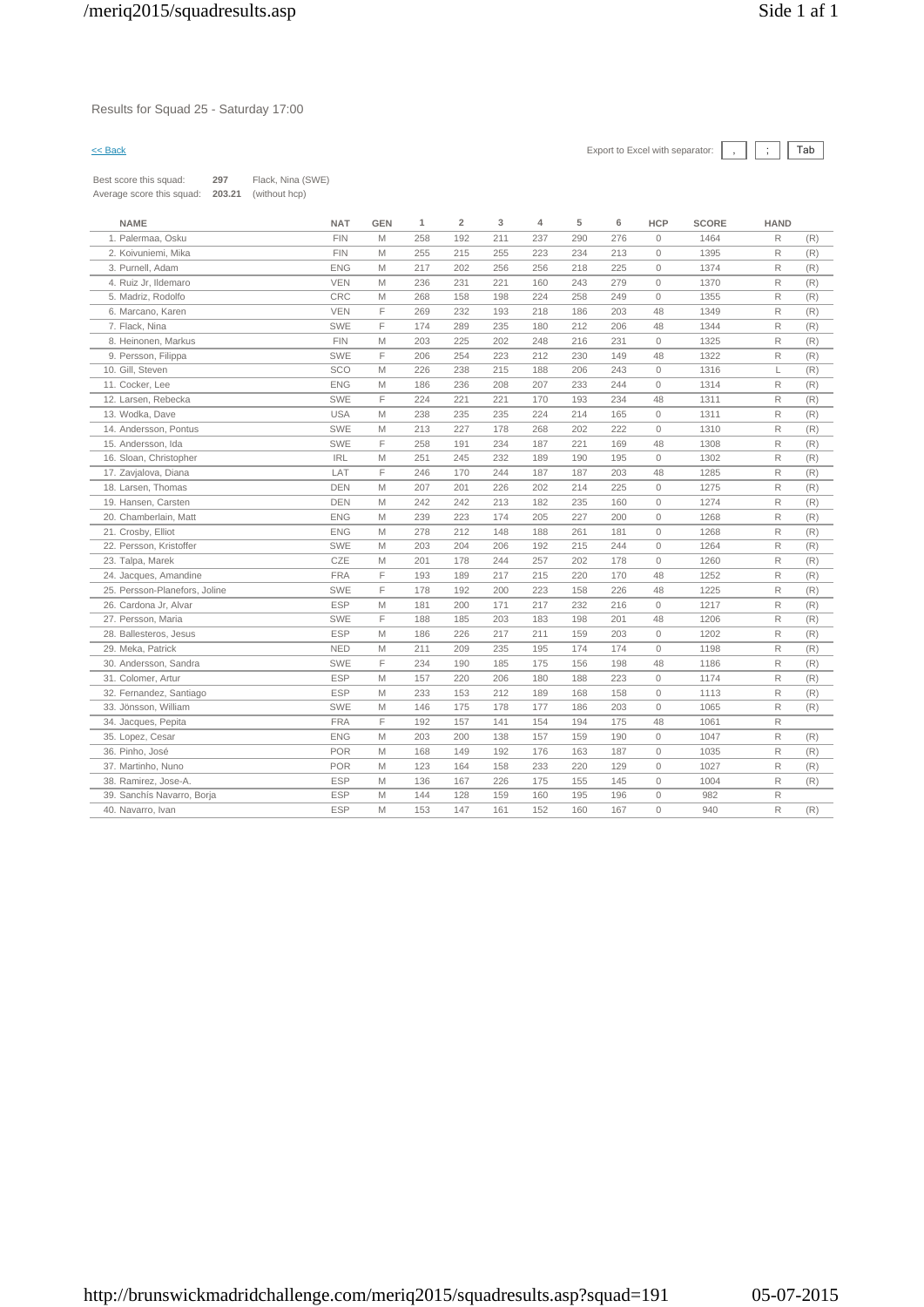## Results for Squad 25 - Saturday 17:00

| Best score this squad:    | 297    | Flack, Nina (SWE) |
|---------------------------|--------|-------------------|
| Average score this squad: | 203.21 | (without hcp)     |

| <b>NAME</b>                   | <b>NAT</b> | <b>GEN</b> | 1   | $\overline{\mathbf{c}}$ | 3   | 4   | 5   | 6   | <b>HCP</b>   | <b>SCORE</b> | <b>HAND</b>  |     |
|-------------------------------|------------|------------|-----|-------------------------|-----|-----|-----|-----|--------------|--------------|--------------|-----|
| 1. Palermaa, Osku             | <b>FIN</b> | M          | 258 | 192                     | 211 | 237 | 290 | 276 | $\circ$      | 1464         | $\mathsf R$  | (R) |
| 2. Koivuniemi, Mika           | <b>FIN</b> | M          | 255 | 215                     | 255 | 223 | 234 | 213 | $\circ$      | 1395         | R            | (R) |
| 3. Purnell, Adam              | <b>ENG</b> | M          | 217 | 202                     | 256 | 256 | 218 | 225 | $\circ$      | 1374         | R            | (R) |
| 4. Ruiz Jr. Ildemaro          | <b>VEN</b> | M          | 236 | 231                     | 221 | 160 | 243 | 279 | $\mathbf{0}$ | 1370         | R            | (R) |
| 5. Madriz, Rodolfo            | CRC        | M          | 268 | 158                     | 198 | 224 | 258 | 249 | $\mathbf{0}$ | 1355         | R            | (R) |
| 6. Marcano, Karen             | <b>VEN</b> | F          | 269 | 232                     | 193 | 218 | 186 | 203 | 48           | 1349         | R            | (R) |
| 7. Flack, Nina                | <b>SWE</b> | F          | 174 | 289                     | 235 | 180 | 212 | 206 | 48           | 1344         | R            | (R) |
| 8. Heinonen, Markus           | <b>FIN</b> | M          | 203 | 225                     | 202 | 248 | 216 | 231 | $\mathbf{0}$ | 1325         | R            | (R) |
| 9. Persson, Filippa           | <b>SWE</b> | F          | 206 | 254                     | 223 | 212 | 230 | 149 | 48           | 1322         | R            | (R) |
| 10. Gill, Steven              | SCO        | M          | 226 | 238                     | 215 | 188 | 206 | 243 | $\mathbf{0}$ | 1316         | L            | (R) |
| 11. Cocker, Lee               | <b>ENG</b> | M          | 186 | 236                     | 208 | 207 | 233 | 244 | $\mathbf{0}$ | 1314         | R            | (R) |
| 12. Larsen, Rebecka           | <b>SWE</b> | F          | 224 | 221                     | 221 | 170 | 193 | 234 | 48           | 1311         | R            | (R) |
| 13. Wodka, Dave               | <b>USA</b> | M          | 238 | 235                     | 235 | 224 | 214 | 165 | $\mathbf{0}$ | 1311         | R            | (R) |
| 14. Andersson, Pontus         | <b>SWE</b> | M          | 213 | 227                     | 178 | 268 | 202 | 222 | $\mathbf{0}$ | 1310         | R            | (R) |
| 15. Andersson, Ida            | <b>SWE</b> | F          | 258 | 191                     | 234 | 187 | 221 | 169 | 48           | 1308         | R            | (R) |
| 16. Sloan, Christopher        | <b>IRL</b> | M          | 251 | 245                     | 232 | 189 | 190 | 195 | $\mathbf{0}$ | 1302         | R            | (R) |
| 17. Zavjalova, Diana          | LAT        | F          | 246 | 170                     | 244 | 187 | 187 | 203 | 48           | 1285         | R            | (R) |
| 18. Larsen, Thomas            | <b>DEN</b> | M          | 207 | 201                     | 226 | 202 | 214 | 225 | $\mathbf{0}$ | 1275         | $\mathsf R$  | (R) |
| 19. Hansen, Carsten           | <b>DEN</b> | M          | 242 | 242                     | 213 | 182 | 235 | 160 | $\circ$      | 1274         | $\mathsf R$  | (R) |
| 20. Chamberlain, Matt         | <b>ENG</b> | M          | 239 | 223                     | 174 | 205 | 227 | 200 | $\circ$      | 1268         | R            | (R) |
| 21. Crosby, Elliot            | <b>ENG</b> | M          | 278 | 212                     | 148 | 188 | 261 | 181 | $\mathbf{0}$ | 1268         | $\mathsf R$  | (R) |
| 22. Persson, Kristoffer       | <b>SWE</b> | M          | 203 | 204                     | 206 | 192 | 215 | 244 | $\mathbf{0}$ | 1264         | R            | (R) |
| 23. Talpa, Marek              | CZE        | M          | 201 | 178                     | 244 | 257 | 202 | 178 | $\mathbf{0}$ | 1260         | R            | (R) |
| 24. Jacques, Amandine         | <b>FRA</b> | F          | 193 | 189                     | 217 | 215 | 220 | 170 | 48           | 1252         | R            | (R) |
| 25. Persson-Planefors, Joline | <b>SWE</b> | F          | 178 | 192                     | 200 | 223 | 158 | 226 | 48           | 1225         | R            | (R) |
| 26. Cardona Jr, Alvar         | <b>ESP</b> | M          | 181 | 200                     | 171 | 217 | 232 | 216 | $\Omega$     | 1217         | R            | (R) |
| 27. Persson, Maria            | <b>SWE</b> | F          | 188 | 185                     | 203 | 183 | 198 | 201 | 48           | 1206         | R            | (R) |
| 28. Ballesteros, Jesus        | <b>ESP</b> | M          | 186 | 226                     | 217 | 211 | 159 | 203 | $\mathbf{0}$ | 1202         | R            | (R) |
| 29. Meka, Patrick             | <b>NED</b> | M          | 211 | 209                     | 235 | 195 | 174 | 174 | $\Omega$     | 1198         | $\mathsf{R}$ | (R) |
| 30. Andersson, Sandra         | <b>SWE</b> | F          | 234 | 190                     | 185 | 175 | 156 | 198 | 48           | 1186         | R            | (R) |
| 31. Colomer, Artur            | <b>ESP</b> | M          | 157 | 220                     | 206 | 180 | 188 | 223 | $\mathbf{0}$ | 1174         | R            | (R) |
| 32. Fernandez, Santiago       | <b>ESP</b> | M          | 233 | 153                     | 212 | 189 | 168 | 158 | $\circ$      | 1113         | R            | (R) |
| 33. Jönsson, William          | SWE        | M          | 146 | 175                     | 178 | 177 | 186 | 203 | $\circ$      | 1065         | R            | (R) |
| 34. Jacques, Pepita           | <b>FRA</b> | F          | 192 | 157                     | 141 | 154 | 194 | 175 | 48           | 1061         | R            |     |
| 35. Lopez, Cesar              | <b>ENG</b> | M          | 203 | 200                     | 138 | 157 | 159 | 190 | $\mathbf{0}$ | 1047         | R            | (R) |
| 36. Pinho, José               | <b>POR</b> | M          | 168 | 149                     | 192 | 176 | 163 | 187 | $\mathbf{0}$ | 1035         | R            | (R) |
| 37. Martinho, Nuno            | <b>POR</b> | M          | 123 | 164                     | 158 | 233 | 220 | 129 | $\circ$      | 1027         | $\mathsf R$  | (R) |
| 38. Ramirez, Jose-A.          | <b>ESP</b> | M          | 136 | 167                     | 226 | 175 | 155 | 145 | $\mathbf{0}$ | 1004         | R            | (R) |
| 39. Sanchís Navarro, Borja    | ESP        | M          | 144 | 128                     | 159 | 160 | 195 | 196 | $\mathbf{0}$ | 982          | R            |     |
| 40. Navarro, Ivan             | <b>ESP</b> | M          | 153 | 147                     | 161 | 152 | 160 | 167 | $\mathbf{0}$ | 940          | $\mathsf R$  | (R) |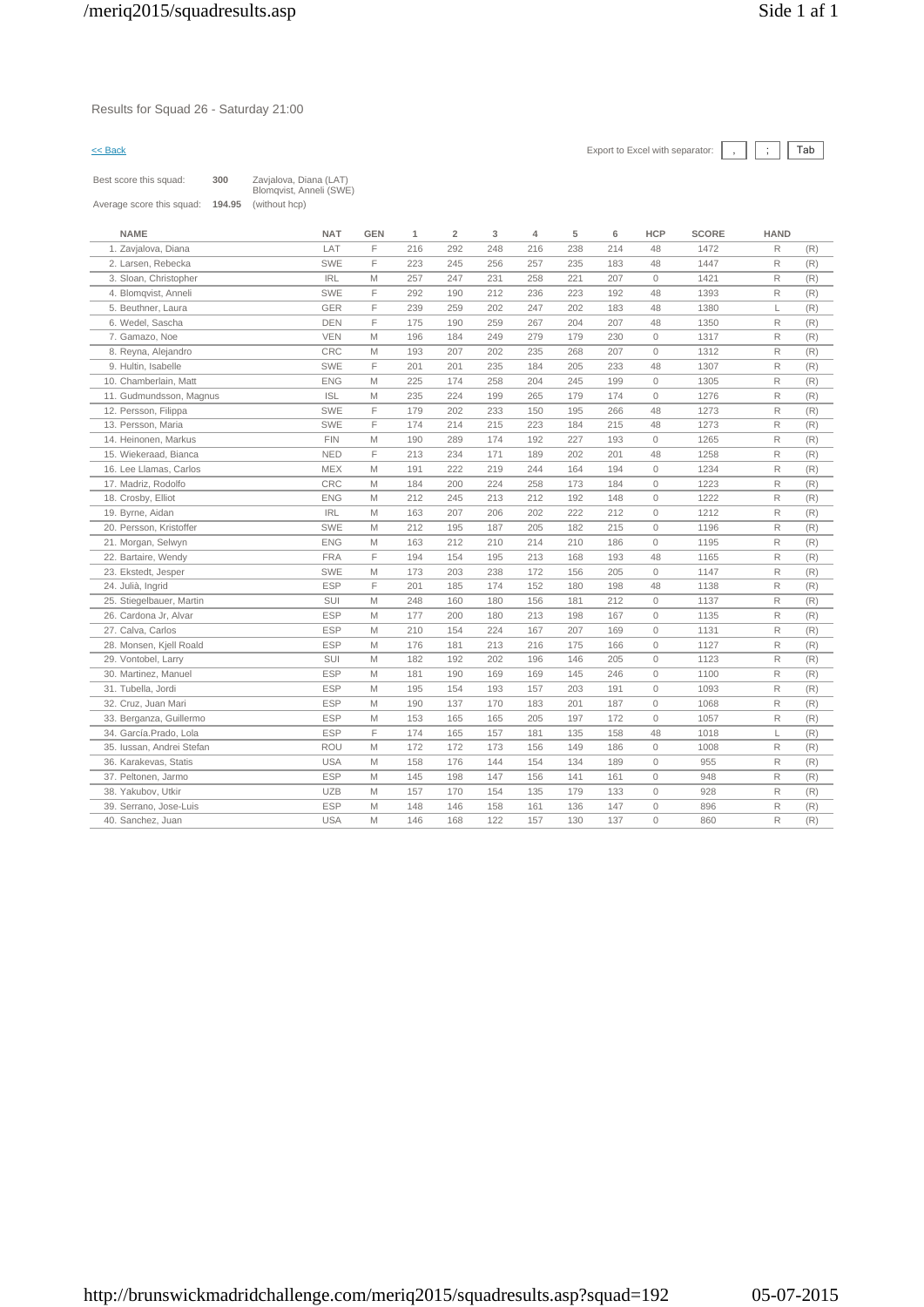Results for Squad 26 - Saturday 21:00

|                           | 300    |                                                   |            |     |                |     |     |     |     |              |              |             |     |
|---------------------------|--------|---------------------------------------------------|------------|-----|----------------|-----|-----|-----|-----|--------------|--------------|-------------|-----|
| Best score this squad:    |        | Zavjalova, Diana (LAT)<br>Blomqvist, Anneli (SWE) |            |     |                |     |     |     |     |              |              |             |     |
| Average score this squad: | 194.95 | (without hcp)                                     |            |     |                |     |     |     |     |              |              |             |     |
|                           |        |                                                   |            |     |                |     |     |     |     |              |              |             |     |
| <b>NAME</b>               |        | <b>NAT</b>                                        | <b>GEN</b> | 1   | $\overline{2}$ | 3   | 4   | 5   | 6   | <b>HCP</b>   | <b>SCORE</b> | <b>HAND</b> |     |
| 1. Zavjalova, Diana       |        | LAT                                               | F.         | 216 | 292            | 248 | 216 | 238 | 214 | 48           | 1472         | R           | (R) |
| 2. Larsen, Rebecka        |        | SWE                                               | F          | 223 | 245            | 256 | 257 | 235 | 183 | 48           | 1447         | R           | (R) |
| 3. Sloan, Christopher     |        | <b>IRL</b>                                        | M          | 257 | 247            | 231 | 258 | 221 | 207 | $\mathbf{0}$ | 1421         | R           | (R) |
| 4. Blomqvist, Anneli      |        | SWE                                               | F          | 292 | 190            | 212 | 236 | 223 | 192 | 48           | 1393         | R           | (R) |
| 5. Beuthner, Laura        |        | <b>GER</b>                                        | F          | 239 | 259            | 202 | 247 | 202 | 183 | 48           | 1380         |             | (R) |
| 6. Wedel, Sascha          |        | <b>DEN</b>                                        | F          | 175 | 190            | 259 | 267 | 204 | 207 | 48           | 1350         | R           | (R) |
| 7. Gamazo, Noe            |        | <b>VEN</b>                                        | M          | 196 | 184            | 249 | 279 | 179 | 230 | $\mathbf{0}$ | 1317         | R           | (R) |
| 8. Reyna, Alejandro       |        | <b>CRC</b>                                        | M          | 193 | 207            | 202 | 235 | 268 | 207 | $\mathbf{0}$ | 1312         | R           | (R) |
| 9. Hultin, Isabelle       |        | <b>SWE</b>                                        | F          | 201 | 201            | 235 | 184 | 205 | 233 | 48           | 1307         | R           | (R) |
| 10. Chamberlain, Matt     |        | <b>ENG</b>                                        | M          | 225 | 174            | 258 | 204 | 245 | 199 | $\mathbf{0}$ | 1305         | R           | (R) |
| 11. Gudmundsson, Magnus   |        | <b>ISL</b>                                        | M          | 235 | 224            | 199 | 265 | 179 | 174 | $\mathbf{0}$ | 1276         | R           | (R) |
| 12. Persson, Filippa      |        | SWE                                               | F          | 179 | 202            | 233 | 150 | 195 | 266 | 48           | 1273         | R           | (R) |
| 13. Persson, Maria        |        | <b>SWE</b>                                        | F          | 174 | 214            | 215 | 223 | 184 | 215 | 48           | 1273         | R           | (R) |
| 14. Heinonen, Markus      |        | <b>FIN</b>                                        | M          | 190 | 289            | 174 | 192 | 227 | 193 | $\mathbf{0}$ | 1265         | R           | (R) |
| 15. Wiekeraad, Bianca     |        | <b>NED</b>                                        | F          | 213 | 234            | 171 | 189 | 202 | 201 | 48           | 1258         | R           | (R) |
| 16. Lee Llamas, Carlos    |        | <b>MEX</b>                                        | M          | 191 | 222            | 219 | 244 | 164 | 194 | $\mathbf{0}$ | 1234         | R           | (R) |
| 17. Madriz, Rodolfo       |        | CRC                                               | M          | 184 | 200            | 224 | 258 | 173 | 184 | $\mathbf{0}$ | 1223         | R           | (R) |
|                           |        |                                                   |            |     |                |     |     |     |     |              |              |             |     |

| 11. Gudmundsson, Magnus   | <b>ISL</b> | M  | 235 | 224 | 199 | 265 | 179 | 174 | $\circ$  | 1276 | R            | (R) |
|---------------------------|------------|----|-----|-----|-----|-----|-----|-----|----------|------|--------------|-----|
| 12. Persson, Filippa      | SWE        | F  | 179 | 202 | 233 | 150 | 195 | 266 | 48       | 1273 | R            | (R) |
| 13. Persson, Maria        | SWE        | F. | 174 | 214 | 215 | 223 | 184 | 215 | 48       | 1273 | R            | (R) |
| 14. Heinonen, Markus      | <b>FIN</b> | M  | 190 | 289 | 174 | 192 | 227 | 193 | $\Omega$ | 1265 | R            | (R) |
| 15. Wiekeraad, Bianca     | <b>NED</b> | F  | 213 | 234 | 171 | 189 | 202 | 201 | 48       | 1258 | R            | (R) |
| 16. Lee Llamas, Carlos    | <b>MEX</b> | M  | 191 | 222 | 219 | 244 | 164 | 194 | $\circ$  | 1234 | R            | (R) |
| 17. Madriz, Rodolfo       | CRC        | M  | 184 | 200 | 224 | 258 | 173 | 184 | $\Omega$ | 1223 | R            | (R) |
| 18. Crosby, Elliot        | <b>ENG</b> | M  | 212 | 245 | 213 | 212 | 192 | 148 | $\Omega$ | 1222 | R            | (R) |
| 19. Byrne, Aidan          | <b>IRL</b> | M  | 163 | 207 | 206 | 202 | 222 | 212 | $\Omega$ | 1212 | $\mathsf{R}$ | (R) |
| 20. Persson. Kristoffer   | <b>SWE</b> | M  | 212 | 195 | 187 | 205 | 182 | 215 | $\circ$  | 1196 | R            | (R) |
| 21. Morgan, Selwyn        | <b>ENG</b> | M  | 163 | 212 | 210 | 214 | 210 | 186 | $\Omega$ | 1195 | R            | (R) |
| 22. Bartaire, Wendy       | <b>FRA</b> | F. | 194 | 154 | 195 | 213 | 168 | 193 | 48       | 1165 | R            | (R) |
| 23. Ekstedt, Jesper       | SWE        | M  | 173 | 203 | 238 | 172 | 156 | 205 | $\circ$  | 1147 | R            | (R) |
| 24. Julià, Ingrid         | <b>ESP</b> | F  | 201 | 185 | 174 | 152 | 180 | 198 | 48       | 1138 | R            | (R) |
| 25. Stiegelbauer, Martin  | SUI        | M  | 248 | 160 | 180 | 156 | 181 | 212 | $\Omega$ | 1137 | R            | (R) |
| 26. Cardona Jr, Alvar     | <b>ESP</b> | M  | 177 | 200 | 180 | 213 | 198 | 167 | $\Omega$ | 1135 | R            | (R) |
| 27. Calva, Carlos         | <b>ESP</b> | M  | 210 | 154 | 224 | 167 | 207 | 169 | $\circ$  | 1131 | $\mathsf{R}$ | (R) |
| 28. Monsen, Kjell Roald   | <b>ESP</b> | M  | 176 | 181 | 213 | 216 | 175 | 166 | $\circ$  | 1127 | R            | (R) |
| 29. Vontobel, Larry       | <b>SUI</b> | M  | 182 | 192 | 202 | 196 | 146 | 205 | $\Omega$ | 1123 | R            | (R) |
| 30. Martinez, Manuel      | <b>ESP</b> | M  | 181 | 190 | 169 | 169 | 145 | 246 | $\Omega$ | 1100 | R            | (R) |
| 31. Tubella, Jordi        | <b>ESP</b> | M  | 195 | 154 | 193 | 157 | 203 | 191 | $\circ$  | 1093 | R            | (R) |
| 32. Cruz. Juan Mari       | <b>ESP</b> | M  | 190 | 137 | 170 | 183 | 201 | 187 | $\Omega$ | 1068 | R            | (R) |
| 33. Berganza, Guillermo   | <b>ESP</b> | M  | 153 | 165 | 165 | 205 | 197 | 172 | $\Omega$ | 1057 | R            | (R) |
| 34. García.Prado. Lola    | <b>ESP</b> | F  | 174 | 165 | 157 | 181 | 135 | 158 | 48       | 1018 | L            | (R) |
| 35. Iussan, Andrei Stefan | ROU        | M  | 172 | 172 | 173 | 156 | 149 | 186 | $\Omega$ | 1008 | R            | (R) |
| 36. Karakevas, Statis     | <b>USA</b> | M  | 158 | 176 | 144 | 154 | 134 | 189 | $\Omega$ | 955  | R            | (R) |
| 37. Peltonen, Jarmo       | <b>ESP</b> | M  | 145 | 198 | 147 | 156 | 141 | 161 | $\circ$  | 948  | R            | (R) |
| 38. Yakubov, Utkir        | <b>UZB</b> | M  | 157 | 170 | 154 | 135 | 179 | 133 | $\Omega$ | 928  | R            | (R) |
| 39. Serrano, Jose-Luis    | <b>ESP</b> | M  | 148 | 146 | 158 | 161 | 136 | 147 | $\Omega$ | 896  | R.           | (R) |
| 40. Sanchez, Juan         | <b>USA</b> | M  | 146 | 168 | 122 | 157 | 130 | 137 | $\Omega$ | 860  | R            | (R) |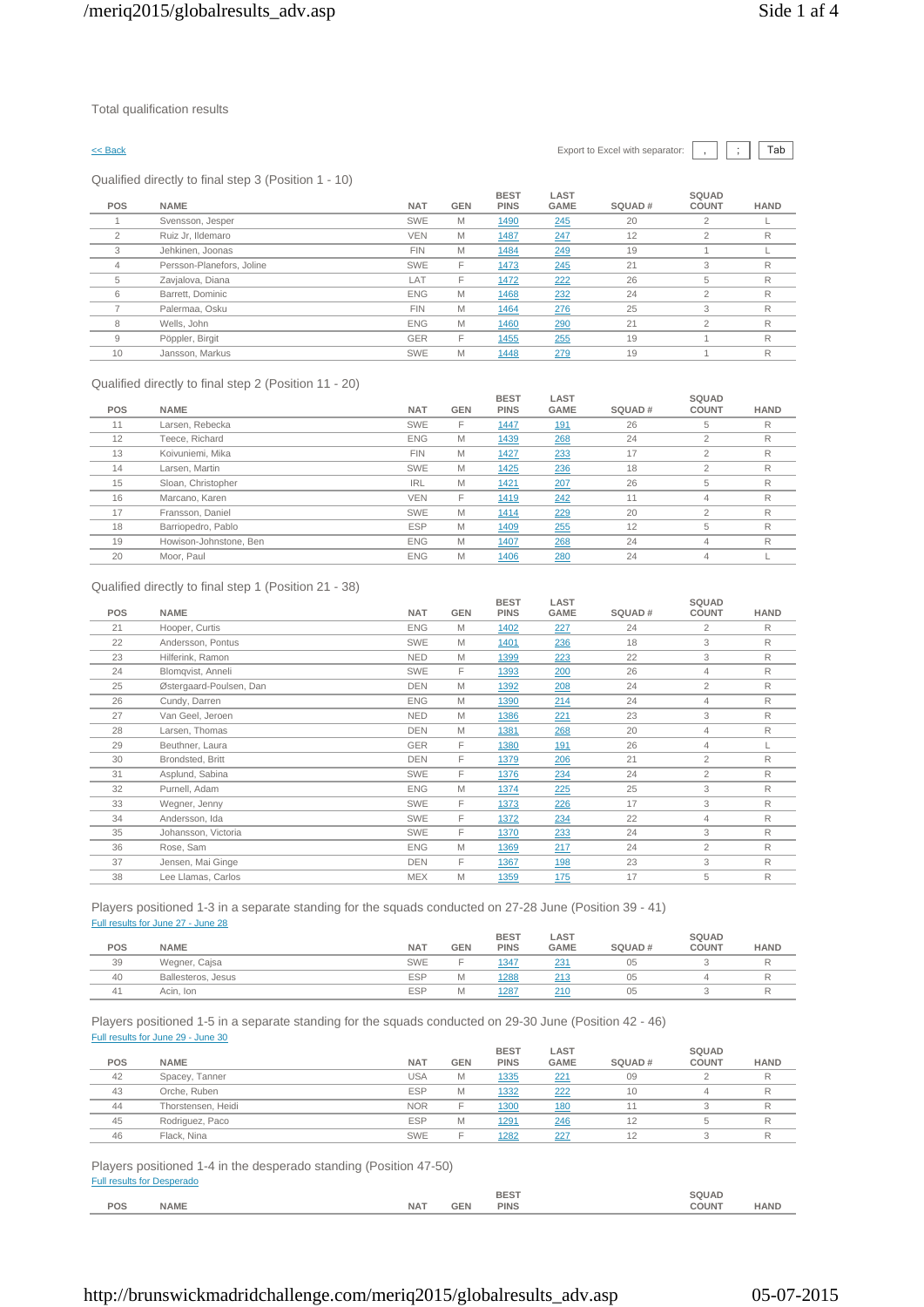Qualified directly to final step 3 (Position 1 - 10)

|          | $\epsilon$                |            |            |                            |                     |        |                       |             |
|----------|---------------------------|------------|------------|----------------------------|---------------------|--------|-----------------------|-------------|
| POS      | <b>NAME</b>               | <b>NAT</b> | <b>GEN</b> | <b>BEST</b><br><b>PINS</b> | LAST<br><b>GAME</b> | SQUAD# | SQUAD<br><b>COUNT</b> | <b>HAND</b> |
|          | Svensson, Jesper          | SWE        | M          | 1490                       | 245                 | 20     | $\overline{2}$        |             |
| $\Omega$ | Ruiz Jr, Ildemaro         | <b>VEN</b> | M          | 1487                       | 247                 | 12     | 2                     | R           |
| 3        | Jehkinen, Joonas          | <b>FIN</b> | M          | 1484                       | 249                 | 19     |                       |             |
| 4        | Persson-Planefors, Joline | <b>SWE</b> | F          | 1473                       | 245                 | 21     | 3                     | R           |
| 5        | Zavjalova, Diana          | LAT        | F          | 1472                       | 222                 | 26     | 5                     | R           |
| 6        | Barrett, Dominic          | <b>ENG</b> | M          | 1468                       | 232                 | 24     | $\overline{c}$        | R           |
|          | Palermaa, Osku            | <b>FIN</b> | M          | 1464                       | 276                 | 25     | 3                     | R           |
| 8        | Wells, John               | <b>ENG</b> | M          | 1460                       | 290                 | 21     | $\overline{2}$        | R           |
| 9        | Pöppler, Birgit           | <b>GER</b> | F          | 1455                       | 255                 | 19     |                       | R           |
| 10       | Jansson, Markus           | <b>SWE</b> | M          | 1448                       | 279                 | 19     |                       | R           |

### Qualified directly to final step 2 (Position 11 - 20)

| <b>POS</b> | <b>NAME</b>            | <b>NAT</b> | <b>GEN</b> | <b>BEST</b><br><b>PINS</b> | LAST<br><b>GAME</b> | SQUAD# | SQUAD<br><b>COUNT</b> | <b>HAND</b> |
|------------|------------------------|------------|------------|----------------------------|---------------------|--------|-----------------------|-------------|
| 11         | Larsen, Rebecka        | SWE        | F          | <u> 1447</u>               | <u>191</u>          | 26     | 5                     | R           |
| 12         | Teece, Richard         | <b>ENG</b> | M          | 1439                       | 268                 | 24     | 2                     | R           |
| 13         | Koivuniemi. Mika       | <b>FIN</b> | M          | 1427                       | 233                 | 17     | $\mathfrak{p}$        | R           |
| 14         | Larsen, Martin         | SWE        | M          | 1425                       | 236                 | 18     | $\overline{2}$        | R           |
| 15         | Sloan, Christopher     | <b>IRL</b> | M          | 1421                       | 207                 | 26     | 5                     | R           |
| 16         | Marcano, Karen         | <b>VEN</b> | F          | 1419                       | 242                 | 11     | 4                     | R           |
| 17         | Fransson, Daniel       | SWE        | M          | 1414                       | 229                 | 20     | $\overline{2}$        | R           |
| 18         | Barriopedro, Pablo     | <b>ESP</b> | M          | 1409                       | 255                 | 12     | 5                     | R           |
| 19         | Howison-Johnstone, Ben | <b>ENG</b> | M          | 1407                       | 268                 | 24     | 4                     | R           |
| 20         | Moor, Paul             | <b>ENG</b> | M          | 1406                       | 280                 | 24     | 4                     |             |
|            |                        |            |            |                            |                     |        |                       |             |

### Qualified directly to final step 1 (Position 21 - 38)

| <b>POS</b><br><b>NAME</b><br><b>NAT</b><br><b>GEN</b><br>SQUAD#<br><b>PINS</b><br><b>GAME</b><br><b>COUNT</b><br><b>ENG</b><br>M<br>$\overline{2}$<br>Hooper, Curtis<br>24<br>21<br>227<br>1402<br>3<br>22<br>Andersson, Pontus<br><b>SWE</b><br>M<br>236<br>18<br>1401<br>3<br>Hilferink, Ramon<br><b>NED</b><br>22<br>23<br>M<br>223<br>1399<br><b>SWE</b><br>F<br>24<br>Blomqvist, Anneli<br>26<br>1393<br>200<br>$\overline{4}$<br>$\overline{2}$<br>25<br>Østergaard-Poulsen, Dan<br><b>DEN</b><br>208<br>24<br>M<br>1392<br><b>ENG</b><br>26<br>Cundy, Darren<br>M<br>1390<br>214<br>24<br>4<br>3<br>Van Geel, Jeroen<br><b>NED</b><br>221<br>23<br>27<br>M<br>1386<br><b>DEN</b><br>28<br>Larsen, Thomas<br>M<br>20<br>$\overline{4}$<br>268<br>1381<br>F<br>26<br>GER<br>29<br>Beuthner, Laura<br><u>191</u><br>1380<br>$\overline{4}$<br>F<br>$\overline{2}$<br>30<br>Brondsted, Britt<br><b>DEN</b><br>21<br>1379<br>206<br>Asplund, Sabina<br>F<br>SWE<br>$\overline{2}$<br>31<br>1376<br>234<br>24<br>3<br>32<br>Purnell, Adam<br><b>ENG</b><br>M<br>25<br>225<br>1374<br>F<br>3<br>33<br><b>SWE</b><br>226<br>17<br>Wegner, Jenny<br>1373<br>F<br>Andersson, Ida<br>SWE<br>22<br>34<br>1372<br>234<br>4<br>F<br>3<br>Johansson, Victoria<br>SWE<br>233<br>24<br>35<br>1370<br>Rose, Sam<br><b>ENG</b><br>M<br>24<br>$\overline{2}$<br>36<br>1369<br>217<br>F<br>3<br>23<br>37<br>Jensen, Mai Ginge<br><b>DEN</b><br><u>198</u><br>1367 |    |                    |            |   | <b>BEST</b> | LAST       |    | SQUAD |             |
|-----------------------------------------------------------------------------------------------------------------------------------------------------------------------------------------------------------------------------------------------------------------------------------------------------------------------------------------------------------------------------------------------------------------------------------------------------------------------------------------------------------------------------------------------------------------------------------------------------------------------------------------------------------------------------------------------------------------------------------------------------------------------------------------------------------------------------------------------------------------------------------------------------------------------------------------------------------------------------------------------------------------------------------------------------------------------------------------------------------------------------------------------------------------------------------------------------------------------------------------------------------------------------------------------------------------------------------------------------------------------------------------------------------------------------------------------------|----|--------------------|------------|---|-------------|------------|----|-------|-------------|
|                                                                                                                                                                                                                                                                                                                                                                                                                                                                                                                                                                                                                                                                                                                                                                                                                                                                                                                                                                                                                                                                                                                                                                                                                                                                                                                                                                                                                                                     |    |                    |            |   |             |            |    |       | <b>HAND</b> |
|                                                                                                                                                                                                                                                                                                                                                                                                                                                                                                                                                                                                                                                                                                                                                                                                                                                                                                                                                                                                                                                                                                                                                                                                                                                                                                                                                                                                                                                     |    |                    |            |   |             |            |    |       | R           |
|                                                                                                                                                                                                                                                                                                                                                                                                                                                                                                                                                                                                                                                                                                                                                                                                                                                                                                                                                                                                                                                                                                                                                                                                                                                                                                                                                                                                                                                     |    |                    |            |   |             |            |    |       | R           |
|                                                                                                                                                                                                                                                                                                                                                                                                                                                                                                                                                                                                                                                                                                                                                                                                                                                                                                                                                                                                                                                                                                                                                                                                                                                                                                                                                                                                                                                     |    |                    |            |   |             |            |    |       | R           |
|                                                                                                                                                                                                                                                                                                                                                                                                                                                                                                                                                                                                                                                                                                                                                                                                                                                                                                                                                                                                                                                                                                                                                                                                                                                                                                                                                                                                                                                     |    |                    |            |   |             |            |    |       | R           |
|                                                                                                                                                                                                                                                                                                                                                                                                                                                                                                                                                                                                                                                                                                                                                                                                                                                                                                                                                                                                                                                                                                                                                                                                                                                                                                                                                                                                                                                     |    |                    |            |   |             |            |    |       | R           |
|                                                                                                                                                                                                                                                                                                                                                                                                                                                                                                                                                                                                                                                                                                                                                                                                                                                                                                                                                                                                                                                                                                                                                                                                                                                                                                                                                                                                                                                     |    |                    |            |   |             |            |    |       | R           |
|                                                                                                                                                                                                                                                                                                                                                                                                                                                                                                                                                                                                                                                                                                                                                                                                                                                                                                                                                                                                                                                                                                                                                                                                                                                                                                                                                                                                                                                     |    |                    |            |   |             |            |    |       | R           |
|                                                                                                                                                                                                                                                                                                                                                                                                                                                                                                                                                                                                                                                                                                                                                                                                                                                                                                                                                                                                                                                                                                                                                                                                                                                                                                                                                                                                                                                     |    |                    |            |   |             |            |    |       | R           |
|                                                                                                                                                                                                                                                                                                                                                                                                                                                                                                                                                                                                                                                                                                                                                                                                                                                                                                                                                                                                                                                                                                                                                                                                                                                                                                                                                                                                                                                     |    |                    |            |   |             |            |    |       |             |
|                                                                                                                                                                                                                                                                                                                                                                                                                                                                                                                                                                                                                                                                                                                                                                                                                                                                                                                                                                                                                                                                                                                                                                                                                                                                                                                                                                                                                                                     |    |                    |            |   |             |            |    |       | R           |
|                                                                                                                                                                                                                                                                                                                                                                                                                                                                                                                                                                                                                                                                                                                                                                                                                                                                                                                                                                                                                                                                                                                                                                                                                                                                                                                                                                                                                                                     |    |                    |            |   |             |            |    |       | R           |
|                                                                                                                                                                                                                                                                                                                                                                                                                                                                                                                                                                                                                                                                                                                                                                                                                                                                                                                                                                                                                                                                                                                                                                                                                                                                                                                                                                                                                                                     |    |                    |            |   |             |            |    |       | R           |
|                                                                                                                                                                                                                                                                                                                                                                                                                                                                                                                                                                                                                                                                                                                                                                                                                                                                                                                                                                                                                                                                                                                                                                                                                                                                                                                                                                                                                                                     |    |                    |            |   |             |            |    |       | R           |
|                                                                                                                                                                                                                                                                                                                                                                                                                                                                                                                                                                                                                                                                                                                                                                                                                                                                                                                                                                                                                                                                                                                                                                                                                                                                                                                                                                                                                                                     |    |                    |            |   |             |            |    |       | R           |
|                                                                                                                                                                                                                                                                                                                                                                                                                                                                                                                                                                                                                                                                                                                                                                                                                                                                                                                                                                                                                                                                                                                                                                                                                                                                                                                                                                                                                                                     |    |                    |            |   |             |            |    |       | R           |
|                                                                                                                                                                                                                                                                                                                                                                                                                                                                                                                                                                                                                                                                                                                                                                                                                                                                                                                                                                                                                                                                                                                                                                                                                                                                                                                                                                                                                                                     |    |                    |            |   |             |            |    |       | R           |
|                                                                                                                                                                                                                                                                                                                                                                                                                                                                                                                                                                                                                                                                                                                                                                                                                                                                                                                                                                                                                                                                                                                                                                                                                                                                                                                                                                                                                                                     |    |                    |            |   |             |            |    |       | R           |
|                                                                                                                                                                                                                                                                                                                                                                                                                                                                                                                                                                                                                                                                                                                                                                                                                                                                                                                                                                                                                                                                                                                                                                                                                                                                                                                                                                                                                                                     | 38 | Lee Llamas, Carlos | <b>MEX</b> | M | 1359        | <u>175</u> | 17 | 5     | R           |

Players positioned 1-3 in a separate standing for the squads conducted on 27-28 June (Position 39 - 41) Full results for June 27 - June 28

| POS | <b>NAME</b>        | <b>NAT</b> | <b>GEN</b> | <b>BEST</b><br><b>PINS</b> | LAST<br><b>GAME</b> | SQUAD# | <b>SQUAD</b><br><b>COUNT</b> | <b>HAND</b> |
|-----|--------------------|------------|------------|----------------------------|---------------------|--------|------------------------------|-------------|
| 39  | Wegner, Cajsa      | <b>SWE</b> |            | 1347                       | 231                 | 05     |                              |             |
| 40  | Ballesteros, Jesus | <b>ESP</b> | M          | 1288                       | 04C                 | 05     |                              |             |
| 41  | Acin, Ion          | <b>ESP</b> | M          | 1287                       | 21C                 | 05     |                              |             |

Players positioned 1-5 in a separate standing for the squads conducted on 29-30 June (Position 42 - 46) Full results for June 29 - June 30

|     |                    |            |            | <b>BEST</b>  | LAST        |        | SQUAD        |             |
|-----|--------------------|------------|------------|--------------|-------------|--------|--------------|-------------|
| POS | <b>NAME</b>        | <b>NAT</b> | <b>GEN</b> | <b>PINS</b>  | <b>GAME</b> | SQUAD# | <b>COUNT</b> | <b>HAND</b> |
| 42  | Spacey, Tanner     | <b>USA</b> | M          | 1335         | 221         | 09     |              |             |
| 43  | Orche, Ruben       | <b>ESP</b> | M          | 1332         | 222         | 10     |              |             |
| 44  | Thorstensen, Heidi | <b>NOR</b> |            | 1300         | 180         |        |              |             |
| 45  | Rodriguez, Paco    | <b>ESP</b> | M          | 1291         | 246         | 12     |              |             |
| 46  | Flack, Nina        | <b>SWE</b> |            | <u> 1282</u> | 227         | 12     |              |             |

Players positioned 1-4 in the desperado standing (Position 47-50) Full results for Desperado

|     |             |            |      | <b>BEST</b><br>$- - -$ | SQUAD        |             |
|-----|-------------|------------|------|------------------------|--------------|-------------|
| POS | <b>NAME</b> | <b>NAT</b> | C EI | <b>PINS</b>            | <b>COUNT</b> | <b>HAND</b> |
|     |             |            |      |                        |              |             |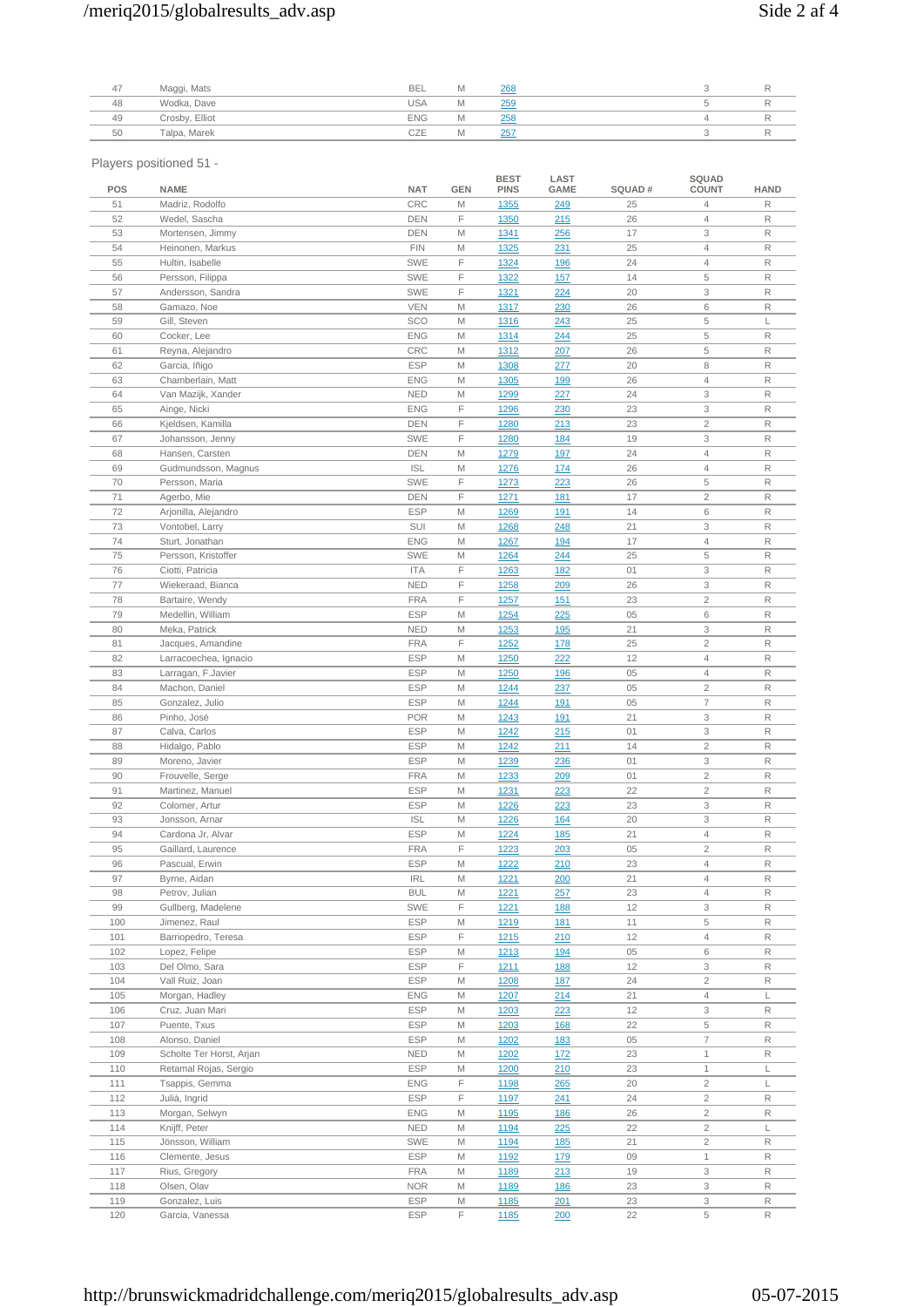# /meriq2015/globalresults\_adv.asp Side 2 af 4

| 47 | Maggi, Mats    | <b>BEL</b> | Iνı  | 268 |  |  |
|----|----------------|------------|------|-----|--|--|
| 48 | Wodka, Dave    | <b>USA</b> | IVI. | 259 |  |  |
| 49 | Crosby, Elliot | <b>ENG</b> | IΜ   | 258 |  |  |
| 50 | Talpa, Marek   | CZE        | IΜ   | 257 |  |  |
|    |                |            |      |     |  |  |

Players positioned 51 -

| POS        | <b>NAME</b>                                | <b>NAT</b>               | GEN    | <b>BEST</b><br><b>PINS</b> | LAST<br>GAME             | SQUAD#   | SQUAD<br><b>COUNT</b>                    | <b>HAND</b> |
|------------|--------------------------------------------|--------------------------|--------|----------------------------|--------------------------|----------|------------------------------------------|-------------|
| 51         | Madriz, Rodolfo                            | CRC                      | M      | 1355                       | 249                      | 25       | 4                                        | R           |
| 52         | Wedel, Sascha                              | <b>DEN</b>               | F      | 1350                       | 215                      | 26       | $\overline{4}$                           | R           |
| 53         | Mortensen, Jimmy                           | DEN                      | M      | <u> 1341</u>               | <u> 256</u>              | 17       | 3                                        | R           |
| 54         | Heinonen, Markus                           | <b>FIN</b>               | M      | 1325                       | 231                      | 25       | $\overline{4}$                           | R           |
| 55         | Hultin, Isabelle                           | <b>SWE</b>               | F      | 1324                       | <b>196</b>               | 24       | $\overline{4}$                           | R           |
| 56         | Persson, Filippa                           | <b>SWE</b>               | F      | 1322                       | <b>157</b>               | 14       | 5                                        | R           |
| 57         | Andersson, Sandra                          | <b>SWE</b>               | F      | 1321                       | 224                      | 20       | 3                                        | R           |
| 58         | Gamazo, Noe                                | <b>VEN</b>               | M      | 1317                       | 230                      | 26       | 6                                        | R           |
| 59         | Gill, Steven                               | SCO                      | M      | 1316                       | 243                      | 25       | 5                                        | L           |
| 60         | Cocker, Lee                                | <b>ENG</b>               | M      | 1314                       | <u>244</u>               | 25       | $\sqrt{5}$                               | R<br>R      |
| 61<br>62   | Reyna, Alejandro<br>Garcia, Iñigo          | CRC<br><b>ESP</b>        | M<br>M | 1312<br>1308               | 207                      | 26<br>20 | $\,$ 5<br>8                              | R           |
| 63         | Chamberlain, Matt                          | <b>ENG</b>               | M      | <u>1305</u>                | <u>277</u><br><u>199</u> | 26       | $\overline{4}$                           | R           |
| 64         | Van Mazijk, Xander                         | <b>NED</b>               | M      | 1299                       | 227                      | 24       | 3                                        | R           |
| 65         | Ainge, Nicki                               | <b>ENG</b>               | F      | 1296                       | 230                      | 23       | 3                                        | R           |
| 66         | Kjeldsen, Kamilla                          | <b>DEN</b>               | F      | 1280                       | 213                      | 23       | $\overline{2}$                           | R           |
| 67         | Johansson, Jenny                           | <b>SWE</b>               | F      | 1280                       | <u>184</u>               | 19       | 3                                        | R           |
| 68         | Hansen, Carsten                            | <b>DEN</b>               | M      | 1279                       | 197                      | 24       | $\overline{4}$                           | R           |
| 69         | Gudmundsson, Magnus                        | <b>ISL</b>               | M      | <u>1276</u>                | <u>174</u>               | 26       | $\overline{4}$                           | R           |
| 70         | Persson, Maria                             | <b>SWE</b>               | F      | 1273                       | 223                      | 26       | 5                                        | R           |
| 71         | Agerbo, Mie                                | DEN                      | F      | <u>1271</u>                | <u>181</u>               | 17       | $\overline{2}$                           | R           |
| 72         | Arjonilla, Alejandro                       | <b>ESP</b>               | M      | 1269                       | 191                      | 14       | 6                                        | R           |
| 73         | Vontobel, Larry                            | SUI                      | M      | 1268                       | 248                      | 21       | 3                                        | R           |
| 74         | Sturt, Jonathan                            | <b>ENG</b>               | M      | <u> 1267</u>               | <u>194</u>               | 17       | $\overline{4}$                           | R           |
| 75         | Persson, Kristoffer                        | <b>SWE</b>               | M      | 1264                       | 244                      | 25       | $\,$ 5                                   | R           |
| 76         | Ciotti, Patricia                           | <b>ITA</b>               | F      | <u>1263</u>                | <u>182</u>               | 01       | 3                                        | R           |
| 77         | Wiekeraad, Bianca                          | <b>NED</b>               | F      | 1258                       | 209                      | 26       | 3                                        | R           |
| 78         | Bartaire, Wendy                            | <b>FRA</b>               | F      | 1257                       | 151                      | 23       | $\overline{2}$                           | R           |
| 79         | Medellin, William                          | <b>ESP</b>               | M      | 1254                       | 225                      | 05       | 6                                        | R           |
| 80         | Meka, Patrick                              | <b>NED</b>               | M      | 1253                       | 195                      | 21       | 3                                        | R           |
| 81         | Jacques, Amandine                          | <b>FRA</b>               | F      | <u>1252</u>                | <u>178</u>               | 25       | $\overline{2}$                           | R           |
| 82         | Larracoechea, Ignacio                      | <b>ESP</b>               | M      | 1250                       | 222                      | 12       | $\overline{4}$                           | R           |
| 83         | Larragan, F. Javier                        | <b>ESP</b>               | M      | 1250                       | <u>196</u>               | 05       | 4                                        | R           |
| 84         | Machon, Daniel                             | <b>ESP</b>               | M      | 1244                       | 237                      | 05       | $\overline{2}$                           | R           |
| 85         | Gonzalez, Julio                            | <b>ESP</b>               | M      | 1244                       | 191                      | 05       | $\overline{7}$                           | R           |
| 86         | Pinho, José                                | <b>POR</b>               | M      | 1243                       | <u>191</u>               | 21       | 3                                        | R           |
| 87         | Calva, Carlos                              | <b>ESP</b><br><b>ESP</b> | M<br>M | 1242                       | 215                      | 01       | 3<br>$\overline{2}$                      | R<br>R      |
| 88<br>89   | Hidalgo, Pablo<br>Moreno, Javier           | <b>ESP</b>               | M      | 1242<br>1239               | <u>211</u><br>236        | 14<br>01 | 3                                        | R           |
| 90         | Frouvelle, Serge                           | <b>FRA</b>               | M      | <u>1233</u>                | <u> 209</u>              | 01       | $\overline{2}$                           | R           |
| 91         | Martinez, Manuel                           | <b>ESP</b>               | M      | 1231                       | 223                      | 22       | $\overline{2}$                           | R           |
| 92         | Colomer, Artur                             | <b>ESP</b>               | M      | 1226                       | 223                      | 23       | 3                                        | R           |
| 93         | Jonsson, Arnar                             | <b>ISL</b>               | M      | <u> 1226</u>               | <u>164</u>               | 20       | 3                                        | R           |
| 94         | Cardona Jr, Alvar                          | <b>ESP</b>               | M      | <u>1224</u>                | <b>185</b>               | 21       | $\overline{4}$                           | R           |
| 95         | Gaillard, Laurence                         | <b>FRA</b>               | F      | 1223                       | 203                      | 05       | $\overline{c}$                           | R           |
| 96         | Pascual, Erwin                             | <b>ESP</b>               | M      | 1222                       | 210                      | 23       | 4                                        | R           |
| 97         | Byrne, Aidan                               | <b>IRL</b>               | M      | <u>1221</u>                | 200                      | 21       | 4                                        | R           |
| 98         | Petrov, Julian                             | <b>BUL</b>               | M      | 1221                       | 257                      | 23       | $\overline{4}$                           | R           |
| 99         | Gullberg, Madelene                         | <b>SWE</b>               | F      | 1221                       | <u>188</u>               | 12       | 3                                        | R           |
| 100        | Jimenez, Raul                              | <b>ESP</b>               | M      | <u>1219</u>                | <u>181</u>               | 11       | $\,$ 5                                   | R           |
| 101        | Barriopedro, Teresa                        | <b>ESP</b>               | F      | 1215                       | 210                      | 12       | $\overline{4}$                           | R           |
| 102        | Lopez, Felipe                              | <b>ESP</b>               | M      | 1213                       | <u>194</u>               | 05       | 6                                        | R           |
| 103        | Del Olmo, Sara                             | <b>ESP</b>               | F      | 1211                       | <u>188</u>               | 12       | 3                                        | R           |
| 104        | Vall Ruiz, Joan                            | <b>ESP</b>               | M      | 1208                       | <u>187</u>               | 24       | $\sqrt{2}$                               | R           |
| 105        | Morgan, Hadley                             | <b>ENG</b>               | M      | 1207                       | 214                      | 21       | $\overline{4}$                           | L           |
| 106        | Cruz, Juan Mari                            | <b>ESP</b>               | M      | 1203                       | 223                      | 12       | 3                                        | R           |
| 107        | Puente, Txus                               | <b>ESP</b>               | M      | 1203                       | <u>168</u>               | 22       | $\,$ 5                                   | R           |
| 108<br>109 | Alonso, Daniel<br>Scholte Ter Horst, Arjan | <b>ESP</b>               | M<br>M | 1202<br>1202               | 183                      | 05<br>23 | $\overline{\mathcal{I}}$<br>$\mathbf{1}$ | R<br>R      |
| 110        |                                            | <b>NED</b><br><b>ESP</b> | M      |                            | 172                      | 23       | $\mathbf{1}$                             | L           |
| 111        | Retamal Rojas, Sergio<br>Tsappis, Gemma    | <b>ENG</b>               | F      | 1200<br>1198               | 210<br>265               | 20       | $\sqrt{2}$                               | L           |
| 112        | Julià, Ingrid                              | <b>ESP</b>               | F      | 1197                       | 241                      | 24       | $\sqrt{2}$                               | R           |
| 113        | Morgan, Selwyn                             | <b>ENG</b>               | M      | 1195                       | <b>186</b>               | 26       | $\sqrt{2}$                               | R           |
| 114        | Knijff, Peter                              | <b>NED</b>               | M      | 1194                       | 225                      | 22       | $\overline{2}$                           | L           |
| 115        | Jönsson, William                           | <b>SWE</b>               | M      | 1194                       | <u>185</u>               | 21       | $\sqrt{2}$                               | R           |
| 116        | Clemente, Jesus                            | <b>ESP</b>               | M      | 1192                       | 179                      | 09       | $\mathbf{1}$                             | R           |
| 117        | Rius, Gregory                              | <b>FRA</b>               | M      | 1189                       | 213                      | 19       | 3                                        | R           |
| 118        | Olsen, Olav                                | <b>NOR</b>               | M      | 1189                       | <u>186</u>               | 23       | 3                                        | R           |
| 119        | Gonzalez, Luis                             | <b>ESP</b>               | M      | 1185                       | 201                      | 23       | 3                                        | R           |
| 120        | Garcia, Vanessa                            | <b>ESP</b>               | F      | 1185                       | 200                      | 22       | 5                                        | R           |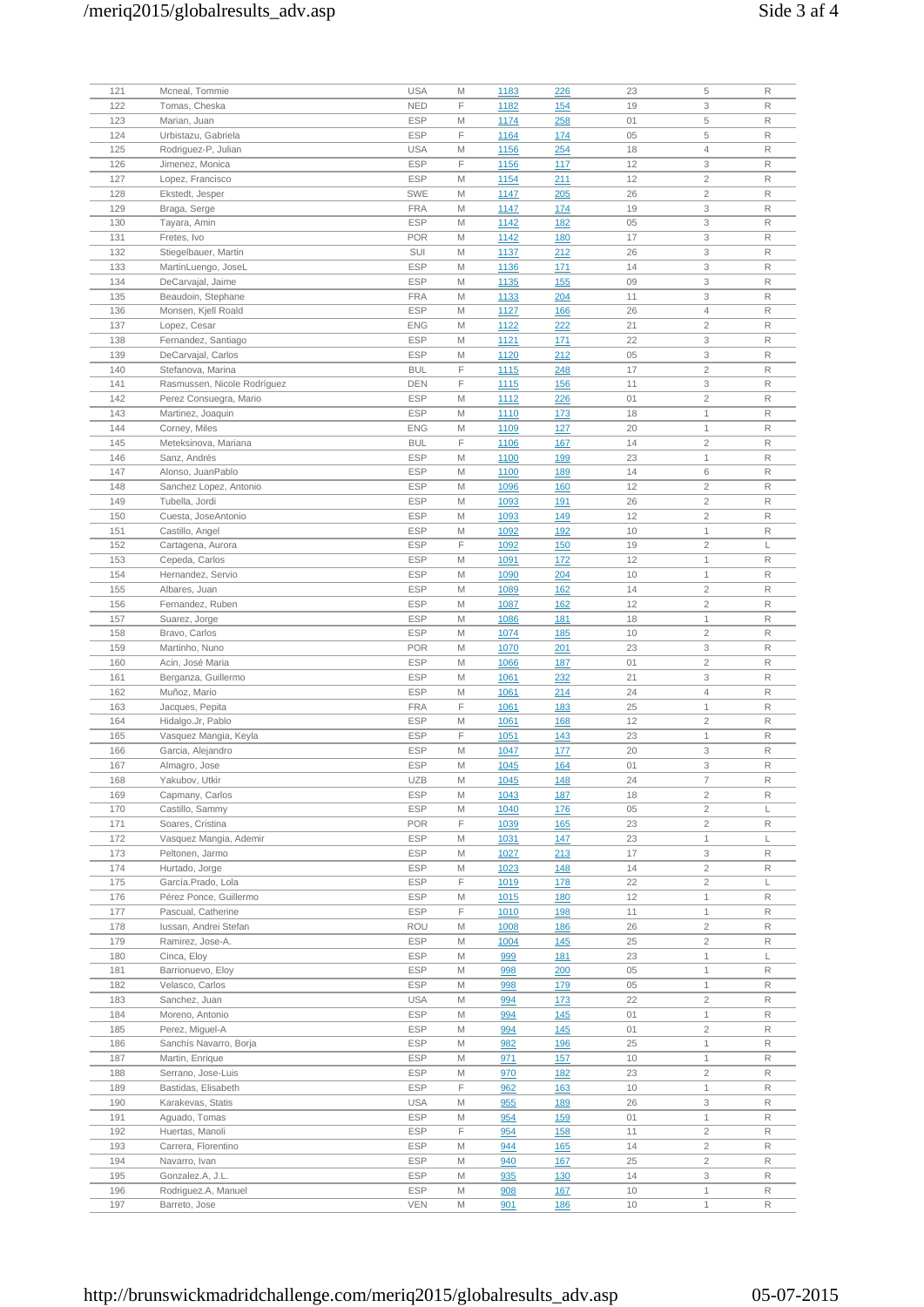| 121 | Mcneal, Tommie              | <b>USA</b> | M | 1183        | 226        | 23 | 5              | R            |
|-----|-----------------------------|------------|---|-------------|------------|----|----------------|--------------|
| 122 | Tomas, Cheska               | <b>NED</b> | F | 1182        | 154        | 19 | 3              | $\mathsf R$  |
| 123 | Marian, Juan                | <b>ESP</b> | M | 1174        | 258        | 01 | 5              | R            |
| 124 | Urbistazu, Gabriela         | <b>ESP</b> | F | 1164        | 174        | 05 | 5              | R            |
|     |                             |            |   |             |            |    |                |              |
| 125 | Rodriguez-P, Julian         | <b>USA</b> | M | 1156        | 254        | 18 | $\overline{4}$ | R            |
| 126 | Jimenez, Monica             | <b>ESP</b> | F | 1156        | 117        | 12 | 3              | R            |
| 127 | Lopez, Francisco            | <b>ESP</b> | M | 1154        | 211        | 12 | $\overline{c}$ | R            |
|     | Ekstedt, Jesper             |            |   |             |            | 26 | $\overline{2}$ | R            |
| 128 |                             | <b>SWE</b> | M | 1147        | 205        |    |                |              |
| 129 | Braga, Serge                | <b>FRA</b> | M | 1147        | 174        | 19 | 3              | $\mathsf R$  |
| 130 | Tayara, Amin                | <b>ESP</b> | M | 1142        | <u>182</u> | 05 | 3              | R            |
| 131 | Fretes, Ivo                 | <b>POR</b> | M | 1142        | 180        | 17 | 3              | R            |
|     |                             |            |   |             |            |    |                |              |
| 132 | Stiegelbauer, Martin        | SUI        | M | 1137        | 212        | 26 | 3              | $\mathsf R$  |
| 133 | MartinLuengo, JoseL         | <b>ESP</b> | M | 1136        | 171        | 14 | 3              | $\mathsf{R}$ |
| 134 | DeCarvajal, Jaime           | <b>ESP</b> | M | 1135        | 155        | 09 | 3              | R            |
|     | Beaudoin, Stephane          |            |   |             |            |    |                |              |
| 135 |                             | <b>FRA</b> | M | 1133        | 204        | 11 | 3              | R            |
| 136 | Monsen, Kjell Roald         | <b>ESP</b> | M | 1127        | <u>166</u> | 26 | 4              | $\mathsf R$  |
| 137 | Lopez, Cesar                | <b>ENG</b> | M | 1122        | 222        | 21 | $\overline{2}$ | R            |
| 138 | Fernandez, Santiago         | <b>ESP</b> | M | 1121        | 171        | 22 | 3              | R            |
|     |                             |            |   |             |            |    |                |              |
| 139 | DeCarvajal, Carlos          | <b>ESP</b> | M | 1120        | 212        | 05 | 3              | $\mathsf R$  |
| 140 | Stefanova, Marina           | <b>BUL</b> | F | 1115        | 248        | 17 | $\overline{2}$ | R            |
| 141 | Rasmussen, Nicole Rodríguez | <b>DEN</b> | F | <u>1115</u> | <b>156</b> | 11 | 3              | R            |
|     |                             |            |   |             |            |    |                |              |
| 142 | Perez Consuegra, Mario      | <b>ESP</b> | M | 1112        | 226        | 01 | $\overline{2}$ | R            |
| 143 | Martinez, Joaquin           | <b>ESP</b> | M | 1110        | 173        | 18 | 1              | R            |
| 144 | Corney, Miles               | <b>ENG</b> | M | 1109        | 127        | 20 | 1              | R            |
|     |                             |            | F |             |            |    |                |              |
| 145 | Meteksinova, Mariana        | <b>BUL</b> |   | 1106        | 167        | 14 | $\overline{c}$ | R            |
| 146 | Sanz, Andrés                | <b>ESP</b> | M | 1100        | 199        | 23 | $\mathbf{1}$   | $\mathsf R$  |
| 147 | Alonso, JuanPablo           | <b>ESP</b> | M | 1100        | <u>189</u> | 14 | 6              | R            |
|     |                             |            |   |             |            |    |                |              |
| 148 | Sanchez Lopez, Antonio      | <b>ESP</b> | M | 1096        | 160        | 12 | $\overline{c}$ | R            |
| 149 | Tubella, Jordi              | <b>ESP</b> | M | 1093        | 191        | 26 | $\overline{2}$ | $\mathsf R$  |
| 150 | Cuesta, JoseAntonio         | <b>ESP</b> | M | 1093        | 149        | 12 | $\overline{c}$ | R            |
|     |                             | <b>ESP</b> |   |             |            | 10 | 1              | R            |
| 151 | Castillo, Angel             |            | M | 1092        | 192        |    |                |              |
| 152 | Cartagena, Aurora           | <b>ESP</b> | F | 1092        | <u>150</u> | 19 | $\overline{2}$ | L            |
| 153 | Cepeda, Carlos              | <b>ESP</b> | M | 1091        | 172        | 12 | $\mathbf{1}$   | R            |
| 154 |                             | <b>ESP</b> | M |             |            |    |                | R            |
|     | Hernandez, Servio           |            |   | 1090        | 204        | 10 | $\mathbf{1}$   |              |
| 155 | Albares, Juan               | <b>ESP</b> | M | 1089        | 162        | 14 | $\overline{2}$ | R            |
| 156 | Fernandez, Ruben            | <b>ESP</b> | M | 1087        | <b>162</b> | 12 | $\overline{2}$ | $\mathsf R$  |
| 157 | Suarez, Jorge               | <b>ESP</b> | M | 1086        | 181        | 18 | 1              | R            |
|     |                             |            |   |             |            |    |                |              |
| 158 | Bravo, Carlos               | <b>ESP</b> | M | 1074        | <b>185</b> | 10 | $\overline{2}$ | R            |
| 159 | Martinho, Nuno              | <b>POR</b> | M | 1070        | 201        | 23 | 3              | R            |
| 160 | Acin, José Maria            | <b>ESP</b> | M | 1066        | 187        | 01 | $\overline{2}$ | R            |
|     |                             |            |   |             |            |    |                |              |
| 161 | Berganza, Guillermo         | <b>ESP</b> | M | 1061        | 232        | 21 | 3              | R            |
| 162 | Muñoz, Mario                | <b>ESP</b> | M | 1061        | 214        | 24 | $\overline{4}$ | R            |
| 163 | Jacques, Pepita             | <b>FRA</b> | F | 1061        | <u>183</u> | 25 | $\mathbf{1}$   | $\mathsf R$  |
|     |                             |            |   |             |            |    |                |              |
| 164 | Hidalgo.Jr, Pablo           | <b>ESP</b> | M | 1061        | <b>168</b> | 12 | $\overline{c}$ | R            |
| 165 | Vasquez Mangia, Keyla       | <b>ESP</b> | F | 1051        | 143        | 23 | $\mathbf{1}$   | R            |
| 166 | Garcia, Alejandro           | <b>ESP</b> | M | 1047        | <u>177</u> | 20 | 3              | $\mathsf R$  |
| 167 |                             | <b>ESP</b> | M |             |            | 01 | 3              | R            |
|     | Almagro, Jose               |            |   | 1045        | 164        |    |                |              |
| 168 | Yakubov, Utkir              | <b>UZB</b> | M | 1045        | <u>148</u> | 24 | 7              | R            |
| 169 | Capmany, Carlos             | <b>ESP</b> | M | 1043        | <u>187</u> | 18 | $\overline{2}$ | $\mathsf R$  |
|     |                             |            |   |             |            |    |                |              |
| 170 | Castillo, Sammy             | <b>ESP</b> | M | 1040        | 176        | 05 | $\overline{c}$ | L            |
| 171 | Soares, Cristina            | <b>POR</b> | F | 1039        | <b>165</b> | 23 | $\overline{c}$ | R            |
| 172 | Vasquez Mangia, Ademir      | <b>ESP</b> | M | 1031        | 147        | 23 | 1              | L            |
| 173 | Peltonen, Jarmo             | <b>ESP</b> | M | 1027        | 213        | 17 | 3              | R            |
|     |                             |            |   |             |            |    |                |              |
| 174 | Hurtado, Jorge              | <b>ESP</b> | M | 1023        | 148        | 14 | $\mathbf{2}$   | R            |
| 175 | García.Prado, Lola          | <b>ESP</b> | F | 1019        | <u>178</u> | 22 | $\overline{c}$ | L            |
| 176 | Pérez Ponce, Guillermo      | <b>ESP</b> | M | 1015        | <b>180</b> | 12 | $\mathbf{1}$   | R            |
|     |                             |            |   |             |            |    |                |              |
| 177 | Pascual, Catherine          | <b>ESP</b> | F | 1010        | <u>198</u> | 11 | 1              | R            |
| 178 | Iussan, Andrei Stefan       | <b>ROU</b> | M | 1008        | <u>186</u> | 26 | $\overline{c}$ | R            |
| 179 | Ramirez, Jose-A.            | <b>ESP</b> | M | 1004        | 145        | 25 | $\overline{c}$ | R            |
|     |                             |            |   |             |            |    |                |              |
| 180 | Cinca, Eloy                 | <b>ESP</b> | M | 999         | <u>181</u> | 23 | 1              | L            |
| 181 | Barrionuevo, Eloy           | <b>ESP</b> | M | 998         | 200        | 05 | $\mathbf{1}$   | R            |
| 182 | Velasco, Carlos             | <b>ESP</b> | M | 998         | <u>179</u> | 05 | $\mathbf 1$    | R            |
| 183 | Sanchez, Juan               | <b>USA</b> | M | 994         | 173        | 22 | $\overline{c}$ | R            |
|     |                             |            |   |             |            |    |                |              |
| 184 | Moreno, Antonio             | <b>ESP</b> | M | 994         | 145        | 01 | 1              | R            |
| 185 | Perez, Miguel-A             | <b>ESP</b> | M | 994         | 145        | 01 | $\overline{c}$ | R            |
| 186 | Sanchís Navarro, Borja      | <b>ESP</b> | M | 982         | <u>196</u> | 25 | $\mathbf{1}$   | $\mathsf R$  |
|     |                             |            |   |             |            |    |                |              |
| 187 | Martin, Enrique             | ESP        | M | 971         | <b>157</b> | 10 | $\mathbf{1}$   | R            |
| 188 | Serrano, Jose-Luis          | <b>ESP</b> | M | 970         | <u>182</u> | 23 | $\mathbf{2}$   | R            |
| 189 | Bastidas, Elisabeth         | <b>ESP</b> | F | 962         | <u>163</u> | 10 | $\mathbf 1$    | R            |
|     |                             |            |   |             |            |    |                |              |
| 190 | Karakevas, Statis           | <b>USA</b> | M | 955         | <u>189</u> | 26 | 3              | R            |
| 191 | Aguado, Tomas               | <b>ESP</b> | M | 954         | <b>159</b> | 01 | 1              | R            |
| 192 | Huertas, Manoli             | <b>ESP</b> | F | 954         | <b>158</b> | 11 | $\overline{c}$ | R            |
|     |                             | <b>ESP</b> | M |             |            | 14 | $\overline{2}$ | $\mathsf R$  |
| 193 | Carrera, Florentino         |            |   | 944         | <u>165</u> |    |                |              |
| 194 | Navarro, Ivan               | ESP        | M | 940         | <u>167</u> | 25 | $\overline{c}$ | R            |
| 195 | Gonzalez.A, J.L.            | <b>ESP</b> | M | 935         | 130        | 14 | 3              | R            |
| 196 | Rodriguez.A, Manuel         | <b>ESP</b> | M | 908         | <u>167</u> | 10 | 1              | $\mathsf R$  |
| 197 |                             |            |   |             |            |    |                |              |
|     | Barreto, Jose               | VEN        | M | 901         | <u>186</u> | 10 | 1              | $\mathsf R$  |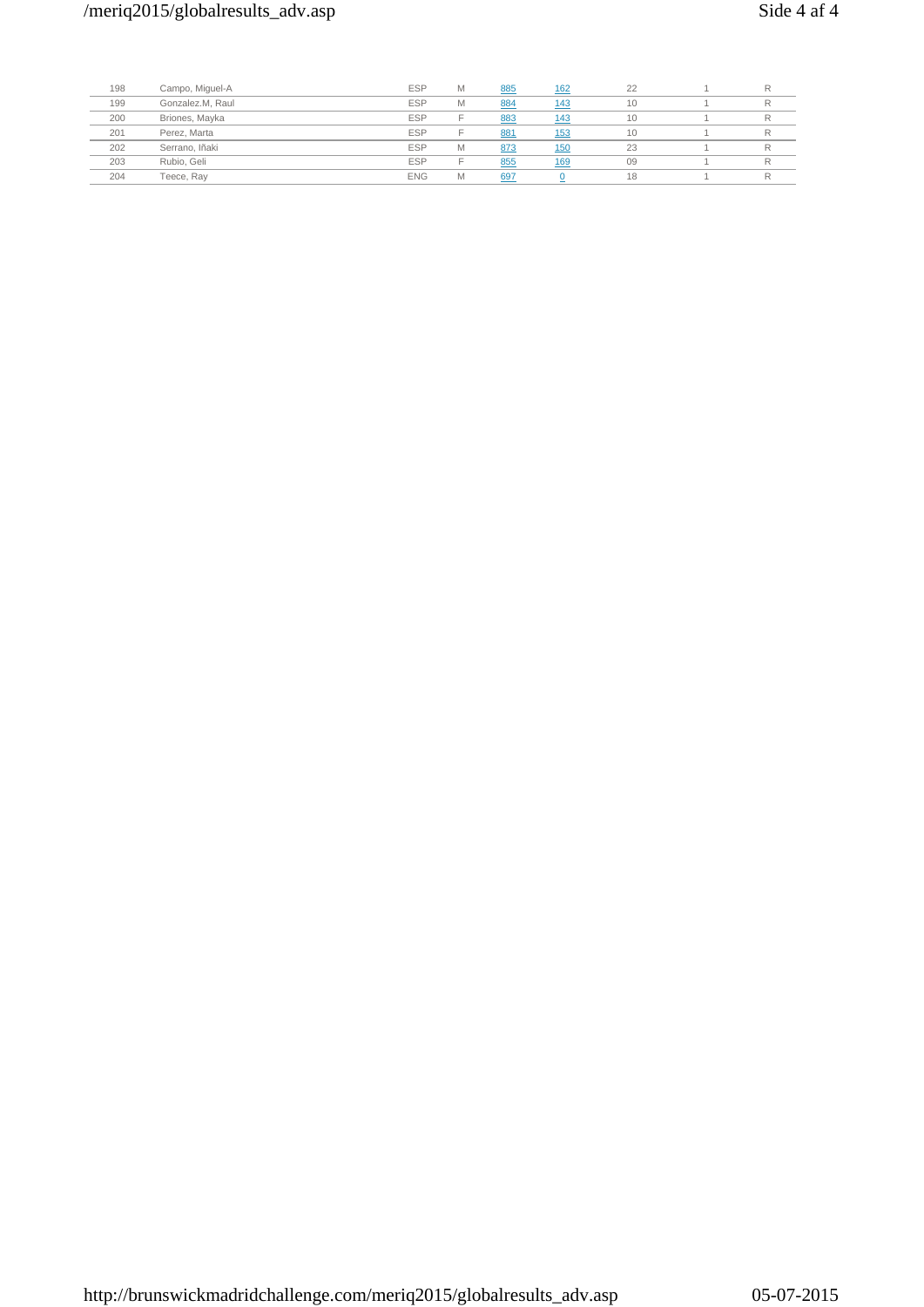| 198 | Campo, Miguel-A  | <b>ESP</b> | M | 885 | <u>162</u> | 22 |  |
|-----|------------------|------------|---|-----|------------|----|--|
| 199 | Gonzalez.M, Raul | <b>ESP</b> | M | 884 | 143        | 10 |  |
| 200 | Briones, Mayka   | <b>ESP</b> |   | 883 | 143        | 10 |  |
| 201 | Perez, Marta     | <b>ESP</b> |   | 881 | 153        | 10 |  |
| 202 | Serrano, Iñaki   | <b>ESP</b> | M | 873 | <u>150</u> | 23 |  |
| 203 | Rubio, Geli      | <b>ESP</b> |   | 855 | 169        | 09 |  |
| 204 | Teece, Ray       | <b>ENG</b> | M | 697 |            | 18 |  |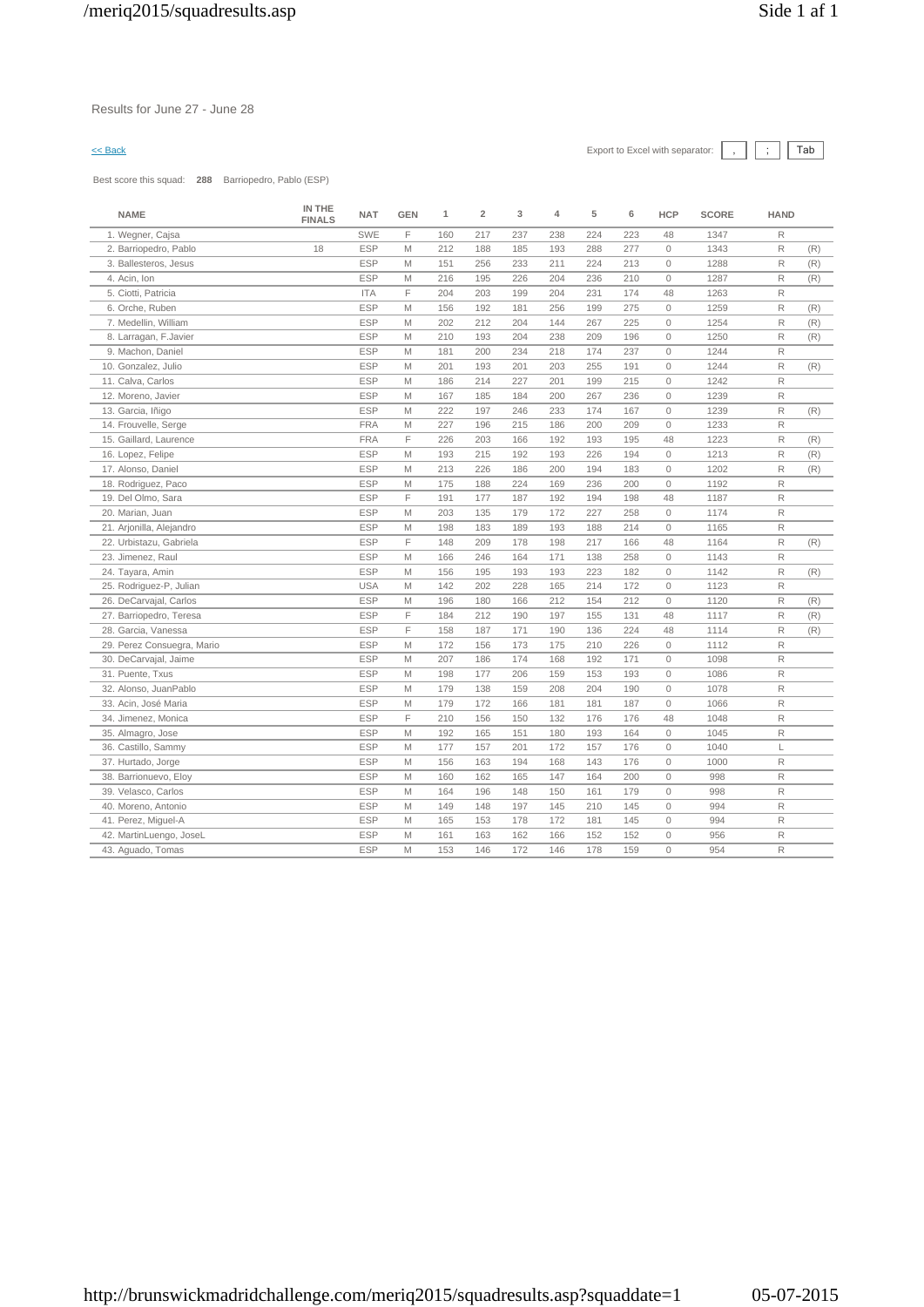# $\leq$  Back Export to Excel with separator:  $\boxed{\phantom{s}}$ ,  $\boxed{\phantom{s}}$   $\boxed{\phantom{s}}$

Best score this squad: **288** Barriopedro, Pablo (ESP)

| <b>NAME</b>                | IN THE<br><b>FINALS</b> | <b>NAT</b> | <b>GEN</b> | 1   | $\overline{2}$ | 3   | 4   | 5   | 6   | <b>HCP</b>   | <b>SCORE</b> | <b>HAND</b>  |     |
|----------------------------|-------------------------|------------|------------|-----|----------------|-----|-----|-----|-----|--------------|--------------|--------------|-----|
| 1. Wegner, Cajsa           |                         | SWE        | F.         | 160 | 217            | 237 | 238 | 224 | 223 | 48           | 1347         | R            |     |
| 2. Barriopedro, Pablo      | 18                      | <b>ESP</b> | M          | 212 | 188            | 185 | 193 | 288 | 277 | $\circ$      | 1343         | R            | (R) |
| 3. Ballesteros, Jesus      |                         | <b>ESP</b> | M          | 151 | 256            | 233 | 211 | 224 | 213 | $\mathbb O$  | 1288         | $\mathsf R$  | (R) |
| 4. Acin, Ion               |                         | <b>ESP</b> | M          | 216 | 195            | 226 | 204 | 236 | 210 | $\circ$      | 1287         | $\mathsf R$  | (R) |
| 5. Ciotti, Patricia        |                         | <b>ITA</b> | F          | 204 | 203            | 199 | 204 | 231 | 174 | 48           | 1263         | $\mathsf{R}$ |     |
| 6. Orche, Ruben            |                         | <b>ESP</b> | M          | 156 | 192            | 181 | 256 | 199 | 275 | $\mathbb O$  | 1259         | R            | (R) |
| 7. Medellin, William       |                         | <b>ESP</b> | M          | 202 | 212            | 204 | 144 | 267 | 225 | $\circ$      | 1254         | R            | (R) |
| 8. Larragan, F.Javier      |                         | <b>ESP</b> | M          | 210 | 193            | 204 | 238 | 209 | 196 | $\circ$      | 1250         | R            | (R) |
| 9. Machon, Daniel          |                         | <b>ESP</b> | M          | 181 | 200            | 234 | 218 | 174 | 237 | $\mathbf{0}$ | 1244         | $\mathsf{R}$ |     |
| 10. Gonzalez, Julio        |                         | <b>ESP</b> | M          | 201 | 193            | 201 | 203 | 255 | 191 | $\circ$      | 1244         | $\mathsf{R}$ | (R) |
| 11. Calva, Carlos          |                         | <b>ESP</b> | M          | 186 | 214            | 227 | 201 | 199 | 215 | $\mathbb O$  | 1242         | R            |     |
| 12. Moreno, Javier         |                         | <b>ESP</b> | M          | 167 | 185            | 184 | 200 | 267 | 236 | $\circ$      | 1239         | $\mathsf{R}$ |     |
| 13. Garcia, Iñigo          |                         | <b>ESP</b> | M          | 222 | 197            | 246 | 233 | 174 | 167 | $\circ$      | 1239         | $\mathsf{R}$ | (R) |
| 14. Frouvelle, Serge       |                         | <b>FRA</b> | M          | 227 | 196            | 215 | 186 | 200 | 209 | $\mathbf{0}$ | 1233         | $\mathsf{R}$ |     |
| 15. Gaillard, Laurence     |                         | <b>FRA</b> | F          | 226 | 203            | 166 | 192 | 193 | 195 | 48           | 1223         | R            | (R) |
| 16. Lopez, Felipe          |                         | <b>ESP</b> | M          | 193 | 215            | 192 | 193 | 226 | 194 | $\circ$      | 1213         | $\mathsf R$  | (R) |
| 17. Alonso, Daniel         |                         | <b>ESP</b> | M          | 213 | 226            | 186 | 200 | 194 | 183 | $\circ$      | 1202         | R            | (R) |
| 18. Rodriguez, Paco        |                         | <b>ESP</b> | M          | 175 | 188            | 224 | 169 | 236 | 200 | $\mathbf{0}$ | 1192         | $\mathsf R$  |     |
| 19. Del Olmo, Sara         |                         | <b>ESP</b> | F          | 191 | 177            | 187 | 192 | 194 | 198 | 48           | 1187         | $\mathsf{R}$ |     |
| 20. Marian, Juan           |                         | <b>ESP</b> | M          | 203 | 135            | 179 | 172 | 227 | 258 | $\circ$      | 1174         | R            |     |
| 21. Arjonilla, Alejandro   |                         | <b>ESP</b> | M          | 198 | 183            | 189 | 193 | 188 | 214 | $\circ$      | 1165         | R            |     |
| 22. Urbistazu, Gabriela    |                         | <b>ESP</b> | F          | 148 | 209            | 178 | 198 | 217 | 166 | 48           | 1164         | $\mathsf R$  | (R) |
| 23. Jimenez, Raul          |                         | <b>ESP</b> | M          | 166 | 246            | 164 | 171 | 138 | 258 | $\circ$      | 1143         | $\mathsf{R}$ |     |
| 24. Tayara, Amin           |                         | <b>ESP</b> | M          | 156 | 195            | 193 | 193 | 223 | 182 | $\circ$      | 1142         | R            | (R) |
| 25. Rodriguez-P, Julian    |                         | <b>USA</b> | M          | 142 | 202            | 228 | 165 | 214 | 172 | $\mathbb O$  | 1123         | $\mathsf{R}$ |     |
| 26. DeCarvajal, Carlos     |                         | <b>ESP</b> | M          | 196 | 180            | 166 | 212 | 154 | 212 | $\circ$      | 1120         | R            | (R) |
| 27. Barriopedro, Teresa    |                         | <b>ESP</b> | F          | 184 | 212            | 190 | 197 | 155 | 131 | 48           | 1117         | $\mathsf R$  | (R) |
| 28. Garcia, Vanessa        |                         | <b>ESP</b> | F          | 158 | 187            | 171 | 190 | 136 | 224 | 48           | 1114         | $\mathsf{R}$ | (R) |
| 29. Perez Consuegra, Mario |                         | <b>ESP</b> | M          | 172 | 156            | 173 | 175 | 210 | 226 | $\circ$      | 1112         | R            |     |
| 30. DeCarvajal, Jaime      |                         | <b>ESP</b> | M          | 207 | 186            | 174 | 168 | 192 | 171 | $\mathbb O$  | 1098         | R            |     |
| 31. Puente, Txus           |                         | <b>ESP</b> | M          | 198 | 177            | 206 | 159 | 153 | 193 | $\circ$      | 1086         | $\mathsf R$  |     |
| 32. Alonso, JuanPablo      |                         | <b>ESP</b> | M          | 179 | 138            | 159 | 208 | 204 | 190 | $\circ$      | 1078         | $\mathsf{R}$ |     |
| 33. Acin, José Maria       |                         | <b>ESP</b> | M          | 179 | 172            | 166 | 181 | 181 | 187 | $\mathbb O$  | 1066         | R            |     |
| 34. Jimenez, Monica        |                         | <b>ESP</b> | F          | 210 | 156            | 150 | 132 | 176 | 176 | 48           | 1048         | $\mathsf R$  |     |
| 35. Almagro, Jose          |                         | <b>ESP</b> | M          | 192 | 165            | 151 | 180 | 193 | 164 | $\circ$      | 1045         | $\mathsf{R}$ |     |
| 36. Castillo, Sammy        |                         | <b>ESP</b> | M          | 177 | 157            | 201 | 172 | 157 | 176 | $\circ$      | 1040         | L            |     |
| 37. Hurtado, Jorge         |                         | <b>ESP</b> | M          | 156 | 163            | 194 | 168 | 143 | 176 | $\circ$      | 1000         | $\mathsf{R}$ |     |
| 38. Barrionuevo, Eloy      |                         | <b>ESP</b> | M          | 160 | 162            | 165 | 147 | 164 | 200 | $\mathbb O$  | 998          | $\mathsf R$  |     |
| 39. Velasco, Carlos        |                         | <b>ESP</b> | M          | 164 | 196            | 148 | 150 | 161 | 179 | $\mathbb O$  | 998          | $\mathsf{R}$ |     |
| 40. Moreno, Antonio        |                         | <b>ESP</b> | M          | 149 | 148            | 197 | 145 | 210 | 145 | $\circ$      | 994          | $\mathsf{R}$ |     |
| 41. Perez, Miguel-A        |                         | <b>ESP</b> | M          | 165 | 153            | 178 | 172 | 181 | 145 | $\mathbf{0}$ | 994          | $\mathsf{R}$ |     |
| 42. MartinLuengo, JoseL    |                         | <b>ESP</b> | M          | 161 | 163            | 162 | 166 | 152 | 152 | $\mathbb O$  | 956          | $\mathsf{R}$ |     |
| 43. Aguado, Tomas          |                         | <b>ESP</b> | M          | 153 | 146            | 172 | 146 | 178 | 159 | $\circ$      | 954          | $\mathsf{R}$ |     |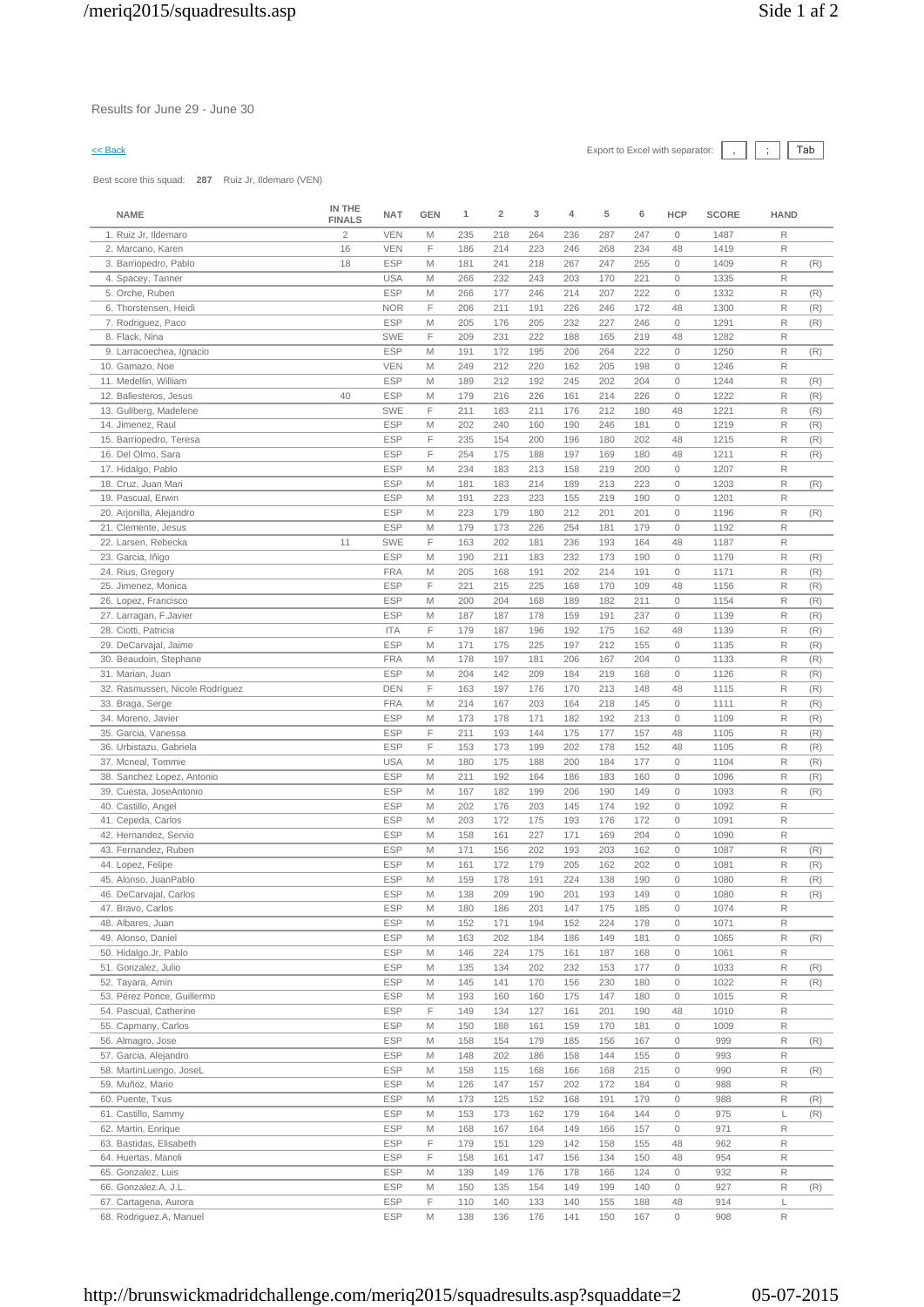Results for June 29 - June 30

# $\leq$  Back Export to Excel with separator:  $\boxed{\phantom{s}}$ ,  $\boxed{\phantom{s}}$   $\boxed{\phantom{s}}$

Best score this squad: **287** Ruiz Jr, Ildemaro (VEN)

| <b>NAME</b>                                    | IN THE<br><b>FINALS</b> | <b>NAT</b>               | <b>GEN</b> | 1          | $\overline{\mathbf{2}}$ | 3          | 4          | 5          | 6          | <b>HCP</b>                 | <b>SCORE</b> | HAND              |            |
|------------------------------------------------|-------------------------|--------------------------|------------|------------|-------------------------|------------|------------|------------|------------|----------------------------|--------------|-------------------|------------|
| 1. Ruiz Jr, Ildemaro                           | $\overline{2}$          | <b>VEN</b>               | Μ          | 235        | 218                     | 264        | 236        | 287        | 247        | 0                          | 1487         | R                 |            |
| 2. Marcano, Karen                              | 16                      | <b>VEN</b>               | F          | 186        | 214                     | 223        | 246        | 268        | 234        | 48                         | 1419         | R                 |            |
| 3. Barriopedro, Pablo                          | 18                      | <b>ESP</b>               | M          | 181        | 241                     | 218        | 267        | 247        | 255        | $\mathbb O$                | 1409         | $\mathsf R$       | (R)        |
| 4. Spacey, Tanner                              |                         | <b>USA</b>               | Μ          | 266        | 232                     | 243        | 203        | 170        | 221        | 0                          | 1335         | R                 |            |
| 5. Orche, Ruben                                |                         | <b>ESP</b>               | M          | 266        | 177                     | 246        | 214        | 207        | 222        | $\mathbf 0$                | 1332         | R                 | (R)        |
| 6. Thorstensen, Heidi                          |                         | <b>NOR</b>               | F          | 206        | 211                     | 191        | 226        | 246        | 172        | 48                         | 1300         | R                 | (R)        |
| 7. Rodriguez, Paco                             |                         | <b>ESP</b>               | Μ          | 205        | 176                     | 205        | 232        | 227        | 246        | $\circ$                    | 1291         | R                 | (R)        |
| 8. Flack, Nina                                 |                         | <b>SWE</b>               | F          | 209        | 231                     | 222        | 188        | 165        | 219        | 48                         | 1282         | R                 |            |
| 9. Larracoechea, Ignacio                       |                         | <b>ESP</b>               | M          | 191        | 172                     | 195        | 206        | 264        | 222        | 0                          | 1250         | R                 | (R)        |
| 10. Gamazo, Noe<br>11. Medellin, William       |                         | <b>VEN</b><br><b>ESP</b> | Μ<br>M     | 249<br>189 | 212<br>212              | 220<br>192 | 162<br>245 | 205<br>202 | 198<br>204 | $\mathbf 0$<br>$\mathbf 0$ | 1246<br>1244 | $\mathsf{R}$<br>R |            |
| 12. Ballesteros, Jesus                         | 40                      | <b>ESP</b>               | M          | 179        | 216                     | 226        | 161        | 214        | 226        | $\mathbf 0$                | 1222         | R                 | (R)<br>(R) |
| 13. Gullberg, Madelene                         |                         | <b>SWE</b>               | F          | 211        | 183                     | 211        | 176        | 212        | 180        | 48                         | 1221         | R                 | (R)        |
| 14. Jimenez, Raul                              |                         | <b>ESP</b>               | Μ          | 202        | 240                     | 160        | 190        | 246        | 181        | $\circ$                    | 1219         | R                 | (R)        |
| 15. Barriopedro, Teresa                        |                         | <b>ESP</b>               | F          | 235        | 154                     | 200        | 196        | 180        | 202        | 48                         | 1215         | R                 | (R)        |
| 16. Del Olmo, Sara                             |                         | <b>ESP</b>               | F          | 254        | 175                     | 188        | 197        | 169        | 180        | 48                         | 1211         | R                 | (R)        |
| 17. Hidalgo, Pablo                             |                         | <b>ESP</b>               | M          | 234        | 183                     | 213        | 158        | 219        | 200        | $\mathbf 0$                | 1207         | $\mathsf{R}$      |            |
| 18. Cruz, Juan Mari                            |                         | <b>ESP</b>               | M          | 181        | 183                     | 214        | 189        | 213        | 223        | 0                          | 1203         | R                 | (R)        |
| 19. Pascual, Erwin                             |                         | <b>ESP</b>               | M          | 191        | 223                     | 223        | 155        | 219        | 190        | $\mathbf 0$                | 1201         | $\mathsf R$       |            |
| 20. Arjonilla, Alejandro                       |                         | <b>ESP</b>               | Μ          | 223        | 179                     | 180        | 212        | 201        | 201        | 0                          | 1196         | R                 | (R)        |
| 21. Clemente, Jesus                            |                         | <b>ESP</b>               | Μ          | 179        | 173                     | 226        | 254        | 181        | 179        | $\circ$                    | 1192         | R                 |            |
| 22. Larsen, Rebecka                            | 11                      | <b>SWE</b>               | F          | 163        | 202                     | 181        | 236        | 193        | 164        | 48                         | 1187         | $\mathsf R$       |            |
| 23. Garcia, Iñigo                              |                         | <b>ESP</b>               | Μ          | 190        | 211                     | 183        | 232        | 173        | 190        | 0                          | 1179         | R                 | (R)        |
| 24. Rius, Gregory                              |                         | <b>FRA</b>               | Μ          | 205        | 168                     | 191        | 202        | 214        | 191        | $\mathbb O$                | 1171         | $\mathsf R$       | (R)        |
| 25. Jimenez, Monica                            |                         | <b>ESP</b>               | F          | 221        | 215                     | 225        | 168        | 170        | 109        | 48                         | 1156         | R                 | (R)        |
| 26. Lopez, Francisco                           |                         | <b>ESP</b><br><b>ESP</b> | Μ<br>Μ     | 200<br>187 | 204<br>187              | 168<br>178 | 189<br>159 | 182<br>191 | 211<br>237 | 0<br>$\mathsf{O}\xspace$   | 1154<br>1139 | R<br>R            | (R)        |
| 27. Larragan, F.Javier<br>28. Ciotti, Patricia |                         | <b>ITA</b>               | F          | 179        | 187                     | 196        | 192        | 175        | 162        | 48                         | 1139         | R                 | (R)<br>(R) |
| 29. DeCarvajal, Jaime                          |                         | <b>ESP</b>               | M          | 171        | 175                     | 225        | 197        | 212        | 155        | $\mathbf 0$                | 1135         | R                 | (R)        |
| 30. Beaudoin, Stephane                         |                         | <b>FRA</b>               | Μ          | 178        | 197                     | 181        | 206        | 167        | 204        | 0                          | 1133         | R                 | (R)        |
| 31. Marian, Juan                               |                         | <b>ESP</b>               | M          | 204        | 142                     | 209        | 184        | 219        | 168        | $\mathbb O$                | 1126         | $\mathsf R$       | (R)        |
| 32. Rasmussen, Nicole Rodríguez                |                         | <b>DEN</b>               | F          | 163        | 197                     | 176        | 170        | 213        | 148        | 48                         | 1115         | R                 | (R)        |
| 33. Braga, Serge                               |                         | <b>FRA</b>               | M          | 214        | 167                     | 203        | 164        | 218        | 145        | $\mathbf{0}$               | 1111         | R                 | (R)        |
| 34. Moreno, Javier                             |                         | <b>ESP</b>               | Μ          | 173        | 178                     | 171        | 182        | 192        | 213        | $\mathsf{O}\xspace$        | 1109         | R                 | (R)        |
| 35. Garcia, Vanessa                            |                         | <b>ESP</b>               | F          | 211        | 193                     | 144        | 175        | 177        | 157        | 48                         | 1105         | R                 | (R)        |
| 36. Urbistazu, Gabriela                        |                         | <b>ESP</b>               | F          | 153        | 173                     | 199        | 202        | 178        | 152        | 48                         | 1105         | $\mathsf R$       | (R)        |
| 37. Mcneal, Tommie                             |                         | <b>USA</b>               | Μ          | 180        | 175                     | 188        | 200        | 184        | 177        | 0                          | 1104         | R                 | (R)        |
| 38. Sanchez Lopez, Antonio                     |                         | <b>ESP</b>               | M          | 211        | 192                     | 164        | 186        | 183        | 160        | $\mathbb O$                | 1096         | $\mathsf R$       | (R)        |
| 39. Cuesta, JoseAntonio                        |                         | <b>ESP</b><br><b>ESP</b> | Μ<br>M     | 167        | 182<br>176              | 199<br>203 | 206<br>145 | 190<br>174 | 149<br>192 | 0<br>0                     | 1093<br>1092 | R<br>R            | (R)        |
| 40. Castillo, Angel<br>41. Cepeda, Carlos      |                         | <b>ESP</b>               | М          | 202<br>203 | 172                     | 175        | 193        | 176        | 172        | 0                          | 1091         | R                 |            |
| 42. Hernandez, Servio                          |                         | <b>ESP</b>               | Μ          | 158        | 161                     | 227        | 171        | 169        | 204        | $\circ$                    | 1090         | R                 |            |
| 43. Fernandez, Ruben                           |                         | <b>ESP</b>               | M          | 171        | 156                     | 202        | 193        | 203        | 162        | $\mathsf{O}\xspace$        | 1087         | $\mathsf R$       | (R)        |
| 44. Lopez, Felipe                              |                         | <b>ESP</b>               | Μ          | 161        | 172                     | 179        | 205        | 162        | 202        | $\mathbf 0$                | 1081         | R                 | (R)        |
| 45. Alonso, JuanPablo                          |                         | <b>ESP</b>               | M          | 159        | 178                     | 191        | 224        | 138        | 190        | $\mathbf 0$                | 1080         | $\mathsf{R}$      | (R)        |
| 46. DeCarvajal, Carlos                         |                         | <b>ESP</b>               | M          | 138        | 209                     | 190        | 201        | 193        | 149        | $\mathbf 0$                | 1080         | R                 | (R)        |
| 47. Bravo, Carlos                              |                         | <b>ESP</b>               | М          | 180        | 186                     | 201        | 147        | 175        | 185        | 0                          | 1074         | R                 |            |
| 48. Albares, Juan                              |                         | <b>ESP</b>               | Μ          | 152        | 171                     | 194        | 152        | 224        | 178        | $\mathsf{O}\xspace$        | 1071         | R                 |            |
| 49. Alonso, Daniel                             |                         | <b>ESP</b>               | Μ          | 163        | 202                     | 184        | 186        | 149        | 181        | 0                          | 1065         | R                 | (R)        |
| 50. Hidalgo.Jr, Pablo                          |                         | <b>ESP</b>               | М          | 146        | 224                     | 175        | 161        | 187        | 168        | $\mathbb O$                | 1061         | R                 |            |
| 51. Gonzalez, Julio                            |                         | <b>ESP</b><br><b>ESP</b> | М<br>M     | 135<br>145 | 134<br>141              | 202<br>170 | 232<br>156 | 153<br>230 | 177<br>180 | 0<br>$\mathbb O$           | 1033<br>1022 | R<br>R            | (R)        |
| 52. Tayara, Amin<br>53. Pérez Ponce, Guillermo |                         | ESP                      | М          | 193        | 160                     | 160        | 175        | 147        | 180        | 0                          | 1015         | R                 | (R)        |
| 54. Pascual, Catherine                         |                         | <b>ESP</b>               | F          | 149        | 134                     | 127        | 161        | 201        | 190        | 48                         | 1010         | R                 |            |
| 55. Capmany, Carlos                            |                         | <b>ESP</b>               | М          | 150        | 188                     | 161        | 159        | 170        | 181        | $\circ$                    | 1009         | R                 |            |
| 56. Almagro, Jose                              |                         | <b>ESP</b>               | Μ          | 158        | 154                     | 179        | 185        | 156        | 167        | 0                          | 999          | R                 | (R)        |
| 57. Garcia, Alejandro                          |                         | <b>ESP</b>               | М          | 148        | 202                     | 186        | 158        | 144        | 155        | $\mathbb O$                | 993          | R                 |            |
| 58. MartinLuengo, JoseL                        |                         | <b>ESP</b>               | М          | 158        | 115                     | 168        | 166        | 168        | 215        | 0                          | 990          | R                 | (R)        |
| 59. Muñoz, Mario                               |                         | <b>ESP</b>               | Μ          | 126        | 147                     | 157        | 202        | 172        | 184        | $\circ$                    | 988          | $\mathsf{R}$      |            |
| 60. Puente, Txus                               |                         | ESP                      | М          | 173        | 125                     | 152        | 168        | 191        | 179        | 0                          | 988          | R                 | (R)        |
| 61. Castillo, Sammy                            |                         | <b>ESP</b>               | М          | 153        | 173                     | 162        | 179        | 164        | 144        | $\circ$                    | 975          | L                 | (R)        |
| 62. Martin, Enrique                            |                         | <b>ESP</b>               | М          | 168        | 167                     | 164        | 149        | 166        | 157        | 0                          | 971          | R                 |            |
| 63. Bastidas, Elisabeth                        |                         | <b>ESP</b>               | F          | 179        | 151                     | 129        | 142        | 158        | 155        | 48                         | 962          | R                 |            |
| 64. Huertas, Manoli                            |                         | <b>ESP</b>               | F          | 158        | 161                     | 147        | 156        | 134        | 150        | 48                         | 954          | R                 |            |
| 65. Gonzalez, Luis                             |                         | <b>ESP</b>               | Μ          | 139        | 149                     | 176        | 178        | 166        | 124        | $\circ$                    | 932          | R                 |            |
| 66. Gonzalez.A, J.L.<br>67. Cartagena, Aurora  |                         | <b>ESP</b><br><b>ESP</b> | Μ<br>F     | 150<br>110 | 135<br>140              | 154<br>133 | 149<br>140 | 199<br>155 | 140<br>188 | $\circ$<br>48              | 927<br>914   | R<br>L            | (R)        |
| 68. Rodriguez.A, Manuel                        |                         | <b>ESP</b>               | M          | 138        | 136                     | 176        | 141        | 150        | 167        | $\circ$                    | 908          | R                 |            |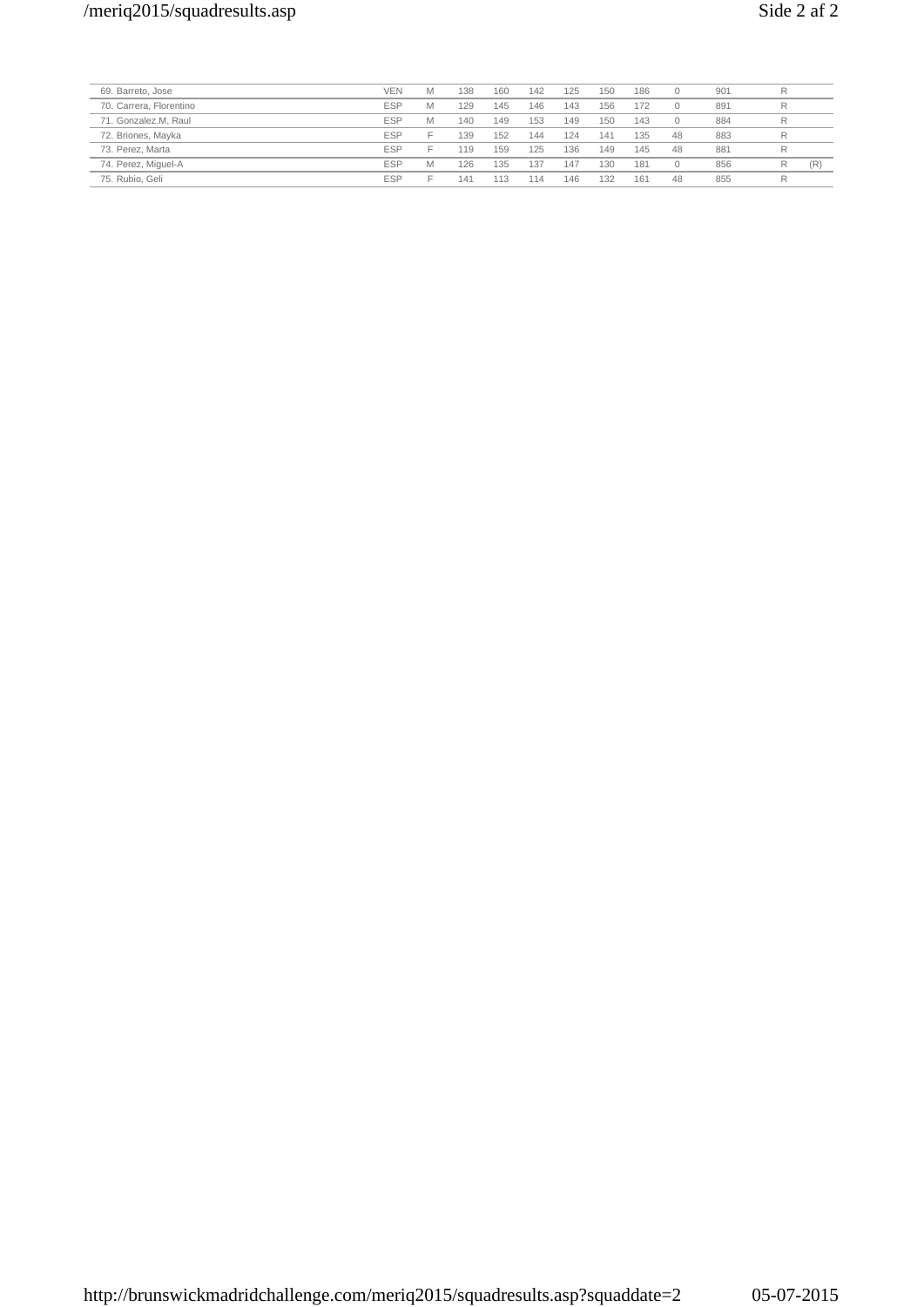| 69. Barreto, Jose       | <b>VEN</b> | Μ                        | 138 | 160 | 142 | 125 | 150 | 186 |    | 901 |   |     |
|-------------------------|------------|--------------------------|-----|-----|-----|-----|-----|-----|----|-----|---|-----|
| 70. Carrera, Florentino | <b>ESP</b> | Μ                        | 129 | 145 | 146 | 143 | 156 | 172 |    | 891 | R |     |
| 71. Gonzalez.M. Raul    | <b>ESP</b> | Μ                        | 140 | 149 | 153 | 149 | 150 | 143 |    | 884 | R |     |
| 72. Briones, Mayka      | <b>ESP</b> |                          | 139 | 152 | 144 | 124 | 141 | 135 | 48 | 883 | R |     |
| 73. Perez. Marta        | <b>ESP</b> | $\overline{\phantom{a}}$ | 119 | 159 | 125 | 136 | 149 | 145 | 48 | 881 |   |     |
| 74. Perez, Miguel-A     | <b>ESP</b> | Μ                        | 126 | 135 | 137 | 147 | 130 | 181 |    | 856 | R | (R) |
| 75. Rubio, Geli         | <b>ESP</b> |                          | 141 | 113 | 114 | 146 | 132 | 161 | 48 | 855 |   |     |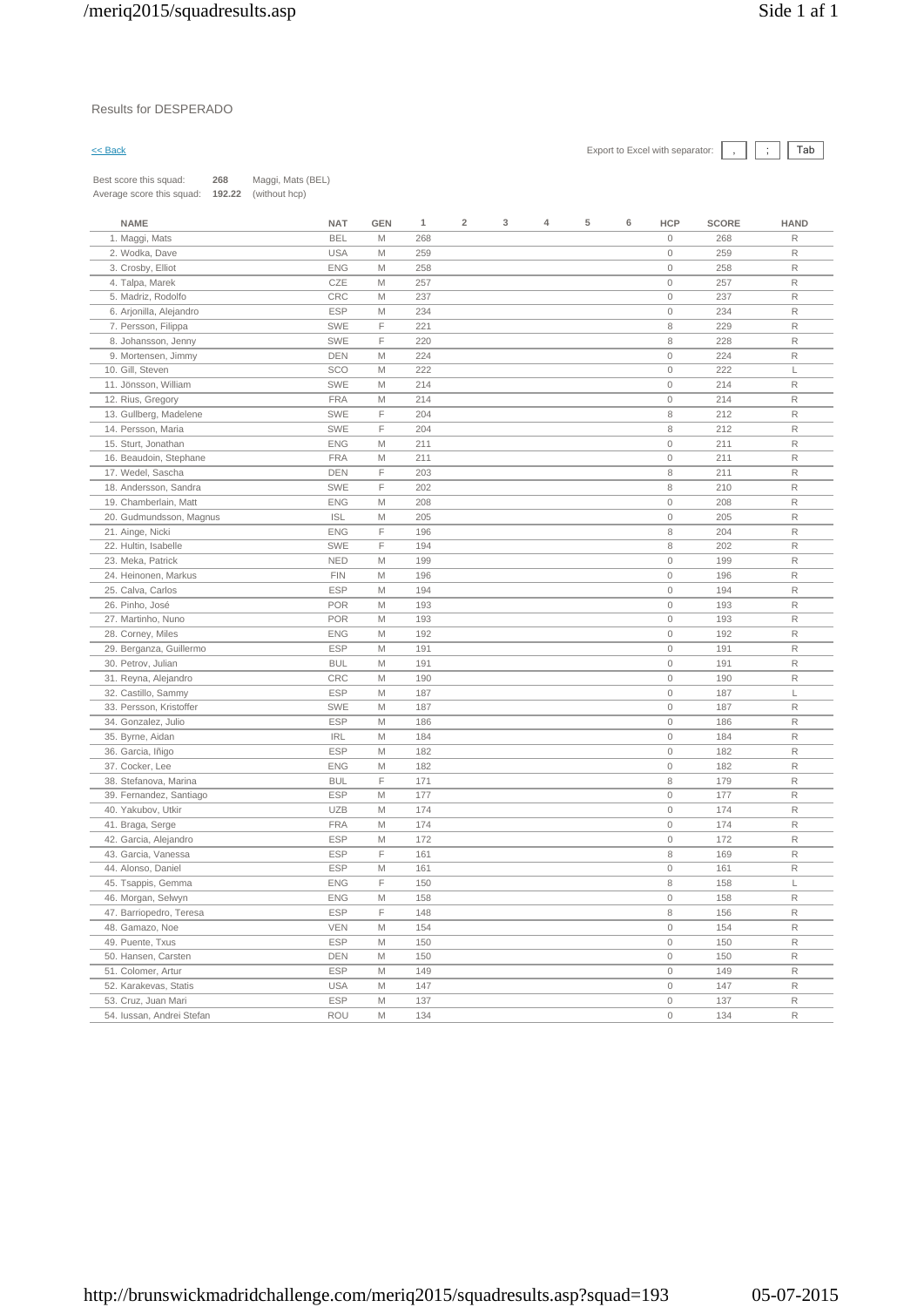| Best score this squad:<br>268                        | Maggi, Mats (BEL) |            |     |                |   |   |   |   |             |              |             |
|------------------------------------------------------|-------------------|------------|-----|----------------|---|---|---|---|-------------|--------------|-------------|
| 192.22<br>Average score this squad:<br>(without hcp) |                   |            |     |                |   |   |   |   |             |              |             |
|                                                      |                   |            |     |                |   |   |   |   |             |              |             |
| <b>NAME</b>                                          | <b>NAT</b>        | <b>GEN</b> | 1   | $\overline{2}$ | 3 | 4 | 5 | 6 | <b>HCP</b>  | <b>SCORE</b> | <b>HAND</b> |
| 1. Maggi, Mats                                       | <b>BEL</b>        | M          | 268 |                |   |   |   |   | $\mathbb O$ | 268          | R           |
| 2. Wodka, Dave                                       | <b>USA</b>        | M          | 259 |                |   |   |   |   | $\mathbf 0$ | 259          | R           |
| 3. Crosby, Elliot                                    | <b>ENG</b>        | M          | 258 |                |   |   |   |   | $\mathbf 0$ | 258          | R           |
| 4. Talpa, Marek                                      | CZE               | M          | 257 |                |   |   |   |   | $\mathbf 0$ | 257          | R           |
| 5. Madriz, Rodolfo                                   | CRC               | M          | 237 |                |   |   |   |   | $\mathbf 0$ | 237          | $\mathsf R$ |
| 6. Arjonilla, Alejandro                              | <b>ESP</b>        | Μ          | 234 |                |   |   |   |   | $\mathbb O$ | 234          | R           |
| 7. Persson, Filippa                                  | <b>SWE</b>        | F          | 221 |                |   |   |   |   | 8           | 229          | R           |
| 8. Johansson, Jenny                                  | <b>SWE</b>        | F          | 220 |                |   |   |   |   | 8           | 228          | $\mathsf R$ |
| 9. Mortensen, Jimmy                                  | <b>DEN</b>        | M          | 224 |                |   |   |   |   | $\mathbf 0$ | 224          | R           |
| 10. Gill, Steven                                     | SCO               | M          | 222 |                |   |   |   |   | $\mathbb O$ | 222          | L           |
| 11. Jönsson. William                                 | <b>SWE</b>        | M          | 214 |                |   |   |   |   | $\mathbb O$ | 214          | $\mathsf R$ |
| 12. Rius, Gregory                                    | <b>FRA</b>        | M          | 214 |                |   |   |   |   | $\mathbb O$ | 214          | R           |
| 13. Gullberg, Madelene                               | <b>SWE</b>        | F          | 204 |                |   |   |   |   | 8           | 212          | R           |
| 14. Persson, Maria                                   | <b>SWE</b>        | F          | 204 |                |   |   |   |   | 8           | 212          | R           |
| 15. Sturt, Jonathan                                  | <b>ENG</b>        | M          | 211 |                |   |   |   |   | $\mathbb O$ | 211          | $\mathsf R$ |
| 16. Beaudoin, Stephane                               | <b>FRA</b>        | M          | 211 |                |   |   |   |   | $\mathbb O$ | 211          | R           |
| 17. Wedel, Sascha                                    | <b>DEN</b>        | F          | 203 |                |   |   |   |   | 8           | 211          | R           |
| 18. Andersson, Sandra                                | <b>SWE</b>        | F          | 202 |                |   |   |   |   | 8           | 210          | $\mathsf R$ |
| 19. Chamberlain, Matt                                | <b>ENG</b>        | M          | 208 |                |   |   |   |   | $\circ$     | 208          | R           |
| 20. Gudmundsson, Magnus                              | <b>ISL</b>        | M          | 205 |                |   |   |   |   | $\mathbf 0$ | 205          | R           |
| 21. Ainge, Nicki                                     | <b>ENG</b>        | F          | 196 |                |   |   |   |   | 8           | 204          | R           |
| 22. Hultin, Isabelle                                 | <b>SWE</b>        | F          | 194 |                |   |   |   |   | 8           | 202          | $\mathsf R$ |
| 23. Meka, Patrick                                    | <b>NED</b>        | M          | 199 |                |   |   |   |   | $\mathbb O$ | 199          | R           |
| 24. Heinonen, Markus                                 | <b>FIN</b>        | M          | 196 |                |   |   |   |   | $\mathbb O$ | 196          | R           |
| 25. Calva. Carlos                                    | <b>ESP</b>        | M          | 194 |                |   |   |   |   | $\mathbb O$ | 194          | $\mathsf R$ |
| 26. Pinho, José                                      | <b>POR</b>        | M          | 193 |                |   |   |   |   | $\mathbb O$ | 193          | $\mathsf R$ |
| 27. Martinho, Nuno                                   | <b>POR</b>        | M          | 193 |                |   |   |   |   | $\mathbb O$ | 193          | R           |
| 28. Corney, Miles                                    | <b>ENG</b>        | M          | 192 |                |   |   |   |   | $\mathbb O$ | 192          | $\mathsf R$ |
| 29. Berganza, Guillermo                              | <b>ESP</b>        | M          | 191 |                |   |   |   |   | $\mathbb O$ | 191          | $\mathsf R$ |
| 30. Petrov, Julian                                   | <b>BUL</b>        | M          | 191 |                |   |   |   |   | $\mathbb O$ | 191          | R           |
| 31. Reyna, Alejandro                                 | CRC               | M          | 190 |                |   |   |   |   | $\mathbb O$ | 190          | R           |
| 32. Castillo, Sammy                                  | <b>ESP</b>        | Μ          | 187 |                |   |   |   |   | $\mathbb O$ | 187          | $\mathsf L$ |
| 33. Persson, Kristoffer                              | <b>SWE</b>        | M          | 187 |                |   |   |   |   | $\mathbf 0$ | 187          | R           |
| 34. Gonzalez, Julio                                  | <b>ESP</b>        | M          | 186 |                |   |   |   |   | $\mathbb O$ | 186          | R           |
| 35. Byrne, Aidan                                     | <b>IRL</b>        | M          | 184 |                |   |   |   |   | $\mathbb O$ | 184          | $\mathsf R$ |
| 36. Garcia, Iñigo                                    | <b>ESP</b>        | M          | 182 |                |   |   |   |   | $\mathbb O$ | 182          | $\mathsf R$ |
| 37. Cocker, Lee                                      | <b>ENG</b>        | M          | 182 |                |   |   |   |   | $\mathbb O$ | 182          | R           |
| 38. Stefanova, Marina                                | <b>BUL</b>        | F          | 171 |                |   |   |   |   | 8           | 179          | $\mathsf R$ |
| 39. Fernandez, Santiago                              | <b>ESP</b>        | M          | 177 |                |   |   |   |   | $\mathbb O$ | 177          | R           |
| 40. Yakubov, Utkir                                   | <b>UZB</b>        | M          | 174 |                |   |   |   |   | $\mathbb O$ | 174          | R           |
| 41. Braga, Serge                                     | <b>FRA</b>        | M          | 174 |                |   |   |   |   | $\mathbb O$ | 174          | R           |
| 42. Garcia, Alejandro                                | <b>ESP</b>        | Μ          | 172 |                |   |   |   |   | $\mathbb O$ | 172          | $\mathsf R$ |
| 43. Garcia, Vanessa                                  | ESP               | F          | 161 |                |   |   |   |   | 8           | 169          | R           |
| 44. Alonso, Daniel                                   | <b>ESP</b>        | M          | 161 |                |   |   |   |   | $\mathbb O$ | 161          | R           |
| 45. Tsappis, Gemma                                   | <b>ENG</b>        | F          | 150 |                |   |   |   |   | 8           | 158          | L           |
| 46. Morgan, Selwyn                                   | <b>ENG</b>        | М          | 158 |                |   |   |   |   | $\mathbf 0$ | 158          | R           |
| 47. Barriopedro, Teresa                              | <b>ESP</b>        | F          | 148 |                |   |   |   |   | 8           | 156          | R           |
| 48. Gamazo, Noe                                      | <b>VEN</b>        | М          | 154 |                |   |   |   |   | $\mathbb O$ | 154          | R           |
| 49. Puente, Txus                                     | <b>ESP</b>        | M          | 150 |                |   |   |   |   | $\mathbf 0$ | 150          | R           |
| 50. Hansen, Carsten                                  | DEN               | M          | 150 |                |   |   |   |   | $\mathbf 0$ | 150          | R           |
| 51. Colomer, Artur                                   | <b>ESP</b>        | M          | 149 |                |   |   |   |   | $\mathbf 0$ | 149          | R           |
| 52. Karakevas, Statis                                | <b>USA</b>        | M          | 147 |                |   |   |   |   | $\mathbf 0$ | 147          | $\mathsf R$ |
| 53. Cruz, Juan Mari                                  | <b>ESP</b>        | М          | 137 |                |   |   |   |   | $\mathbb O$ | 137          | $\mathsf R$ |

54. Iussan, Andrei Stefan ROU M 134 0 134 R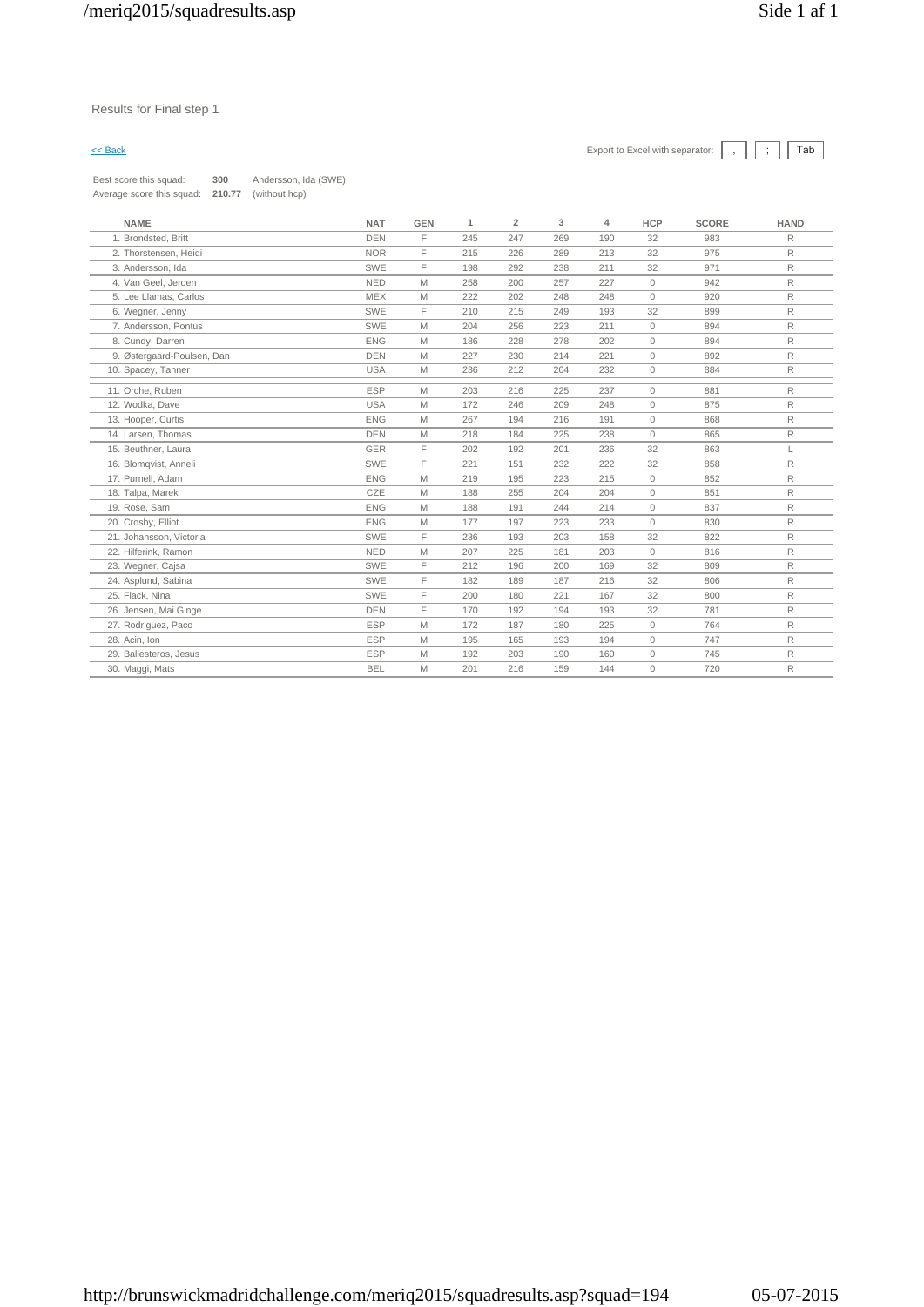Best score this squad: **300** Andersson, Ida (SWE) Average score this squad: **210.77** (without hcp)

| <b>NAME</b>                | <b>NAT</b> | <b>GEN</b> | 1   | $\overline{2}$ | 3   | 4   | <b>HCP</b>   | <b>SCORE</b> | <b>HAND</b>  |
|----------------------------|------------|------------|-----|----------------|-----|-----|--------------|--------------|--------------|
| 1. Brondsted, Britt        | <b>DEN</b> | F          | 245 | 247            | 269 | 190 | 32           | 983          | R            |
| 2. Thorstensen. Heidi      | <b>NOR</b> | F          | 215 | 226            | 289 | 213 | 32           | 975          | R            |
| 3. Andersson. Ida          | SWE        | E          | 198 | 292            | 238 | 211 | 32           | 971          | R            |
| 4. Van Geel, Jeroen        | <b>NED</b> | M          | 258 | 200            | 257 | 227 | $\mathbf{0}$ | 942          | $\mathsf{R}$ |
| 5. Lee Llamas, Carlos      | <b>MEX</b> | M          | 222 | 202            | 248 | 248 | $\mathbf{0}$ | 920          | $\mathsf{R}$ |
| 6. Wegner, Jenny           | SWE        | F          | 210 | 215            | 249 | 193 | 32           | 899          | R            |
| 7. Andersson, Pontus       | SWE        | M          | 204 | 256            | 223 | 211 | $\mathbb O$  | 894          | R            |
| 8. Cundy, Darren           | <b>ENG</b> | M          | 186 | 228            | 278 | 202 | $\mathbf{0}$ | 894          | R            |
| 9. Østergaard-Poulsen, Dan | <b>DEN</b> | M          | 227 | 230            | 214 | 221 | $\circ$      | 892          | $\mathsf{R}$ |
| 10. Spacey, Tanner         | <b>USA</b> | M          | 236 | 212            | 204 | 232 | $\mathbf{0}$ | 884          | R            |
| 11. Orche, Ruben           | <b>ESP</b> | M          | 203 | 216            | 225 | 237 | $\Omega$     | 881          | R            |
| 12. Wodka, Dave            | <b>USA</b> | M          | 172 | 246            | 209 | 248 | $\Omega$     | 875          | $\mathsf{R}$ |
| 13. Hooper, Curtis         | <b>ENG</b> | M          | 267 | 194            | 216 | 191 | $\mathbf{0}$ | 868          | $\mathsf{R}$ |
| 14. Larsen. Thomas         | <b>DEN</b> | M          | 218 | 184            | 225 | 238 | $\mathbf{0}$ | 865          | R            |
| 15. Beuthner, Laura        | <b>GER</b> | E          | 202 | 192            | 201 | 236 | 32           | 863          | L            |
| 16. Blomqvist, Anneli      | SWE        | E          | 221 | 151            | 232 | 222 | 32           | 858          | R            |
| 17. Purnell, Adam          | <b>ENG</b> | M          | 219 | 195            | 223 | 215 | $\mathbf{0}$ | 852          | $\mathsf{R}$ |
| 18. Talpa, Marek           | CZE        | M          | 188 | 255            | 204 | 204 | $\circ$      | 851          | R            |
| 19. Rose, Sam              | <b>ENG</b> | M          | 188 | 191            | 244 | 214 | $\mathbf{0}$ | 837          | R            |
| 20. Crosby, Elliot         | <b>ENG</b> | M          | 177 | 197            | 223 | 233 | $\Omega$     | 830          | R            |
| 21. Johansson, Victoria    | SWE        | E          | 236 | 193            | 203 | 158 | 32           | 822          | $\mathsf R$  |
| 22. Hilferink, Ramon       | <b>NED</b> | M          | 207 | 225            | 181 | 203 | $\mathbf{0}$ | 816          | $\mathsf{R}$ |
| 23. Wegner, Cajsa          | <b>SWE</b> | E          | 212 | 196            | 200 | 169 | 32           | 809          | R            |
| 24. Asplund, Sabina        | <b>SWE</b> | F          | 182 | 189            | 187 | 216 | 32           | 806          | R            |
| 25. Flack, Nina            | SWE        | F          | 200 | 180            | 221 | 167 | 32           | 800          | R            |
| 26. Jensen, Mai Ginge      | <b>DEN</b> | F          | 170 | 192            | 194 | 193 | 32           | 781          | R            |
| 27. Rodriguez, Paco        | <b>ESP</b> | М          | 172 | 187            | 180 | 225 | $\mathbf{0}$ | 764          | R            |
| 28. Acin. Ion              | <b>ESP</b> | M          | 195 | 165            | 193 | 194 | $\mathbf{0}$ | 747          | R            |
| 29. Ballesteros, Jesus     | <b>ESP</b> | M          | 192 | 203            | 190 | 160 | $\circ$      | 745          | R            |
| 30. Maggi, Mats            | <b>BEL</b> | M          | 201 | 216            | 159 | 144 | $\mathbb O$  | 720          | R            |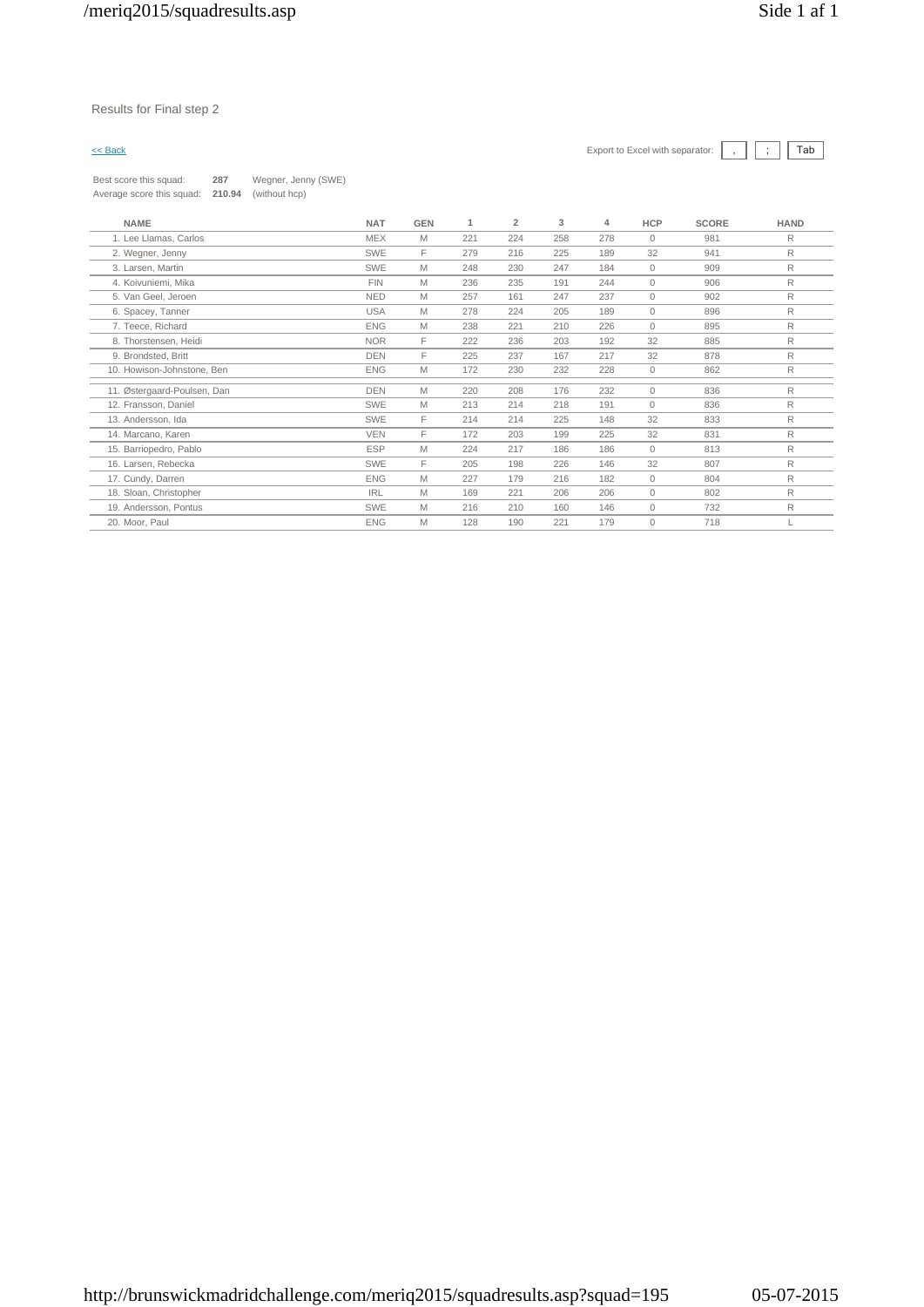| Best score this squad:    | 287    | Wegner, Jenny (SWE) |
|---------------------------|--------|---------------------|
| Average score this squad: | 210.94 | (without hcp)       |

| <b>NAME</b>                 | <b>NAT</b> | <b>GEN</b> | 1   | $\overline{2}$ | 3   | 4   | <b>HCP</b>   | <b>SCORE</b> | <b>HAND</b> |
|-----------------------------|------------|------------|-----|----------------|-----|-----|--------------|--------------|-------------|
| 1. Lee Llamas, Carlos       | <b>MEX</b> | M          | 221 | 224            | 258 | 278 | $\mathbf{0}$ | 981          | R           |
| 2. Wegner, Jenny            | <b>SWE</b> | F          | 279 | 216            | 225 | 189 | 32           | 941          | R           |
| 3. Larsen, Martin           | <b>SWE</b> | M          | 248 | 230            | 247 | 184 | $\mathbf{0}$ | 909          | R           |
| 4. Koivuniemi, Mika         | <b>FIN</b> | M          | 236 | 235            | 191 | 244 | $\mathbf{0}$ | 906          | R           |
| 5. Van Geel, Jeroen         | <b>NED</b> | M          | 257 | 161            | 247 | 237 | $\mathbf{0}$ | 902          | R           |
| 6. Spacey, Tanner           | <b>USA</b> | M          | 278 | 224            | 205 | 189 | $\Omega$     | 896          | R           |
| 7. Teece, Richard           | <b>ENG</b> | M          | 238 | 221            | 210 | 226 | $\mathbf{0}$ | 895          | R           |
| 8. Thorstensen, Heidi       | <b>NOR</b> | F          | 222 | 236            | 203 | 192 | 32           | 885          | R           |
| 9. Brondsted, Britt         | <b>DEN</b> | F          | 225 | 237            | 167 | 217 | 32           | 878          | R           |
| 10. Howison-Johnstone, Ben  | <b>ENG</b> | M          | 172 | 230            | 232 | 228 | $\circ$      | 862          | R           |
| 11. Østergaard-Poulsen, Dan | <b>DEN</b> | M          | 220 | 208            | 176 | 232 | $\mathbf{0}$ | 836          | R           |
| 12. Fransson, Daniel        | SWE        | M          | 213 | 214            | 218 | 191 | $\Omega$     | 836          | R           |
| 13. Andersson, Ida          | SWE        | F          | 214 | 214            | 225 | 148 | 32           | 833          | R           |
| 14. Marcano, Karen          | <b>VEN</b> | F          | 172 | 203            | 199 | 225 | 32           | 831          | R           |
| 15. Barriopedro, Pablo      | <b>ESP</b> | M          | 224 | 217            | 186 | 186 | $\mathbf{0}$ | 813          | R           |
| 16. Larsen, Rebecka         | <b>SWE</b> | F          | 205 | 198            | 226 | 146 | 32           | 807          | R           |
| 17. Cundy, Darren           | <b>ENG</b> | M          | 227 | 179            | 216 | 182 | $\circ$      | 804          | R           |
| 18. Sloan, Christopher      | <b>IRL</b> | M          | 169 | 221            | 206 | 206 | $\mathbf{0}$ | 802          | R           |
| 19. Andersson, Pontus       | SWE        | M          | 216 | 210            | 160 | 146 | $\mathbf{0}$ | 732          | R           |
| 20. Moor, Paul              | <b>ENG</b> | M          | 128 | 190            | 221 | 179 | $\mathbf{0}$ | 718          |             |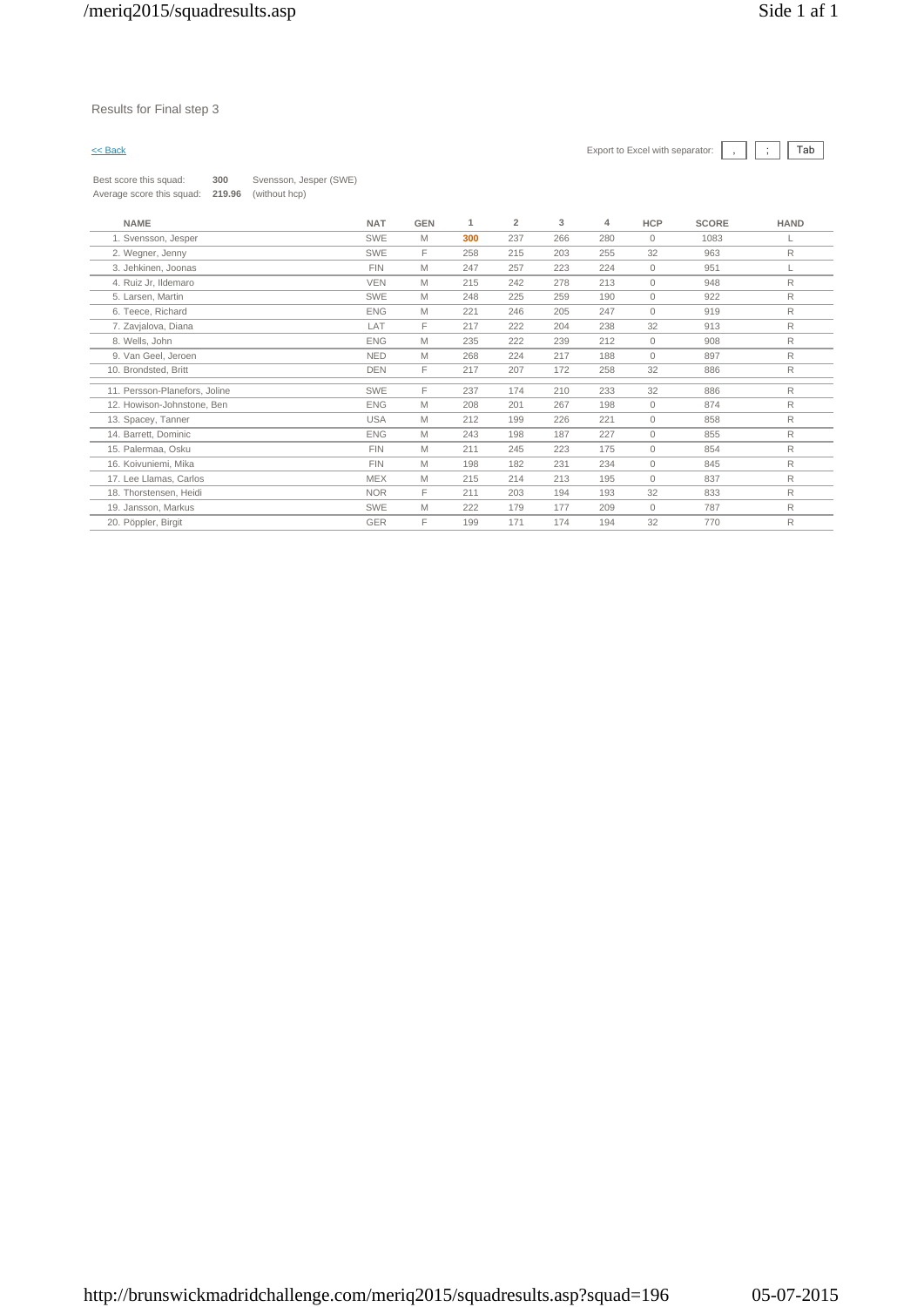Best score this squad: **300** Svensson, Jesper (SWE) Average score this squad: **219.96** (without hcp)

| <b>NAME</b>                   | <b>NAT</b> | <b>GEN</b> | 1   | $\overline{2}$ | 3   | 4   | <b>HCP</b>   | <b>SCORE</b> | <b>HAND</b> |
|-------------------------------|------------|------------|-----|----------------|-----|-----|--------------|--------------|-------------|
| 1. Svensson, Jesper           | <b>SWE</b> | M          | 300 | 237            | 266 | 280 | $\mathbf{0}$ | 1083         |             |
| 2. Wegner, Jenny              | <b>SWE</b> | F          | 258 | 215            | 203 | 255 | 32           | 963          | R           |
| 3. Jehkinen, Joonas           | <b>FIN</b> | M          | 247 | 257            | 223 | 224 | $\mathbf{0}$ | 951          | L           |
| 4. Ruiz Jr, Ildemaro          | <b>VEN</b> | M          | 215 | 242            | 278 | 213 | $\mathbf{0}$ | 948          | R           |
| 5. Larsen, Martin             | SWE        | M          | 248 | 225            | 259 | 190 | $\mathbf{0}$ | 922          | R           |
| 6. Teece, Richard             | <b>ENG</b> | M          | 221 | 246            | 205 | 247 | $\mathbf{0}$ | 919          | R           |
| 7. Zavjalova, Diana           | LAT        | F          | 217 | 222            | 204 | 238 | 32           | 913          | R           |
| 8. Wells, John                | <b>ENG</b> | M          | 235 | 222            | 239 | 212 | $\mathbf{0}$ | 908          | R           |
| 9. Van Geel, Jeroen           | <b>NED</b> | M          | 268 | 224            | 217 | 188 | $\mathbf{0}$ | 897          | R           |
| 10. Brondsted, Britt          | <b>DEN</b> | F          | 217 | 207            | 172 | 258 | 32           | 886          | R           |
| 11. Persson-Planefors, Joline | SWE        | F          | 237 | 174            | 210 | 233 | 32           | 886          | R           |
| 12. Howison-Johnstone, Ben    | <b>ENG</b> | M          | 208 | 201            | 267 | 198 | $\mathbf{0}$ | 874          | R           |
| 13. Spacey, Tanner            | <b>USA</b> | M          | 212 | 199            | 226 | 221 | $\mathbf{0}$ | 858          | R           |
| 14. Barrett, Dominic          | <b>ENG</b> | M          | 243 | 198            | 187 | 227 | $\Omega$     | 855          | R           |
| 15. Palermaa, Osku            | <b>FIN</b> | M          | 211 | 245            | 223 | 175 | $\mathbf{0}$ | 854          | R           |
| 16. Koivuniemi, Mika          | <b>FIN</b> | M          | 198 | 182            | 231 | 234 | $\mathbf{0}$ | 845          | R           |
| 17. Lee Llamas, Carlos        | <b>MEX</b> | M          | 215 | 214            | 213 | 195 | $\mathbf{0}$ | 837          | R           |
| 18. Thorstensen, Heidi        | <b>NOR</b> | F          | 211 | 203            | 194 | 193 | 32           | 833          | R           |
| 19. Jansson, Markus           | SWE        | M          | 222 | 179            | 177 | 209 | $\mathbf{0}$ | 787          | R           |
| 20. Pöppler, Birgit           | GER        | F          | 199 | 171            | 174 | 194 | 32           | 770          | R           |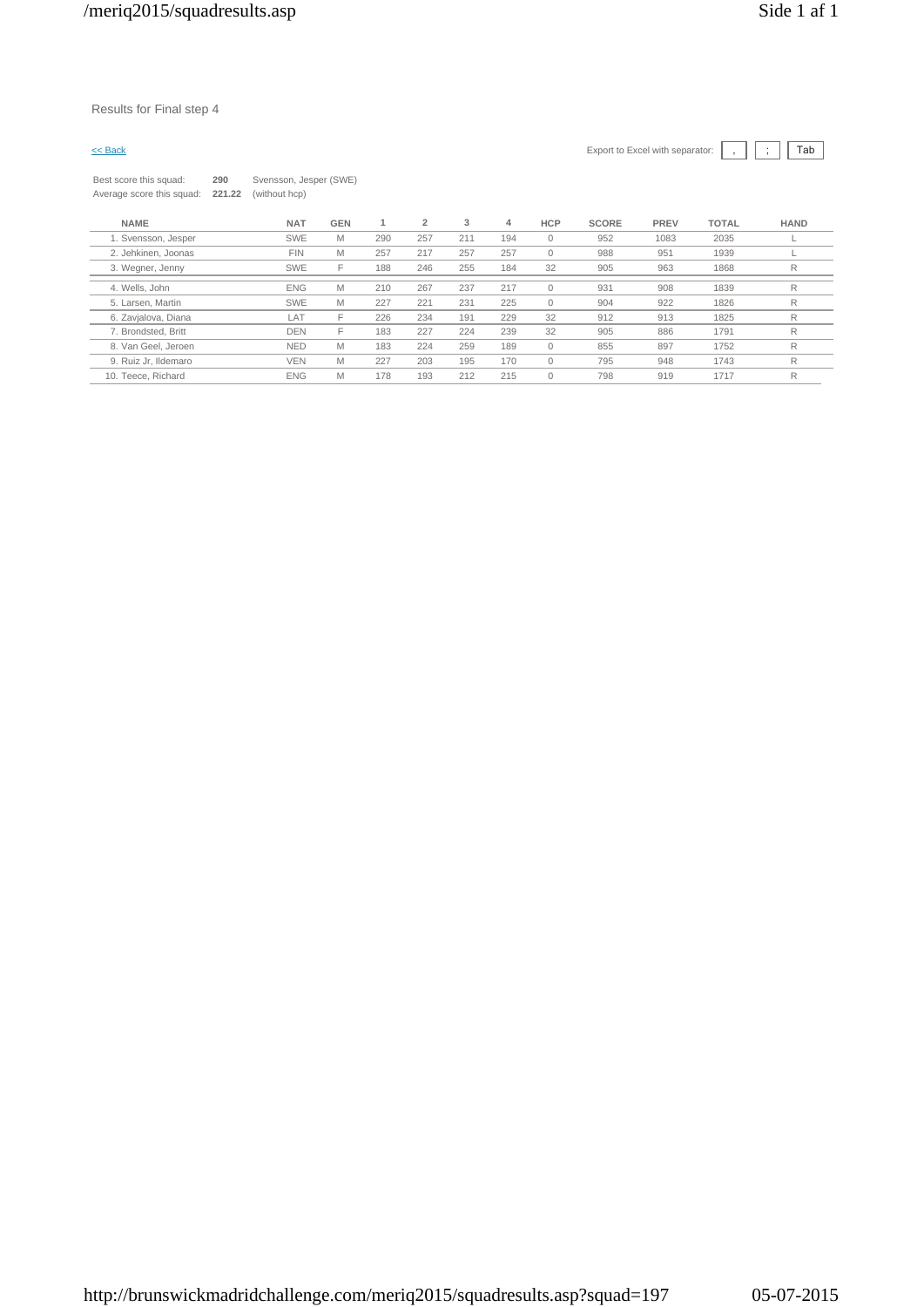### Results for Final step 4

| $\leq$ Back                                         |               |                                         |            |     |     |     |     |              |              | Export to Excel with separator: |              | Tab         |
|-----------------------------------------------------|---------------|-----------------------------------------|------------|-----|-----|-----|-----|--------------|--------------|---------------------------------|--------------|-------------|
| Best score this squad:<br>Average score this squad: | 290<br>221.22 | Svensson, Jesper (SWE)<br>(without hcp) |            |     |     |     |     |              |              |                                 |              |             |
| <b>NAME</b>                                         |               | <b>NAT</b>                              | <b>GEN</b> |     | 2   | 3   | 4   | <b>HCP</b>   | <b>SCORE</b> | PREV                            | <b>TOTAL</b> | <b>HAND</b> |
| 1. Svensson, Jesper                                 |               | <b>SWE</b>                              | M          | 290 | 257 | 211 | 194 | $\mathbf{0}$ | 952          | 1083                            | 2035         |             |
| 2. Jehkinen, Joonas                                 |               | <b>FIN</b>                              | M          | 257 | 217 | 257 | 257 | $\mathbf{0}$ | 988          | 951                             | 1939         |             |
| 3. Wegner, Jenny                                    |               | <b>SWE</b>                              |            | 188 | 246 | 255 | 184 | 32           | 905          | 963                             | 1868         |             |

4. Wells, John ENG M 210 267 237 217 0 931 908 1839 R 5. Larsen, Martin SWE M 227 221 231 225 0 904 922 1826 R 6. Zavjalova, Diana LAT F 226 234 191 229 32 912 913 1825 R

8. Van Geel, Jeroen NED M 183 224 259 189 0 855 897 1752 R 9. Ruiz Jr, Ildemaro VEN M 227 203 195 170 0 795 948 1743 R 10. Teece, Richard ENG M 178 193 212 215 0 798 919 1717 R

7. Brondsted, Britt DEN F 183 227 224 239 32 905 886 1791 R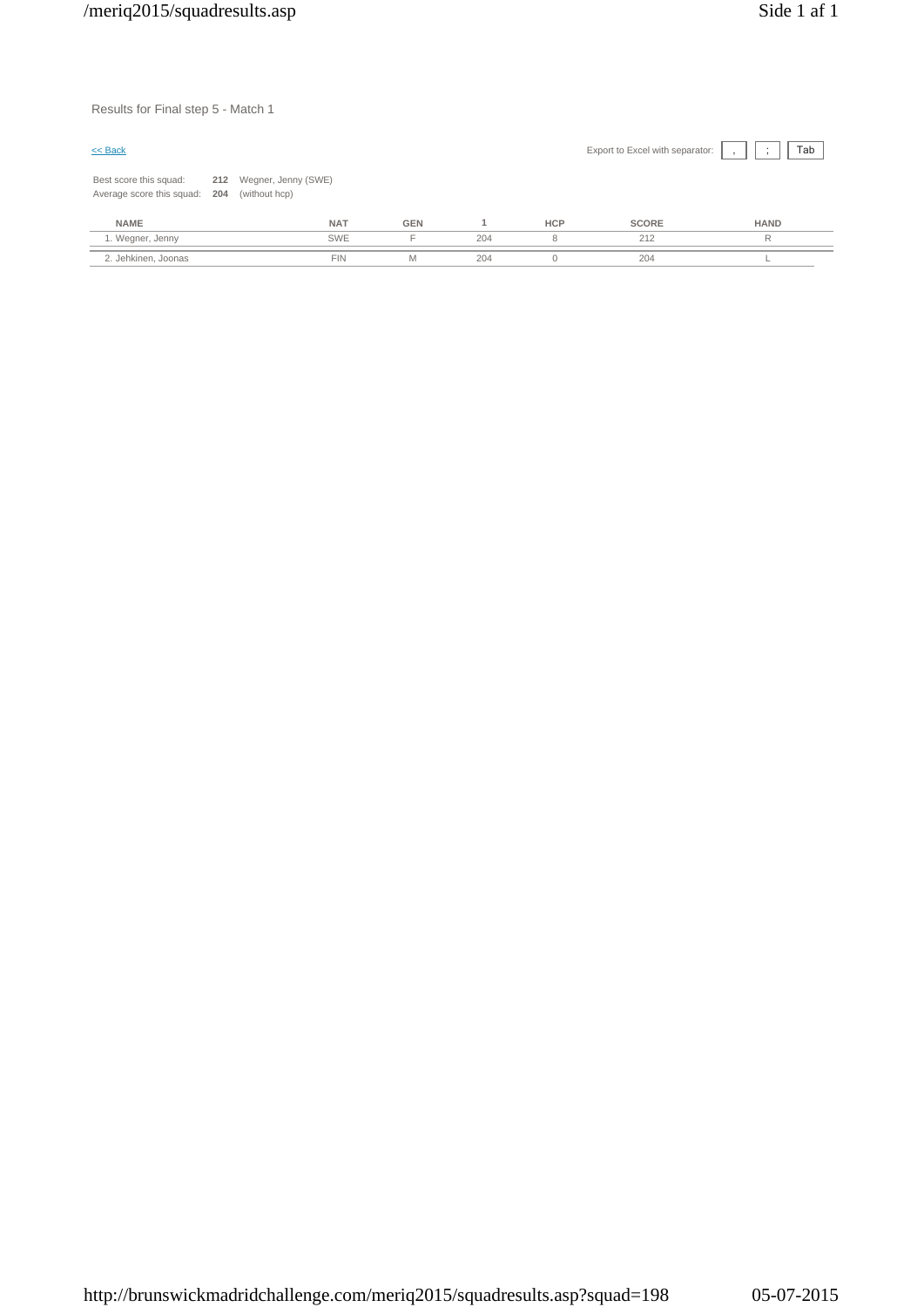Results for Final step 5 - Match 1

|                               |                         |     |            | Export to Excel with separator: | Tab<br>$\cdot$ |
|-------------------------------|-------------------------|-----|------------|---------------------------------|----------------|
| (without hcp)                 |                         |     |            |                                 |                |
| <b>NAT</b>                    | <b>GEN</b>              |     | <b>HCP</b> | <b>SCORE</b>                    | <b>HAND</b>    |
| <b>SWE</b>                    |                         | 204 | 8          | 212                             | R              |
| Average score this squad: 204 | 212 Wegner, Jenny (SWE) |     |            |                                 |                |

2. Jehkinen, Joonas FIN M 204 0 204 L